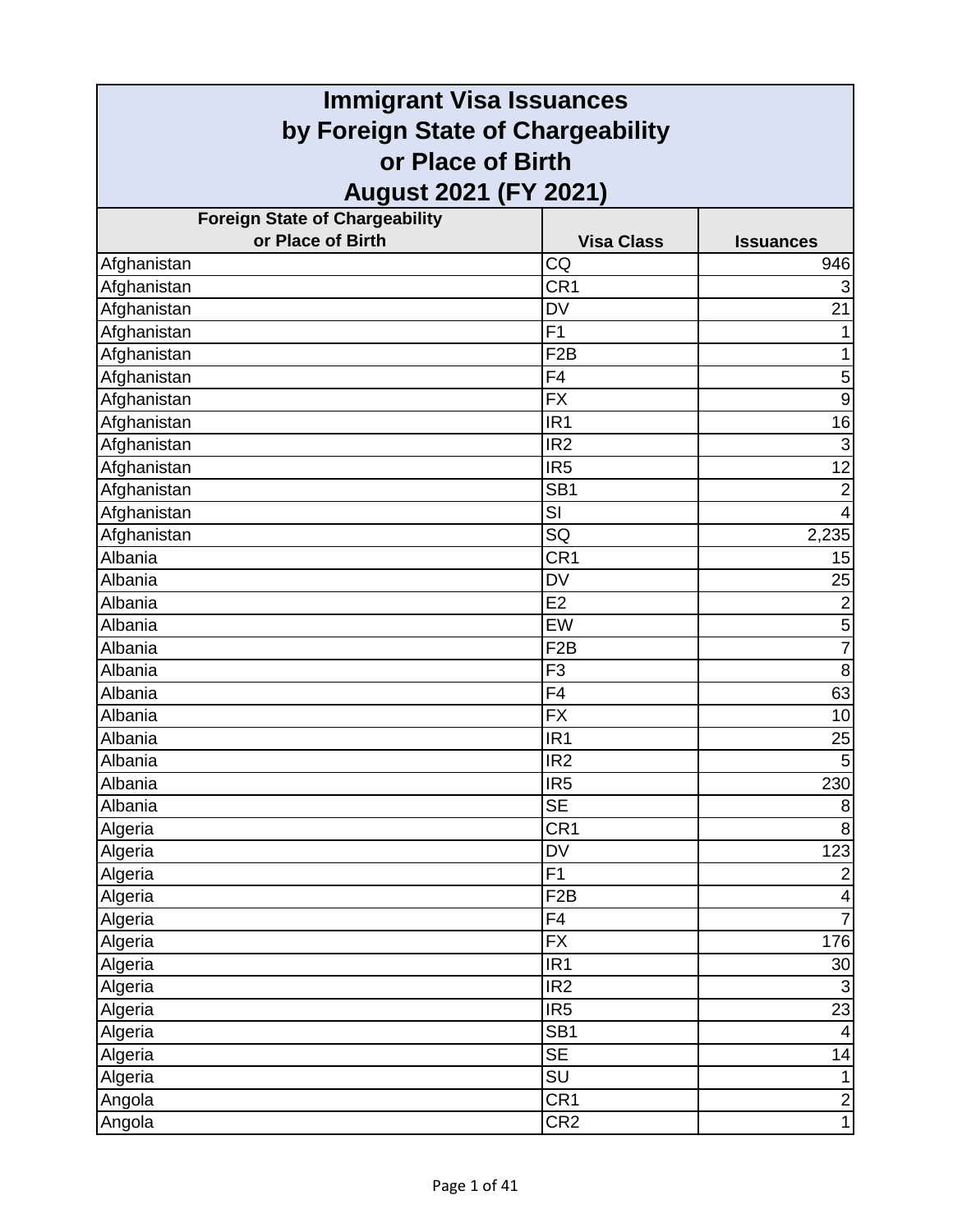| <b>Immigrant Visa Issuances</b>                        |                   |                         |
|--------------------------------------------------------|-------------------|-------------------------|
| by Foreign State of Chargeability<br>or Place of Birth |                   |                         |
|                                                        |                   |                         |
| <b>Foreign State of Chargeability</b>                  |                   |                         |
| or Place of Birth                                      | <b>Visa Class</b> | <b>Issuances</b>        |
| Afghanistan                                            | CQ                | 946                     |
| Afghanistan                                            | CR <sub>1</sub>   | $\sqrt{3}$              |
| Afghanistan                                            | <b>DV</b>         | 21                      |
| Afghanistan                                            | F <sub>1</sub>    | 1                       |
| Afghanistan                                            | F <sub>2</sub> B  | 1                       |
| Afghanistan                                            | F <sub>4</sub>    | $\mathbf 5$             |
| Afghanistan                                            | <b>FX</b>         | $\overline{9}$          |
| Afghanistan                                            | IR <sub>1</sub>   | 16                      |
| Afghanistan                                            | IR <sub>2</sub>   | $\overline{3}$          |
| Afghanistan                                            | IR <sub>5</sub>   | $\overline{12}$         |
| Afghanistan                                            | SB <sub>1</sub>   | $\overline{2}$          |
| Afghanistan                                            | SI                | $\overline{4}$          |
| Afghanistan                                            | SQ                | 2,235                   |
| Albania                                                | CR <sub>1</sub>   | 15                      |
| Albania                                                | <b>DV</b>         | 25                      |
| Albania                                                | E2                | $\overline{2}$          |
| Albania                                                | EW                | $\overline{5}$          |
| Albania                                                | F <sub>2</sub> B  | $\overline{7}$          |
| Albania                                                | F <sub>3</sub>    | 8                       |
| Albania                                                | F4                | 63                      |
| Albania                                                | <b>FX</b>         | 10                      |
| Albania                                                | IR <sub>1</sub>   | 25                      |
| Albania                                                | IR <sub>2</sub>   | $\overline{5}$          |
| Albania                                                | IR <sub>5</sub>   | 230                     |
| Albania                                                | <b>SE</b>         | $\bf 8$                 |
| Algeria                                                | CR <sub>1</sub>   | $\bf 8$                 |
| Algeria                                                | DV                | 123                     |
| Algeria                                                | $\overline{F1}$   | $\overline{2}$          |
| Algeria                                                | F <sub>2</sub> B  | $\overline{\mathbf{4}}$ |
| Algeria                                                | F4                | $\overline{7}$          |
| Algeria                                                | <b>FX</b>         | 176                     |
| Algeria                                                | IR <sub>1</sub>   | 30 <sup>°</sup>         |
| Algeria                                                | IR <sub>2</sub>   | $\overline{3}$          |
| Algeria                                                | IR <sub>5</sub>   | 23                      |
| Algeria                                                | SB <sub>1</sub>   | $\overline{\mathbf{4}}$ |
| Algeria                                                | <b>SE</b>         | 14                      |
| Algeria                                                | SU                | $\mathbf{1}$            |
| Angola                                                 | CR <sub>1</sub>   | $\frac{2}{1}$           |
| Angola                                                 | CR <sub>2</sub>   |                         |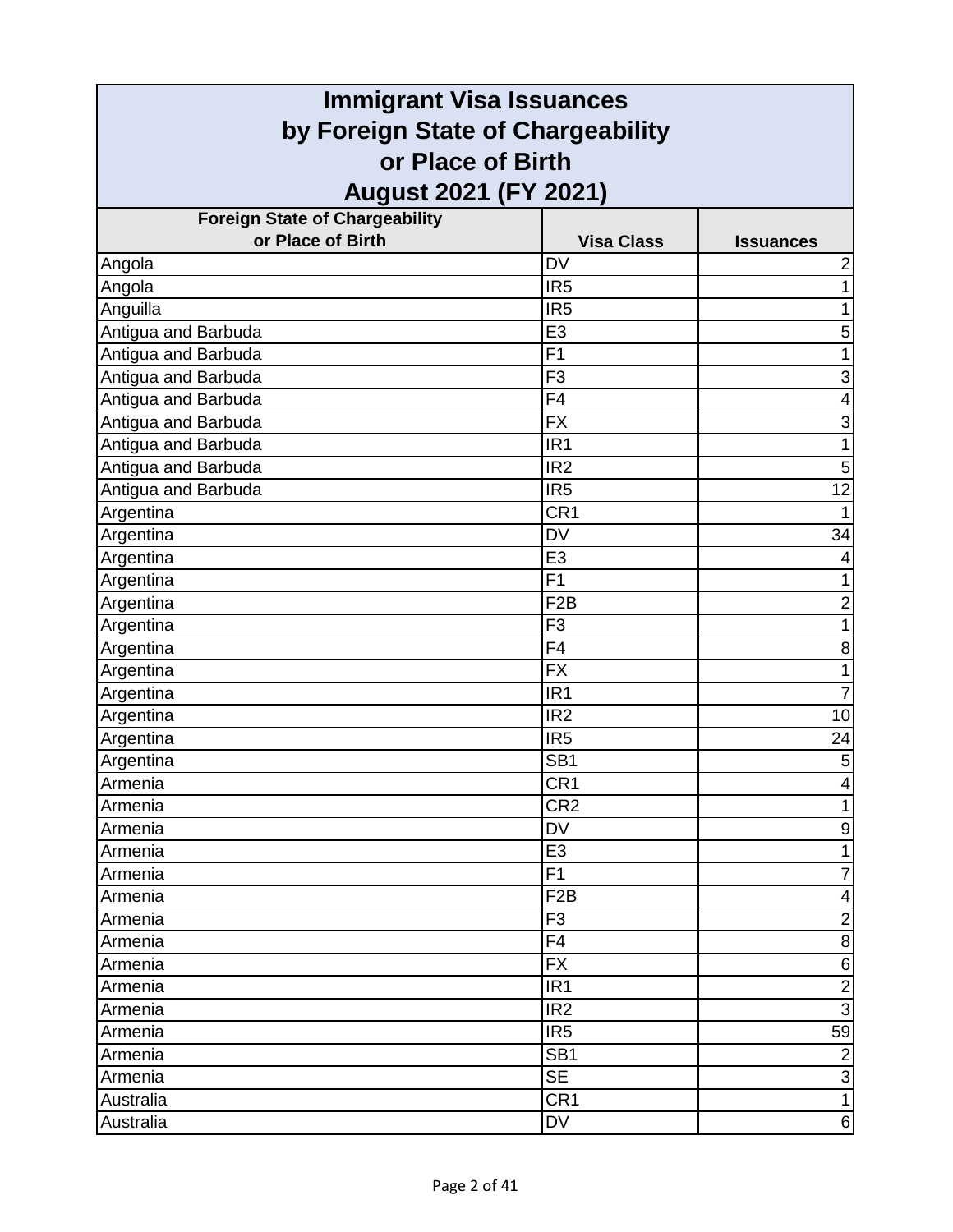| <b>Immigrant Visa Issuances</b>                        |                   |                  |
|--------------------------------------------------------|-------------------|------------------|
| by Foreign State of Chargeability<br>or Place of Birth |                   |                  |
|                                                        |                   |                  |
| <b>Foreign State of Chargeability</b>                  |                   |                  |
| or Place of Birth                                      | <b>Visa Class</b> | <b>Issuances</b> |
| Angola                                                 | <b>DV</b>         | $\overline{c}$   |
| Angola                                                 | IR <sub>5</sub>   | 1                |
| Anguilla                                               | IR <sub>5</sub>   | 1                |
| Antigua and Barbuda                                    | E <sub>3</sub>    | 5                |
| Antigua and Barbuda                                    | F <sub>1</sub>    | 1                |
| Antigua and Barbuda                                    | F <sub>3</sub>    | 3                |
| Antigua and Barbuda                                    | F4                | 4                |
| Antigua and Barbuda                                    | <b>FX</b>         | 3                |
| Antigua and Barbuda                                    | IR <sub>1</sub>   | 1                |
| Antigua and Barbuda                                    | IR <sub>2</sub>   | 5                |
| Antigua and Barbuda                                    | IR <sub>5</sub>   | 12               |
| Argentina                                              | CR <sub>1</sub>   |                  |
| Argentina                                              | <b>DV</b>         | 34               |
| Argentina                                              | E <sub>3</sub>    | 4                |
| Argentina                                              | F <sub>1</sub>    |                  |
| Argentina                                              | F <sub>2</sub> B  | $\overline{2}$   |
| Argentina                                              | F <sub>3</sub>    | 1                |
| Argentina                                              | F4                | 8                |
| Argentina                                              | <b>FX</b>         | 1                |
| Argentina                                              | IR <sub>1</sub>   | 7                |
| Argentina                                              | IR <sub>2</sub>   | 10               |
| Argentina                                              | IR <sub>5</sub>   | 24               |
| Argentina                                              | SB <sub>1</sub>   | 5                |
| Armenia                                                | CR <sub>1</sub>   | 4                |
| Armenia                                                | CR <sub>2</sub>   | 1                |
| Armenia                                                | <b>DV</b>         | 9                |
| Armenia                                                | E <sub>3</sub>    | 1                |
| Armenia                                                | F1                | $\overline{7}$   |
| Armenia                                                | F <sub>2</sub> B  | 4                |
| Armenia                                                | F <sub>3</sub>    | $\overline{2}$   |
| Armenia                                                | F4                | $\bf 8$          |
| Armenia                                                | <b>FX</b>         | $\,6\,$          |
| Armenia                                                | IR <sub>1</sub>   | $\overline{2}$   |
| Armenia                                                | IR <sub>2</sub>   | $\overline{3}$   |
| Armenia                                                | IR <sub>5</sub>   | 59               |
| Armenia                                                | SB <sub>1</sub>   | $\boldsymbol{2}$ |
| Armenia                                                | <b>SE</b>         | $\overline{3}$   |
| Australia                                              | CR <sub>1</sub>   | $\mathbf{1}$     |
| Australia                                              | DV                | 6                |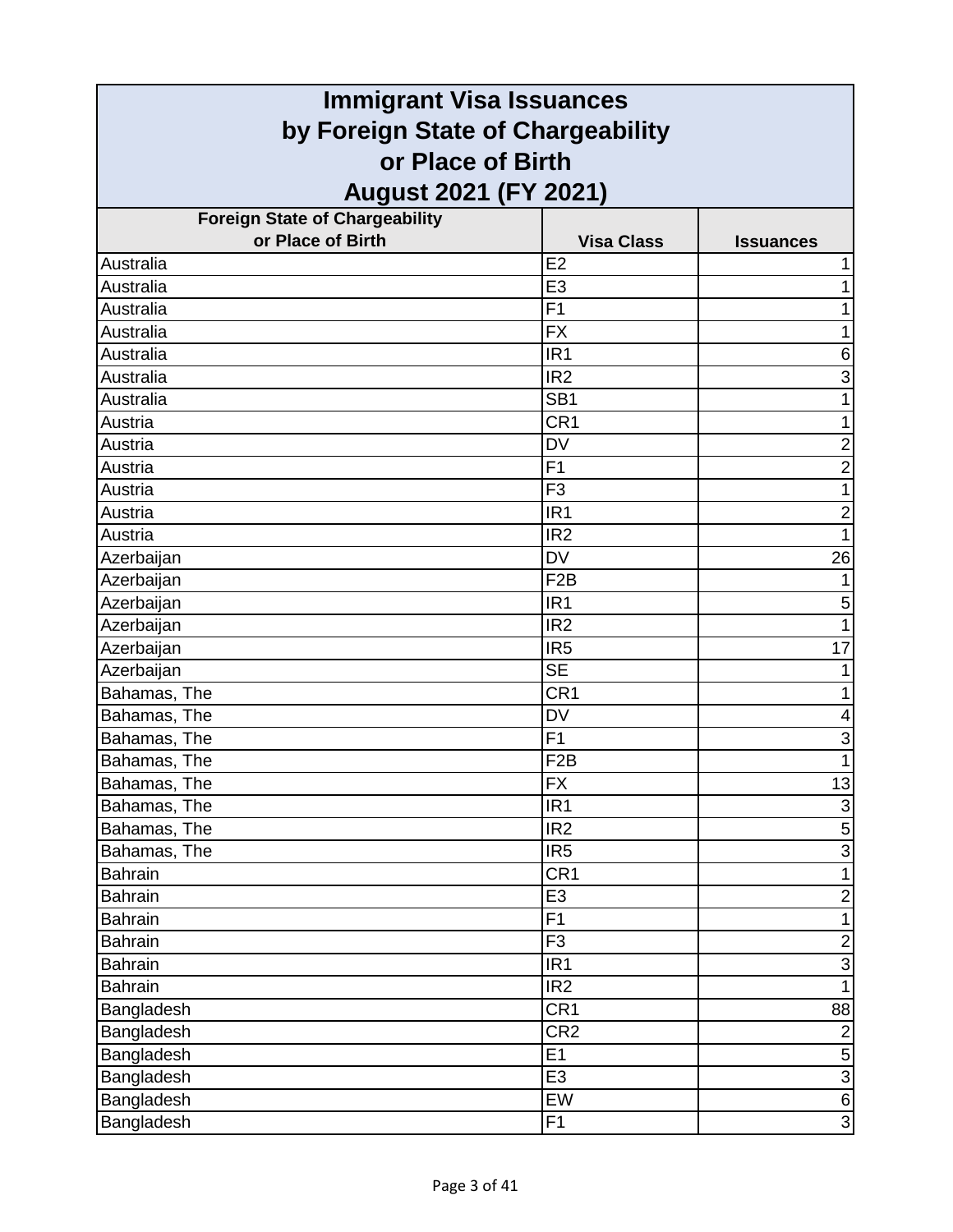| <b>Immigrant Visa Issuances</b>                        |                   |                         |
|--------------------------------------------------------|-------------------|-------------------------|
| by Foreign State of Chargeability<br>or Place of Birth |                   |                         |
|                                                        |                   |                         |
| <b>Foreign State of Chargeability</b>                  |                   |                         |
| or Place of Birth                                      | <b>Visa Class</b> | <b>Issuances</b>        |
| Australia                                              | E <sub>2</sub>    |                         |
| Australia                                              | E <sub>3</sub>    |                         |
| Australia                                              | F <sub>1</sub>    |                         |
| Australia                                              | <b>FX</b>         | 1                       |
| Australia                                              | IR <sub>1</sub>   | 6                       |
| Australia                                              | IR <sub>2</sub>   | 3                       |
| Australia                                              | SB <sub>1</sub>   |                         |
| Austria                                                | CR <sub>1</sub>   |                         |
| Austria                                                | <b>DV</b>         | $\overline{2}$          |
| Austria                                                | F1                | $\overline{c}$          |
| Austria                                                | F <sub>3</sub>    | 1                       |
| Austria                                                | IR <sub>1</sub>   | $\overline{\mathbf{c}}$ |
| Austria                                                | IR <sub>2</sub>   | 1                       |
| Azerbaijan                                             | <b>DV</b>         | 26                      |
| Azerbaijan                                             | F <sub>2</sub> B  |                         |
| Azerbaijan                                             | IR <sub>1</sub>   | 5                       |
| Azerbaijan                                             | IR <sub>2</sub>   | 1                       |
| Azerbaijan                                             | IR <sub>5</sub>   | 17                      |
| Azerbaijan                                             | <b>SE</b>         |                         |
| Bahamas, The                                           | CR <sub>1</sub>   |                         |
| Bahamas, The                                           | <b>DV</b>         | 4                       |
| Bahamas, The                                           | F1                | 3                       |
| Bahamas, The                                           | F <sub>2</sub> B  | 1                       |
| Bahamas, The                                           | $\overline{FX}$   | 13                      |
| Bahamas, The                                           | IR <sub>1</sub>   | $\overline{3}$          |
| Bahamas, The                                           | IR <sub>2</sub>   | $\overline{5}$          |
| Bahamas, The                                           | IR <sub>5</sub>   | $\overline{3}$          |
| Bahrain                                                | CR <sub>1</sub>   | $\overline{1}$          |
| <b>Bahrain</b>                                         | E <sub>3</sub>    | $\overline{c}$          |
| <b>Bahrain</b>                                         | F1                | $\mathbf{1}$            |
| <b>Bahrain</b>                                         | F <sub>3</sub>    | $\overline{2}$          |
| <b>Bahrain</b>                                         | IR <sub>1</sub>   | $\overline{3}$          |
| <b>Bahrain</b>                                         | IR <sub>2</sub>   | $\mathbf{1}$            |
| Bangladesh                                             | CR <sub>1</sub>   | 88                      |
| Bangladesh                                             | CR <sub>2</sub>   | $\overline{2}$          |
| Bangladesh                                             | E1                | $\mathbf 5$             |
| Bangladesh                                             | E <sub>3</sub>    | $\overline{3}$          |
| Bangladesh                                             | EW                | $\,$ 6 $\,$             |
| Bangladesh                                             | F <sub>1</sub>    | ω                       |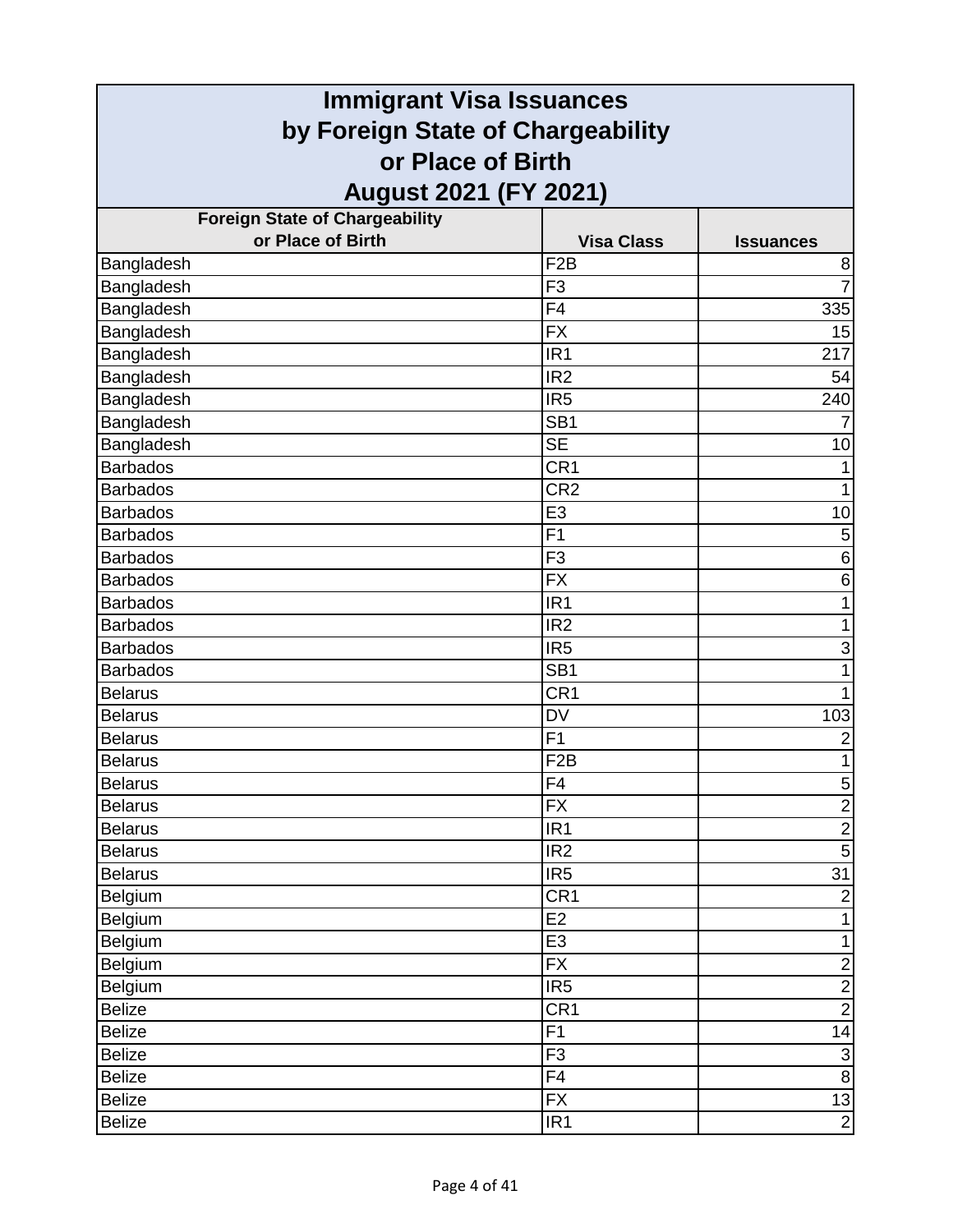| <b>Immigrant Visa Issuances</b>                            |                                       |                     |
|------------------------------------------------------------|---------------------------------------|---------------------|
| by Foreign State of Chargeability                          |                                       |                     |
| or Place of Birth                                          |                                       |                     |
|                                                            |                                       |                     |
| <b>August 2021 (FY 2021)</b>                               |                                       |                     |
| <b>Foreign State of Chargeability</b><br>or Place of Birth |                                       |                     |
|                                                            | <b>Visa Class</b><br>F <sub>2</sub> B | <b>Issuances</b>    |
| Bangladesh<br>Bangladesh                                   | F <sub>3</sub>                        | 8<br>$\overline{7}$ |
| Bangladesh                                                 | F <sub>4</sub>                        | 335                 |
| Bangladesh                                                 | <b>FX</b>                             | 15                  |
| Bangladesh                                                 | IR <sub>1</sub>                       | 217                 |
| Bangladesh                                                 | IR <sub>2</sub>                       | 54                  |
| Bangladesh                                                 | IR <sub>5</sub>                       | 240                 |
| Bangladesh                                                 | SB <sub>1</sub>                       |                     |
| Bangladesh                                                 | <b>SE</b>                             | 10                  |
| <b>Barbados</b>                                            | CR1                                   |                     |
| <b>Barbados</b>                                            | CR <sub>2</sub>                       | 1                   |
| <b>Barbados</b>                                            | E <sub>3</sub>                        | 10                  |
| <b>Barbados</b>                                            | F <sub>1</sub>                        | $\mathbf 5$         |
| <b>Barbados</b>                                            | F <sub>3</sub>                        | $\,6$               |
| <b>Barbados</b>                                            | <b>FX</b>                             | 6                   |
| <b>Barbados</b>                                            | IR <sub>1</sub>                       | 1                   |
| <b>Barbados</b>                                            | IR <sub>2</sub>                       | 1                   |
| <b>Barbados</b>                                            | IR <sub>5</sub>                       | 3                   |
| <b>Barbados</b>                                            | SB <sub>1</sub>                       | 1                   |
| <b>Belarus</b>                                             | CR <sub>1</sub>                       | 1                   |
| <b>Belarus</b>                                             | <b>DV</b>                             | 103                 |
| <b>Belarus</b>                                             | F1                                    | $\overline{c}$      |
| <b>Belarus</b>                                             | F <sub>2</sub> B                      | $\mathbf{1}$        |
| <b>Belarus</b>                                             | F4                                    |                     |
| <b>Belarus</b>                                             | FX                                    | $\frac{1}{2}$       |
| <b>Belarus</b>                                             | IR <sub>1</sub>                       | $\overline{2}$      |
| <b>Belarus</b>                                             | IR <sub>2</sub>                       | $\overline{5}$      |
| <b>Belarus</b>                                             | IR5                                   | $\overline{31}$     |
| Belgium                                                    | CR1                                   | $\overline{2}$      |
| Belgium                                                    | E <sub>2</sub>                        | $\mathbf{1}$        |
| Belgium                                                    | E <sub>3</sub>                        | $\mathbf{1}$        |
| Belgium                                                    | <b>FX</b>                             | $\overline{2}$      |
| Belgium                                                    | IR5                                   | $\overline{2}$      |
| <b>Belize</b>                                              | CR1                                   | $\overline{2}$      |
| <b>Belize</b>                                              | $\overline{F1}$                       | 14                  |
| <b>Belize</b>                                              | F3                                    | စ $\vert$ ယ $\vert$ |
| <b>Belize</b>                                              | F <sub>4</sub>                        |                     |
| <b>Belize</b>                                              | <b>FX</b>                             | $\frac{13}{2}$      |
| <b>Belize</b>                                              | IR <sub>1</sub>                       |                     |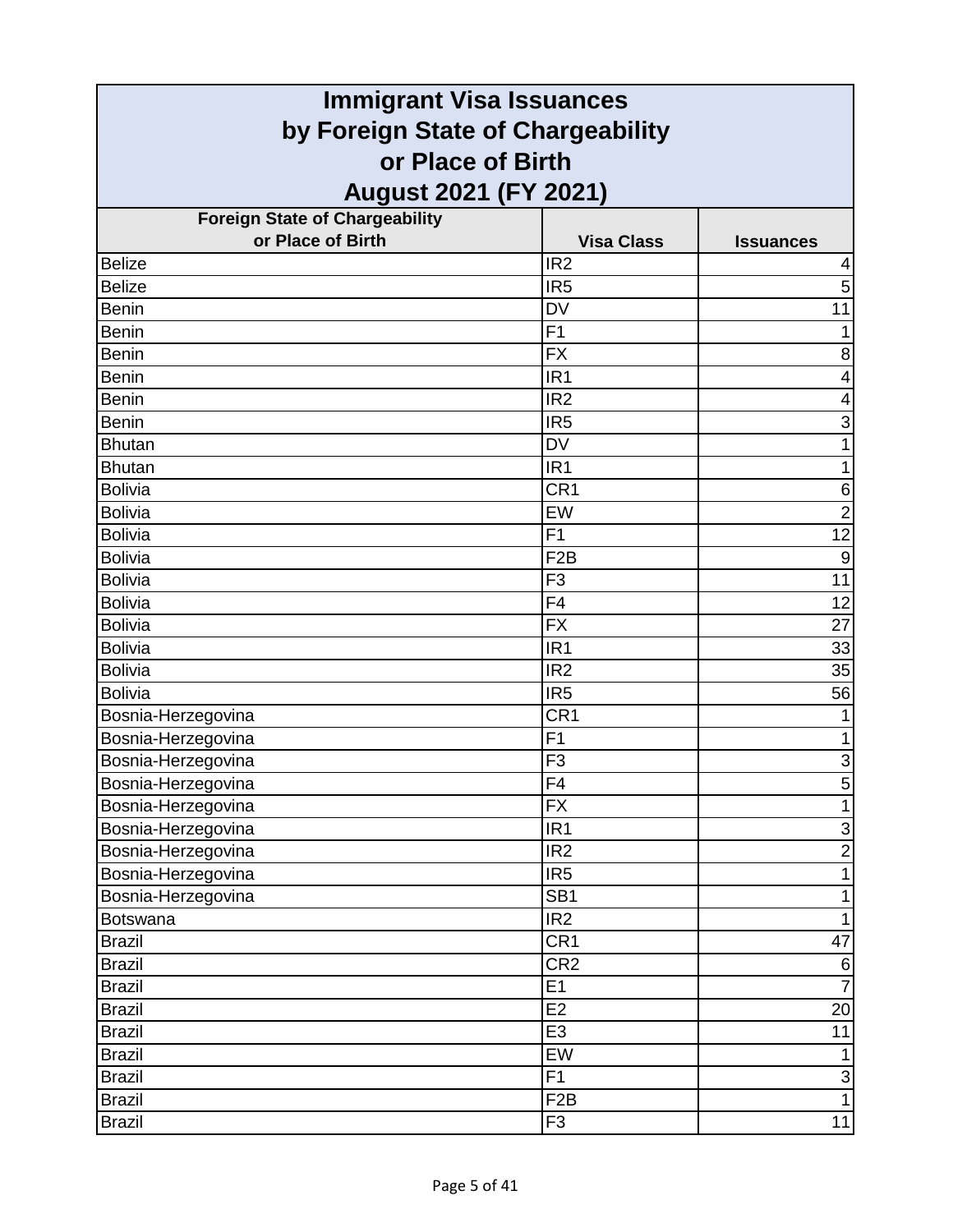| <b>Immigrant Visa Issuances</b>                        |                   |                                |
|--------------------------------------------------------|-------------------|--------------------------------|
| by Foreign State of Chargeability<br>or Place of Birth |                   |                                |
|                                                        |                   |                                |
| <b>Foreign State of Chargeability</b>                  |                   |                                |
| or Place of Birth                                      | <b>Visa Class</b> | <b>Issuances</b>               |
| <b>Belize</b>                                          | IR <sub>2</sub>   | 4                              |
| <b>Belize</b>                                          | IR <sub>5</sub>   | 5                              |
| <b>Benin</b>                                           | <b>DV</b>         | 11                             |
| <b>Benin</b>                                           | F <sub>1</sub>    | 1                              |
| <b>Benin</b>                                           | <b>FX</b>         | 8                              |
| <b>Benin</b>                                           | IR <sub>1</sub>   | 4                              |
| <b>Benin</b>                                           | IR <sub>2</sub>   | 4                              |
| <b>Benin</b>                                           | IR <sub>5</sub>   | 3                              |
| <b>Bhutan</b>                                          | <b>DV</b>         | 1                              |
| <b>Bhutan</b>                                          | IR <sub>1</sub>   | 1                              |
| <b>Bolivia</b>                                         | CR <sub>1</sub>   | 6                              |
| <b>Bolivia</b>                                         | EW                | $\overline{2}$                 |
| <b>Bolivia</b>                                         | F <sub>1</sub>    | $\overline{12}$                |
| <b>Bolivia</b>                                         | F <sub>2</sub> B  | $\boldsymbol{9}$               |
| <b>Bolivia</b>                                         | F <sub>3</sub>    | 11                             |
| <b>Bolivia</b>                                         | F <sub>4</sub>    | 12                             |
| <b>Bolivia</b>                                         | <b>FX</b>         | 27                             |
| <b>Bolivia</b>                                         | IR <sub>1</sub>   | 33                             |
| <b>Bolivia</b>                                         | IR <sub>2</sub>   | 35                             |
| <b>Bolivia</b>                                         | IR <sub>5</sub>   | 56                             |
| Bosnia-Herzegovina                                     | CR <sub>1</sub>   |                                |
| Bosnia-Herzegovina                                     | F <sub>1</sub>    | 1                              |
| Bosnia-Herzegovina                                     | F <sub>3</sub>    | $\ensuremath{\mathsf{3}}$      |
| Bosnia-Herzegovina                                     | F4                | $\overline{5}$                 |
| Bosnia-Herzegovina                                     | <b>FX</b>         | $\overline{1}$                 |
| Bosnia-Herzegovina                                     | IR <sub>1</sub>   | دن                             |
| Bosnia-Herzegovina                                     | IR <sub>2</sub>   | $\overline{2}$                 |
| Bosnia-Herzegovina                                     | IR <sub>5</sub>   | $\mathbf{1}$                   |
| Bosnia-Herzegovina                                     | SB <sub>1</sub>   | $\mathbf 1$                    |
| <b>Botswana</b>                                        | IR <sub>2</sub>   | $\mathbf{1}$                   |
| <b>Brazil</b>                                          | CR <sub>1</sub>   | 47                             |
| <b>Brazil</b>                                          | CR <sub>2</sub>   | $\,6$                          |
| <b>Brazil</b>                                          | E1                | $\overline{7}$                 |
| <b>Brazil</b>                                          | E2                | 20                             |
| <b>Brazil</b>                                          | E3                | $\overline{11}$                |
| <b>Brazil</b>                                          | EW                | $\mathbf{1}$                   |
| <b>Brazil</b>                                          | F1                | $\mathbf{3}$<br>$\overline{1}$ |
| <b>Brazil</b>                                          | F2B               |                                |
| <b>Brazil</b>                                          | F3                | 11                             |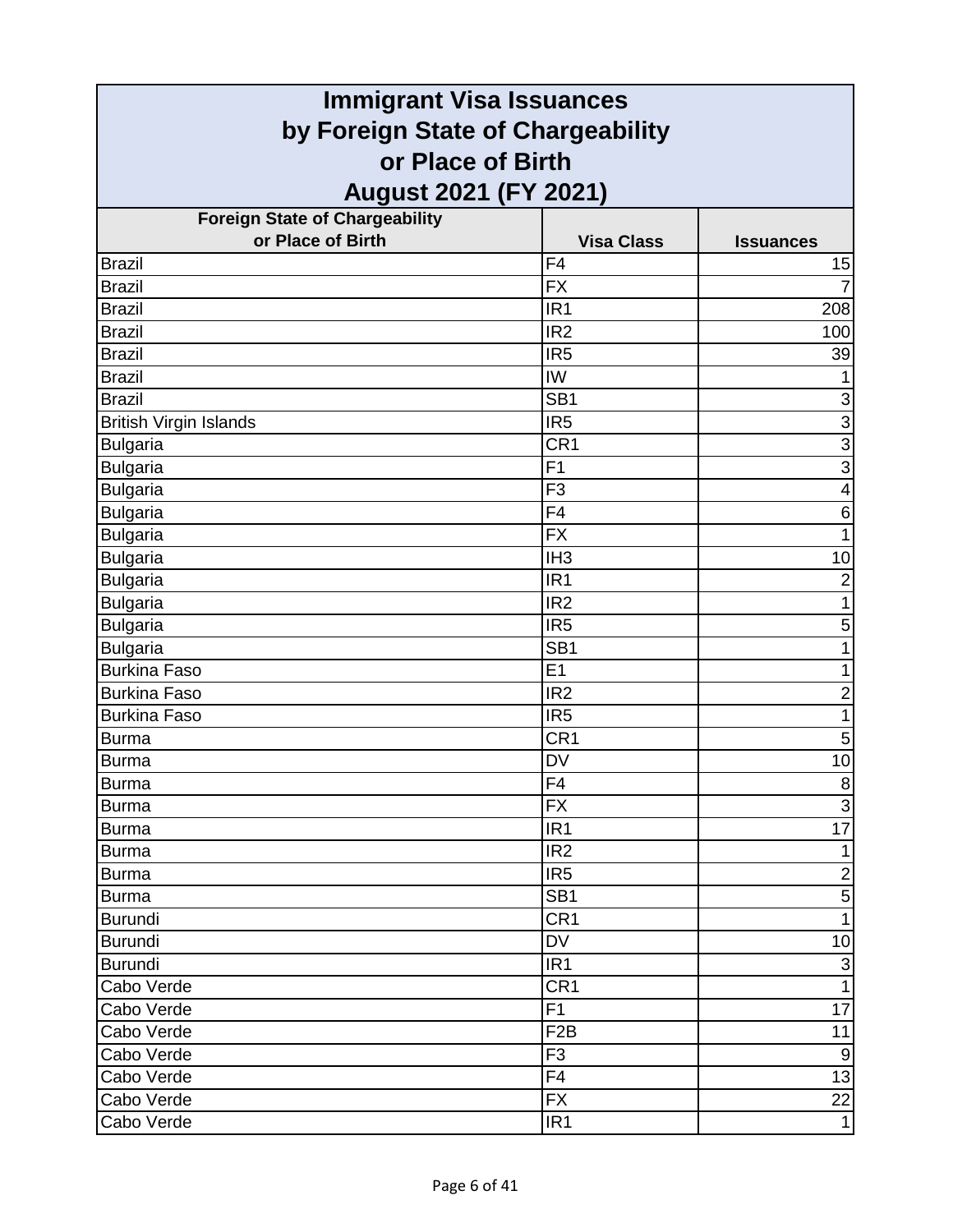| <b>Immigrant Visa Issuances</b>                        |                   |                         |
|--------------------------------------------------------|-------------------|-------------------------|
| by Foreign State of Chargeability<br>or Place of Birth |                   |                         |
|                                                        |                   |                         |
| <b>Foreign State of Chargeability</b>                  |                   |                         |
| or Place of Birth                                      | <b>Visa Class</b> | <b>Issuances</b>        |
| <b>Brazil</b>                                          | F <sub>4</sub>    | 15                      |
| <b>Brazil</b>                                          | <b>FX</b>         |                         |
| <b>Brazil</b>                                          | IR <sub>1</sub>   | 208                     |
| <b>Brazil</b>                                          | IR <sub>2</sub>   | 100                     |
| <b>Brazil</b>                                          | IR <sub>5</sub>   | 39                      |
| <b>Brazil</b>                                          | IW                | 1                       |
| <b>Brazil</b>                                          | SB <sub>1</sub>   | $\mathsf 3$             |
| <b>British Virgin Islands</b>                          | IR <sub>5</sub>   | $\overline{3}$          |
| <b>Bulgaria</b>                                        | CR <sub>1</sub>   | $rac{3}{3}$             |
| <b>Bulgaria</b>                                        | F <sub>1</sub>    |                         |
| <b>Bulgaria</b>                                        | F <sub>3</sub>    | $\overline{\mathbf{4}}$ |
| <b>Bulgaria</b>                                        | F4                | $\,6$                   |
| <b>Bulgaria</b>                                        | <b>FX</b>         | $\mathbf{1}$            |
| <b>Bulgaria</b>                                        | IH <sub>3</sub>   | 10                      |
| <b>Bulgaria</b>                                        | IR <sub>1</sub>   | $\overline{\mathbf{c}}$ |
| <b>Bulgaria</b>                                        | IR <sub>2</sub>   | $\mathbf{1}$            |
| <b>Bulgaria</b>                                        | IR <sub>5</sub>   | 5                       |
| <b>Bulgaria</b>                                        | SB <sub>1</sub>   | 1                       |
| <b>Burkina Faso</b>                                    | E1                | 1                       |
| <b>Burkina Faso</b>                                    | IR <sub>2</sub>   | $\overline{\mathbf{c}}$ |
| <b>Burkina Faso</b>                                    | IR <sub>5</sub>   | $\mathbf{1}$            |
| <b>Burma</b>                                           | CR1               | 5                       |
| <b>Burma</b>                                           | DV                | 10                      |
| Burma                                                  | F4                | $\mathbf{8}$            |
| <b>Burma</b>                                           | <b>FX</b>         | $\overline{3}$          |
| <b>Burma</b>                                           | IR <sub>1</sub>   | 17                      |
| <b>Burma</b>                                           | IR <sub>2</sub>   | $\mathbf{1}$            |
| <b>Burma</b>                                           | IR <sub>5</sub>   | $\overline{2}$          |
| <b>Burma</b>                                           | SB <sub>1</sub>   | 5                       |
| <b>Burundi</b>                                         | CR <sub>1</sub>   | $\mathbf{1}$            |
| Burundi                                                | DV                | 10                      |
| <b>Burundi</b>                                         | IR <sub>1</sub>   | رن                      |
| Cabo Verde                                             | CR <sub>1</sub>   | $\mathbf{1}$            |
| Cabo Verde                                             | F1                | 17                      |
| Cabo Verde                                             | F <sub>2</sub> B  | 11                      |
| Cabo Verde                                             | F <sub>3</sub>    | $\boldsymbol{9}$        |
| Cabo Verde                                             | F <sub>4</sub>    | 13                      |
| Cabo Verde                                             | <b>FX</b>         | 22                      |
| Cabo Verde                                             | IR <sub>1</sub>   | $\mathbf{1}$            |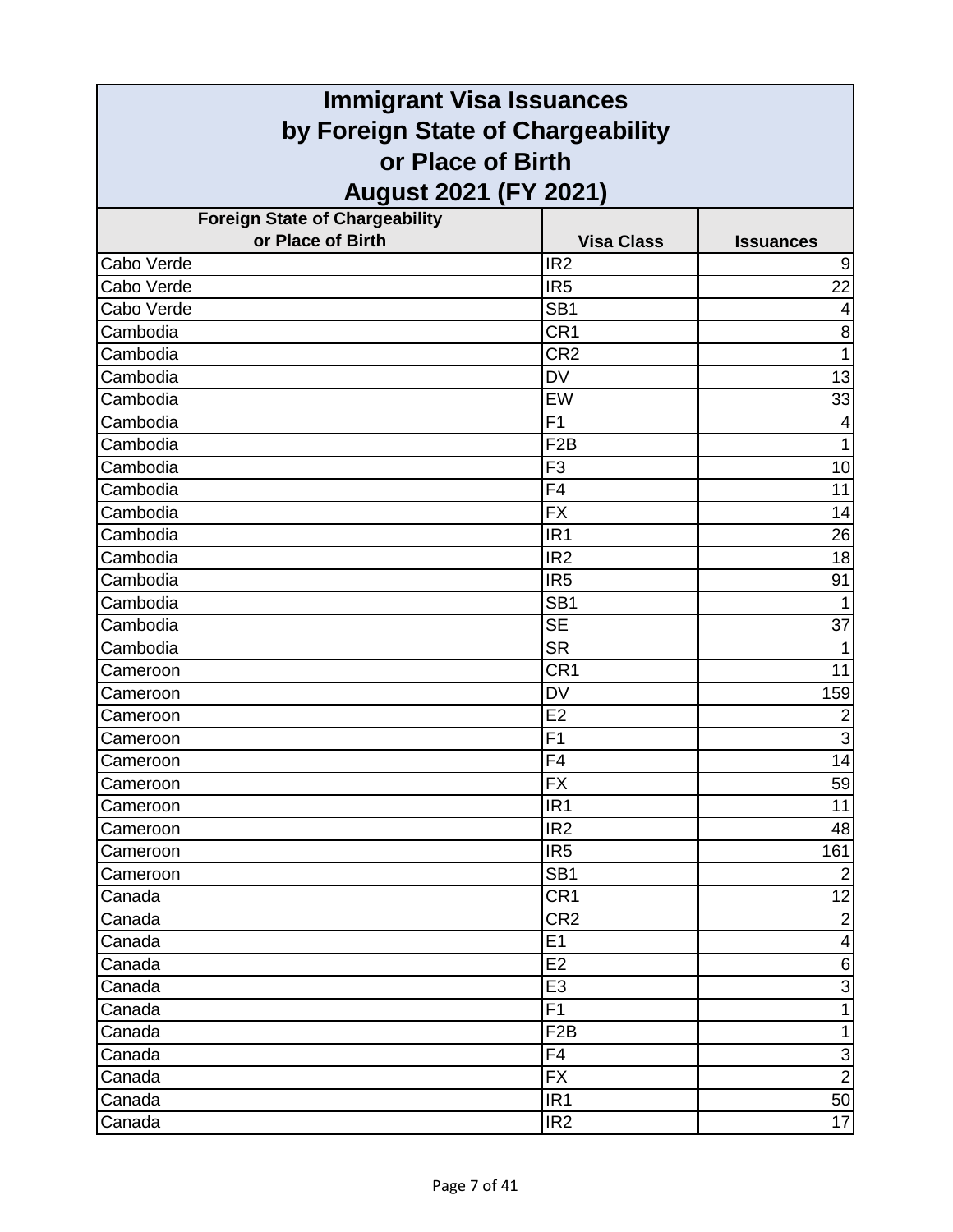| <b>Immigrant Visa Issuances</b>                        |                   |                         |
|--------------------------------------------------------|-------------------|-------------------------|
| by Foreign State of Chargeability<br>or Place of Birth |                   |                         |
|                                                        |                   |                         |
| <b>Foreign State of Chargeability</b>                  |                   |                         |
| or Place of Birth                                      | <b>Visa Class</b> | <b>Issuances</b>        |
| Cabo Verde                                             | IR <sub>2</sub>   | 9                       |
| Cabo Verde                                             | IR <sub>5</sub>   | 22                      |
| Cabo Verde                                             | SB <sub>1</sub>   | 4                       |
| Cambodia                                               | CR <sub>1</sub>   | 8                       |
| Cambodia                                               | CR <sub>2</sub>   | $\mathbf{1}$            |
| Cambodia                                               | <b>DV</b>         | 13                      |
| Cambodia                                               | EW                | 33                      |
| Cambodia                                               | F <sub>1</sub>    | 4                       |
| Cambodia                                               | F <sub>2</sub> B  | $\mathbf{1}$            |
| Cambodia                                               | F <sub>3</sub>    | 10                      |
| Cambodia                                               | F <sub>4</sub>    | 11                      |
| Cambodia                                               | <b>FX</b>         | 14                      |
| Cambodia                                               | IR <sub>1</sub>   | 26                      |
| Cambodia                                               | IR <sub>2</sub>   | 18                      |
| Cambodia                                               | IR <sub>5</sub>   | 91                      |
| Cambodia                                               | SB <sub>1</sub>   | $\mathbf 1$             |
| Cambodia                                               | <b>SE</b>         | $\overline{37}$         |
| Cambodia                                               | <b>SR</b>         | 1                       |
| Cameroon                                               | CR <sub>1</sub>   | 11                      |
| Cameroon                                               | <b>DV</b>         | 159                     |
| Cameroon                                               | E2                | $\overline{2}$          |
| Cameroon                                               | F1                | $\overline{3}$          |
| Cameroon                                               | F <sub>4</sub>    | 14                      |
| Cameroon                                               | $\overline{FX}$   | 59                      |
| Cameroon                                               | IR <sub>1</sub>   | 11                      |
| Cameroon                                               | IR <sub>2</sub>   | 48                      |
| Cameroon                                               | IR <sub>5</sub>   | 161                     |
| Cameroon                                               | SB <sub>1</sub>   | $\overline{2}$          |
| Canada                                                 | CR <sub>1</sub>   | 12                      |
| Canada                                                 | CR <sub>2</sub>   | $\overline{2}$          |
| Canada                                                 | E1                | $\overline{\mathbf{4}}$ |
| Canada                                                 | E2                | $\,$ 6 $\,$             |
| Canada                                                 | E <sub>3</sub>    | ω                       |
| Canada                                                 | F1                | $\mathbf{1}$            |
| Canada                                                 | F <sub>2</sub> B  | $\mathbf{1}$            |
| Canada                                                 | F4                | رن                      |
| Canada                                                 | <b>FX</b>         | $\overline{2}$          |
| Canada                                                 | IR <sub>1</sub>   | 50                      |
| Canada                                                 | IR <sub>2</sub>   | 17                      |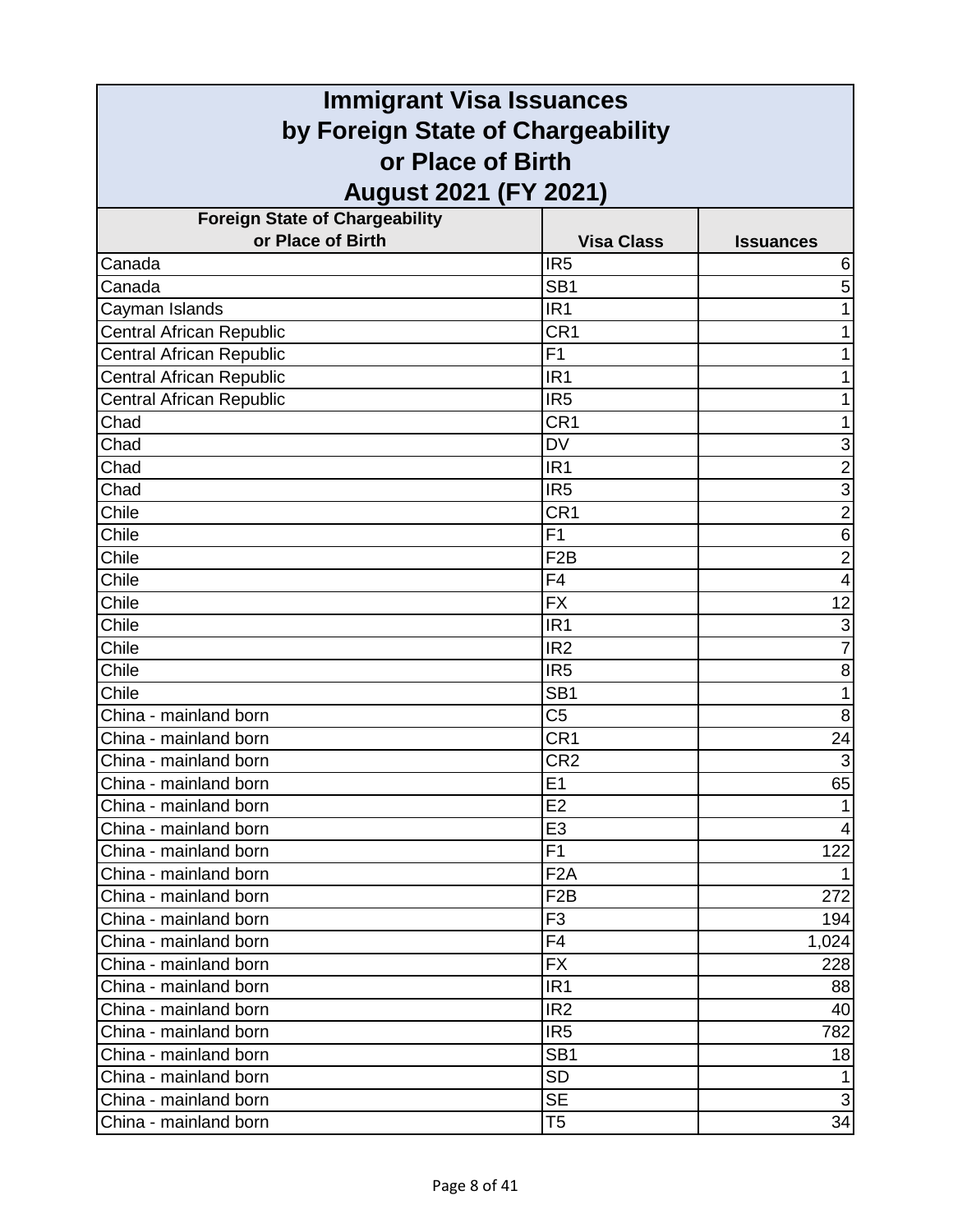| <b>Immigrant Visa Issuances</b>                                                        |                  |                |                                       |                   |                  |
|----------------------------------------------------------------------------------------|------------------|----------------|---------------------------------------|-------------------|------------------|
| by Foreign State of Chargeability<br>or Place of Birth<br><b>August 2021 (FY 2021)</b> |                  |                |                                       |                   |                  |
|                                                                                        |                  |                | <b>Foreign State of Chargeability</b> |                   |                  |
|                                                                                        |                  |                | or Place of Birth                     | <b>Visa Class</b> | <b>Issuances</b> |
| Canada                                                                                 | IR <sub>5</sub>  | 6              |                                       |                   |                  |
| Canada                                                                                 | SB <sub>1</sub>  | 5              |                                       |                   |                  |
| Cayman Islands                                                                         | IR <sub>1</sub>  | 1              |                                       |                   |                  |
| <b>Central African Republic</b>                                                        | CR <sub>1</sub>  | 1              |                                       |                   |                  |
| <b>Central African Republic</b>                                                        | F <sub>1</sub>   | 1              |                                       |                   |                  |
| <b>Central African Republic</b>                                                        | IR <sub>1</sub>  | 1              |                                       |                   |                  |
| Central African Republic                                                               | IR <sub>5</sub>  |                |                                       |                   |                  |
| Chad                                                                                   | CR <sub>1</sub>  |                |                                       |                   |                  |
| Chad                                                                                   | <b>DV</b>        | 3              |                                       |                   |                  |
| Chad                                                                                   | IR <sub>1</sub>  | $\overline{2}$ |                                       |                   |                  |
| Chad                                                                                   | IR <sub>5</sub>  | 3              |                                       |                   |                  |
| Chile                                                                                  | CR <sub>1</sub>  | $\overline{2}$ |                                       |                   |                  |
| Chile                                                                                  | F <sub>1</sub>   | 6              |                                       |                   |                  |
| Chile                                                                                  | F <sub>2</sub> B | $\mathbf 2$    |                                       |                   |                  |
| Chile                                                                                  | F <sub>4</sub>   | 4              |                                       |                   |                  |
| Chile                                                                                  | <b>FX</b>        | 12             |                                       |                   |                  |
| Chile                                                                                  | IR <sub>1</sub>  | 3              |                                       |                   |                  |
| Chile                                                                                  | IR <sub>2</sub>  | $\overline{7}$ |                                       |                   |                  |
| Chile                                                                                  | IR <sub>5</sub>  | 8              |                                       |                   |                  |
| Chile                                                                                  | SB <sub>1</sub>  | 1              |                                       |                   |                  |
| China - mainland born                                                                  | C <sub>5</sub>   | 8              |                                       |                   |                  |
| China - mainland born                                                                  | CR <sub>1</sub>  | 24             |                                       |                   |                  |
| China - mainland born                                                                  | CR <sub>2</sub>  | $\overline{3}$ |                                       |                   |                  |
| China - mainland born                                                                  | E1               | 65             |                                       |                   |                  |
| China - mainland born                                                                  | E <sub>2</sub>   |                |                                       |                   |                  |
| China - mainland born                                                                  | E <sub>3</sub>   | 4              |                                       |                   |                  |
| China - mainland born                                                                  | F <sub>1</sub>   | 122            |                                       |                   |                  |
| China - mainland born                                                                  | F <sub>2</sub> A |                |                                       |                   |                  |
| China - mainland born                                                                  | F <sub>2</sub> B | 272            |                                       |                   |                  |
| China - mainland born                                                                  | F <sub>3</sub>   | 194            |                                       |                   |                  |
| China - mainland born                                                                  | F <sub>4</sub>   | 1,024          |                                       |                   |                  |
| China - mainland born                                                                  | <b>FX</b>        | 228            |                                       |                   |                  |
| China - mainland born                                                                  | IR <sub>1</sub>  | 88             |                                       |                   |                  |
| China - mainland born                                                                  | IR <sub>2</sub>  | 40             |                                       |                   |                  |
| China - mainland born                                                                  | IR <sub>5</sub>  | 782            |                                       |                   |                  |
| China - mainland born                                                                  | SB <sub>1</sub>  | 18             |                                       |                   |                  |
| China - mainland born                                                                  | <b>SD</b>        |                |                                       |                   |                  |
| China - mainland born                                                                  | <b>SE</b>        | $\mathfrak{B}$ |                                       |                   |                  |
| China - mainland born                                                                  | T5               | 34             |                                       |                   |                  |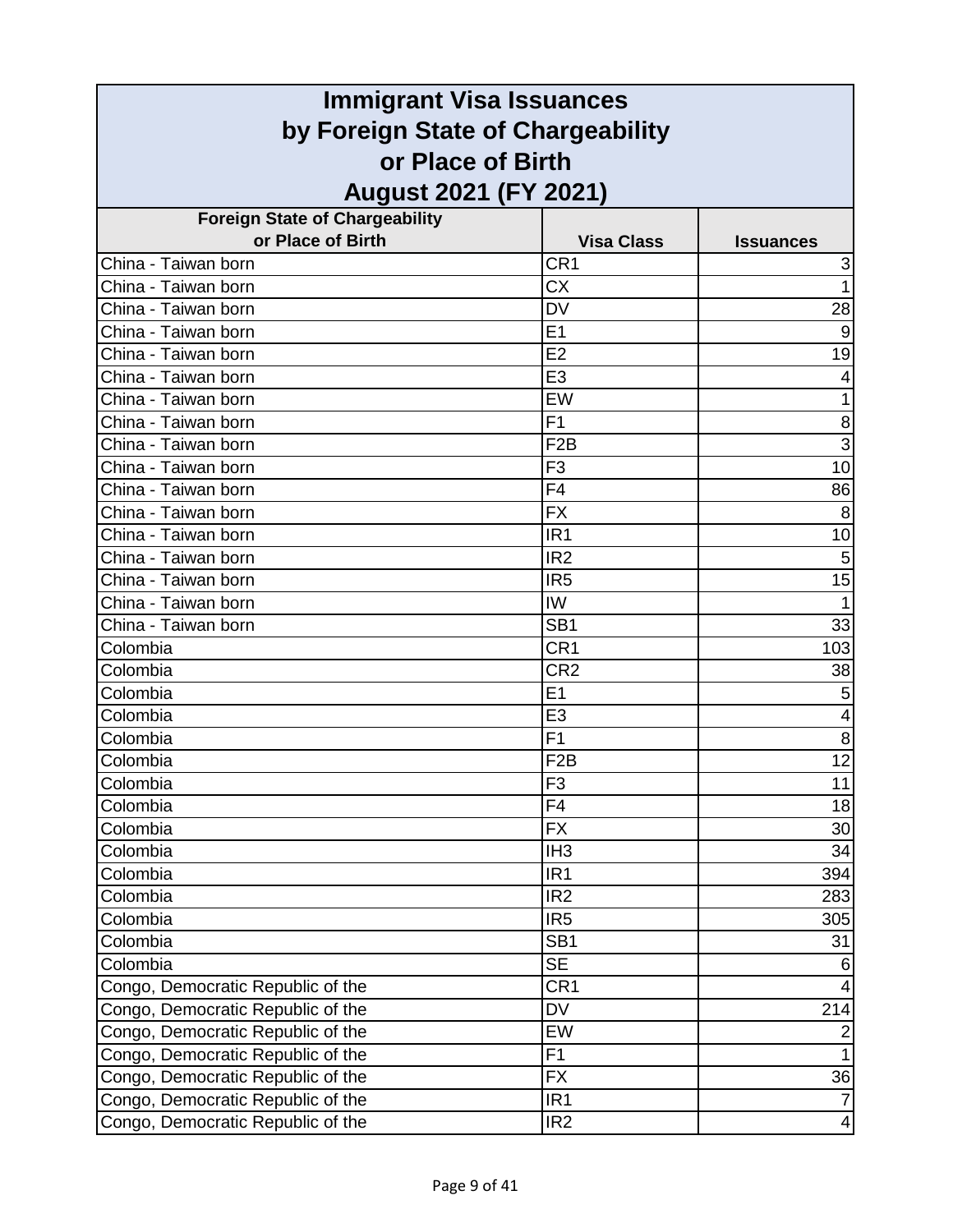| <b>Immigrant Visa Issuances</b>       |                   |                         |
|---------------------------------------|-------------------|-------------------------|
| by Foreign State of Chargeability     |                   |                         |
| or Place of Birth                     |                   |                         |
| <b>August 2021 (FY 2021)</b>          |                   |                         |
| <b>Foreign State of Chargeability</b> |                   |                         |
| or Place of Birth                     | <b>Visa Class</b> | <b>Issuances</b>        |
| China - Taiwan born                   | CR <sub>1</sub>   | 3                       |
| China - Taiwan born                   | <b>CX</b>         | $\mathbf{1}$            |
| China - Taiwan born                   | <b>DV</b>         | 28                      |
| China - Taiwan born                   | E1                | 9                       |
| China - Taiwan born                   | E2                | 19                      |
| China - Taiwan born                   | E <sub>3</sub>    | $\overline{4}$          |
| China - Taiwan born                   | EW                | 1                       |
| China - Taiwan born                   | F <sub>1</sub>    | 8                       |
| China - Taiwan born                   | F <sub>2</sub> B  | $\overline{3}$          |
| China - Taiwan born                   | F <sub>3</sub>    | $\overline{10}$         |
| China - Taiwan born                   | F <sub>4</sub>    | 86                      |
| China - Taiwan born                   | <b>FX</b>         | 8                       |
| China - Taiwan born                   | IR <sub>1</sub>   | 10                      |
| China - Taiwan born                   | IR <sub>2</sub>   | $\overline{5}$          |
| China - Taiwan born                   | IR <sub>5</sub>   | 15                      |
| China - Taiwan born                   | IW                | $\mathbf{1}$            |
| China - Taiwan born                   | SB <sub>1</sub>   | 33                      |
| Colombia                              | CR <sub>1</sub>   | 103                     |
| Colombia                              | CR <sub>2</sub>   | 38                      |
| Colombia                              | E1                | 5                       |
| Colombia                              | E <sub>3</sub>    | 4                       |
| Colombia                              | F <sub>1</sub>    | 8                       |
| Colombia                              | F <sub>2</sub> B  | 12                      |
| Colombia                              | F3                | 11                      |
| Colombia                              | F <sub>4</sub>    | 18                      |
| Colombia                              | <b>FX</b>         | 30                      |
| Colombia                              | IH <sub>3</sub>   | 34                      |
| Colombia                              | IR <sub>1</sub>   | 394                     |
| Colombia                              | IR <sub>2</sub>   | 283                     |
| Colombia                              | IR <sub>5</sub>   | 305                     |
| Colombia                              | SB <sub>1</sub>   | 31                      |
| Colombia                              | <b>SE</b>         | 6                       |
| Congo, Democratic Republic of the     | CR <sub>1</sub>   | 4                       |
| Congo, Democratic Republic of the     | <b>DV</b>         | 214                     |
| Congo, Democratic Republic of the     | <b>EW</b>         | $\overline{2}$          |
| Congo, Democratic Republic of the     | F1                | $\overline{1}$          |
| Congo, Democratic Republic of the     | <b>FX</b>         | 36                      |
| Congo, Democratic Republic of the     | IR <sub>1</sub>   | $\overline{7}$          |
| Congo, Democratic Republic of the     | IR <sub>2</sub>   | $\overline{\mathbf{4}}$ |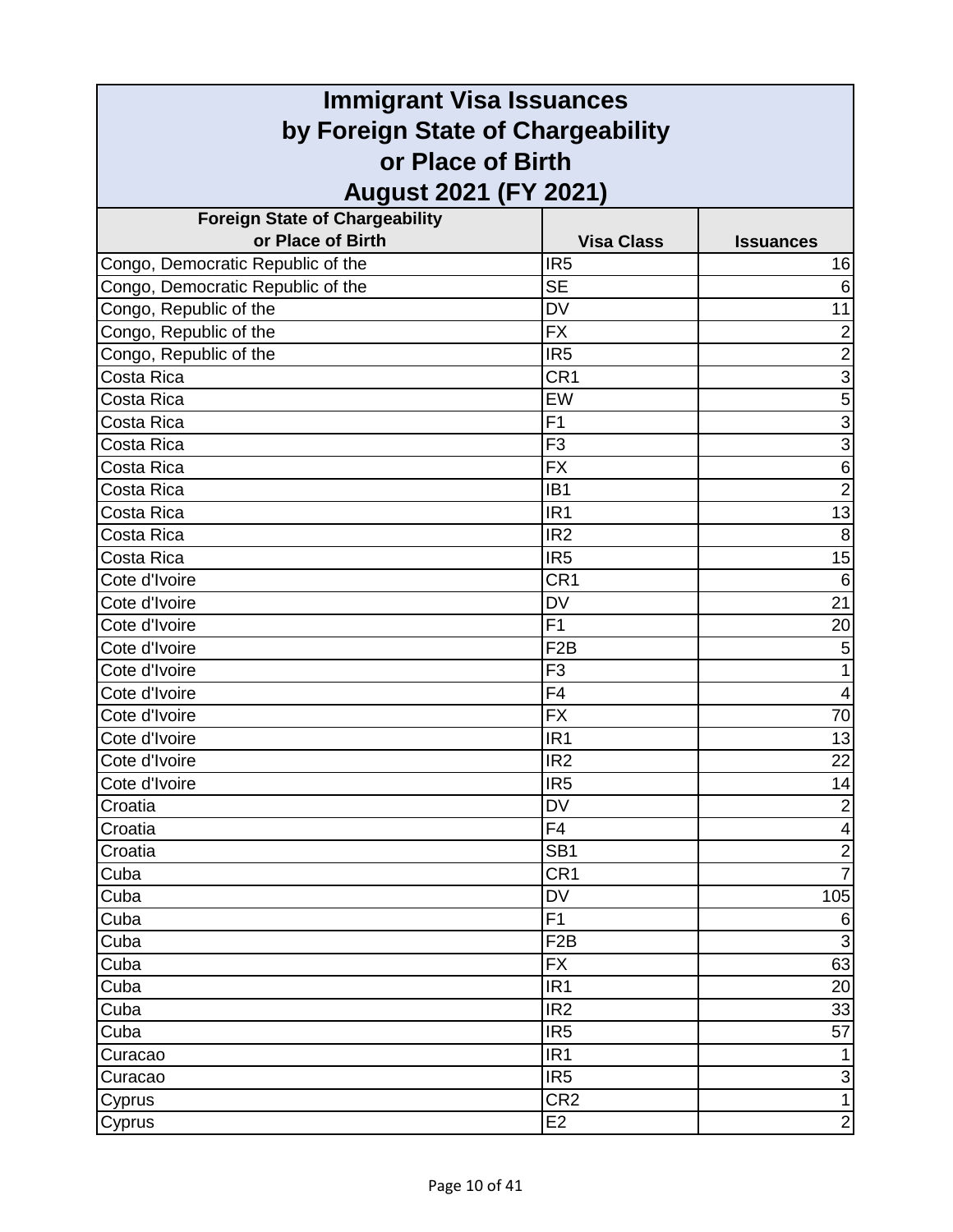| <b>Immigrant Visa Issuances</b><br>by Foreign State of Chargeability<br>or Place of Birth |                                                                                 |  |  |  |
|-------------------------------------------------------------------------------------------|---------------------------------------------------------------------------------|--|--|--|
|                                                                                           |                                                                                 |  |  |  |
|                                                                                           |                                                                                 |  |  |  |
| <b>Visa Class</b>                                                                         | <b>Issuances</b>                                                                |  |  |  |
| IR <sub>5</sub>                                                                           | 16                                                                              |  |  |  |
|                                                                                           | 6                                                                               |  |  |  |
| <b>DV</b>                                                                                 | 11                                                                              |  |  |  |
| <b>FX</b>                                                                                 | $\overline{2}$                                                                  |  |  |  |
| IR <sub>5</sub>                                                                           | $\overline{2}$                                                                  |  |  |  |
| CR <sub>1</sub>                                                                           | $\overline{3}$                                                                  |  |  |  |
| EW                                                                                        | $\overline{5}$                                                                  |  |  |  |
| F <sub>1</sub>                                                                            | $\overline{3}$                                                                  |  |  |  |
| F <sub>3</sub>                                                                            | $\overline{3}$                                                                  |  |  |  |
| <b>FX</b>                                                                                 | $\overline{6}$                                                                  |  |  |  |
| IB <sub>1</sub>                                                                           | $\overline{2}$                                                                  |  |  |  |
| IR <sub>1</sub>                                                                           | 13                                                                              |  |  |  |
| IR <sub>2</sub>                                                                           | 8                                                                               |  |  |  |
| IR <sub>5</sub>                                                                           | 15                                                                              |  |  |  |
| CR <sub>1</sub>                                                                           | 6                                                                               |  |  |  |
| <b>DV</b>                                                                                 | 21                                                                              |  |  |  |
| F1                                                                                        | $\overline{20}$                                                                 |  |  |  |
| F <sub>2</sub> B                                                                          | $\mathbf 5$                                                                     |  |  |  |
| F <sub>3</sub>                                                                            | 1                                                                               |  |  |  |
| F <sub>4</sub>                                                                            | 4                                                                               |  |  |  |
| <b>FX</b>                                                                                 | 70                                                                              |  |  |  |
| IR <sub>1</sub>                                                                           | 13                                                                              |  |  |  |
| IR <sub>2</sub>                                                                           | 22                                                                              |  |  |  |
|                                                                                           | 14                                                                              |  |  |  |
| <b>DV</b>                                                                                 | $\overline{2}$                                                                  |  |  |  |
| F <sub>4</sub>                                                                            | $\overline{4}$                                                                  |  |  |  |
| SB <sub>1</sub>                                                                           | $\overline{2}$                                                                  |  |  |  |
| CR <sub>1</sub>                                                                           | $\overline{7}$                                                                  |  |  |  |
| <b>DV</b>                                                                                 | 105                                                                             |  |  |  |
| F1                                                                                        | $\,6$                                                                           |  |  |  |
| F <sub>2</sub> B                                                                          | $\overline{3}$                                                                  |  |  |  |
| <b>FX</b>                                                                                 | 63                                                                              |  |  |  |
| IR <sub>1</sub>                                                                           | 20                                                                              |  |  |  |
| IR <sub>2</sub>                                                                           | 33                                                                              |  |  |  |
| IR <sub>5</sub>                                                                           | 57                                                                              |  |  |  |
| IR <sub>1</sub>                                                                           | $\mathbf{1}$                                                                    |  |  |  |
| IR <sub>5</sub>                                                                           | $\ensuremath{\mathsf{3}}$                                                       |  |  |  |
|                                                                                           | $\overline{1}$                                                                  |  |  |  |
| E2                                                                                        | $\overline{2}$                                                                  |  |  |  |
|                                                                                           | <b>August 2021 (FY 2021)</b><br><b>SE</b><br>IR <sub>5</sub><br>CR <sub>2</sub> |  |  |  |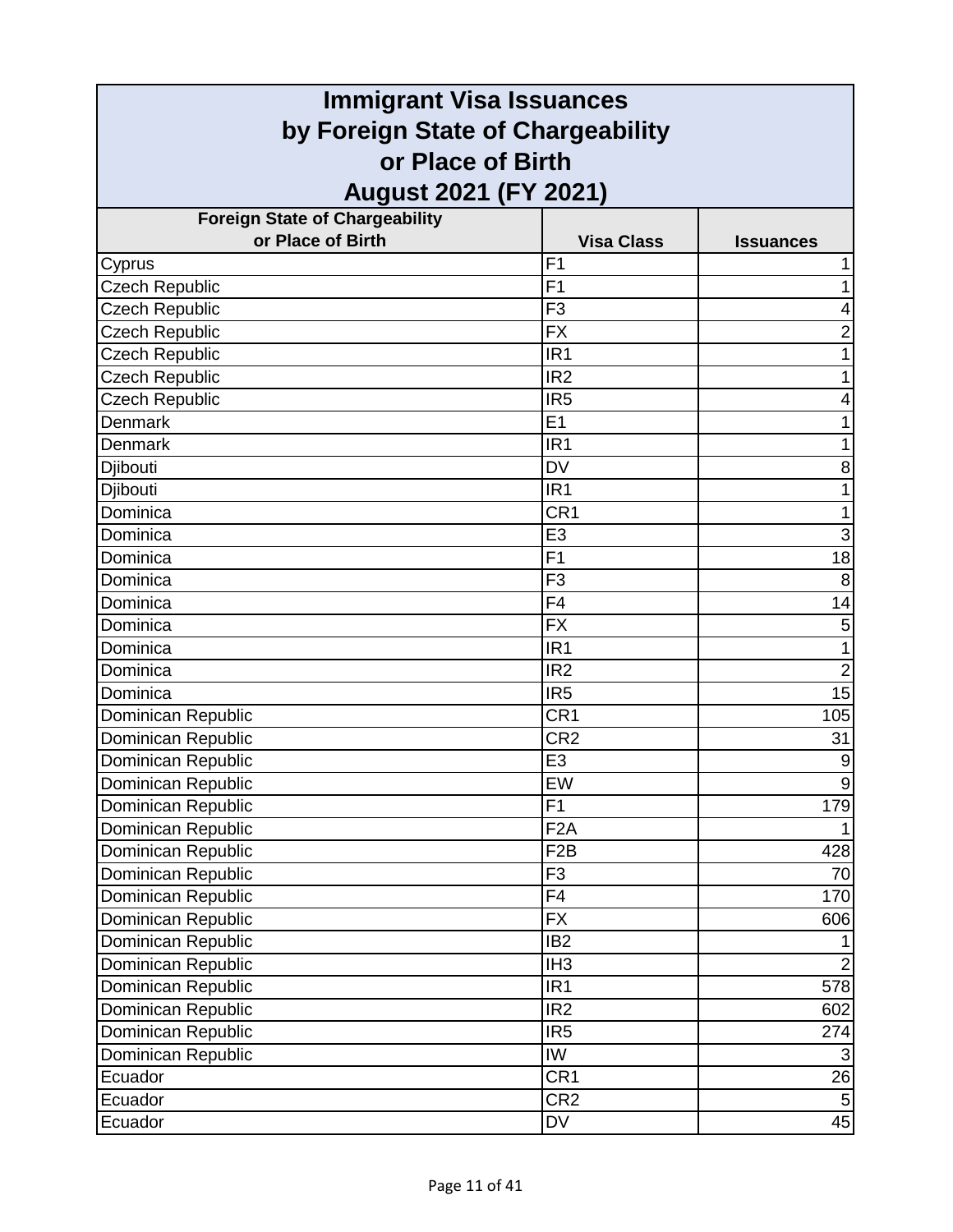| <b>Immigrant Visa Issuances</b>                                                        |                  |                  |                                       |                   |                  |
|----------------------------------------------------------------------------------------|------------------|------------------|---------------------------------------|-------------------|------------------|
| by Foreign State of Chargeability<br>or Place of Birth<br><b>August 2021 (FY 2021)</b> |                  |                  |                                       |                   |                  |
|                                                                                        |                  |                  | <b>Foreign State of Chargeability</b> |                   |                  |
|                                                                                        |                  |                  | or Place of Birth                     | <b>Visa Class</b> | <b>Issuances</b> |
| Cyprus                                                                                 | F <sub>1</sub>   |                  |                                       |                   |                  |
| <b>Czech Republic</b>                                                                  | F <sub>1</sub>   |                  |                                       |                   |                  |
| Czech Republic                                                                         | F <sub>3</sub>   | 4                |                                       |                   |                  |
| <b>Czech Republic</b>                                                                  | <b>FX</b>        | 2                |                                       |                   |                  |
| Czech Republic                                                                         | IR <sub>1</sub>  | 1                |                                       |                   |                  |
| <b>Czech Republic</b>                                                                  | IR <sub>2</sub>  | 1                |                                       |                   |                  |
| <b>Czech Republic</b>                                                                  | IR <sub>5</sub>  | 4                |                                       |                   |                  |
| Denmark                                                                                | E1               |                  |                                       |                   |                  |
| Denmark                                                                                | IR <sub>1</sub>  |                  |                                       |                   |                  |
| Djibouti                                                                               | <b>DV</b>        | 8                |                                       |                   |                  |
| Djibouti                                                                               | IR <sub>1</sub>  | 1                |                                       |                   |                  |
| Dominica                                                                               | CR <sub>1</sub>  | 1                |                                       |                   |                  |
| Dominica                                                                               | E <sub>3</sub>   | 3                |                                       |                   |                  |
| Dominica                                                                               | F1               | 18               |                                       |                   |                  |
| Dominica                                                                               | F <sub>3</sub>   | 8                |                                       |                   |                  |
| Dominica                                                                               | F <sub>4</sub>   | 14               |                                       |                   |                  |
| Dominica                                                                               | $\overline{FX}$  | 5                |                                       |                   |                  |
| Dominica                                                                               | IR <sub>1</sub>  | 1                |                                       |                   |                  |
| Dominica                                                                               | IR <sub>2</sub>  | $\overline{2}$   |                                       |                   |                  |
| Dominica                                                                               | IR <sub>5</sub>  | 15               |                                       |                   |                  |
| Dominican Republic                                                                     | CR <sub>1</sub>  | 105              |                                       |                   |                  |
| Dominican Republic                                                                     | CR <sub>2</sub>  | 31               |                                       |                   |                  |
| Dominican Republic                                                                     | E <sub>3</sub>   | $\boldsymbol{9}$ |                                       |                   |                  |
| Dominican Republic                                                                     | EW               | 9                |                                       |                   |                  |
| Dominican Republic                                                                     | F1               | 179              |                                       |                   |                  |
| Dominican Republic                                                                     | F <sub>2</sub> A |                  |                                       |                   |                  |
| Dominican Republic                                                                     | F <sub>2</sub> B | 428              |                                       |                   |                  |
| Dominican Republic                                                                     | F <sub>3</sub>   | 70               |                                       |                   |                  |
| Dominican Republic                                                                     | $\overline{F4}$  | 170              |                                       |                   |                  |
| Dominican Republic                                                                     | <b>FX</b>        | 606              |                                       |                   |                  |
| Dominican Republic                                                                     | IB <sub>2</sub>  |                  |                                       |                   |                  |
| Dominican Republic                                                                     | IH <sub>3</sub>  | $\overline{2}$   |                                       |                   |                  |
| Dominican Republic                                                                     | IR <sub>1</sub>  | 578              |                                       |                   |                  |
| Dominican Republic                                                                     | IR <sub>2</sub>  | 602              |                                       |                   |                  |
| Dominican Republic                                                                     | IR <sub>5</sub>  | 274              |                                       |                   |                  |
| Dominican Republic                                                                     | IW               | 3                |                                       |                   |                  |
| Ecuador                                                                                | CR <sub>1</sub>  | 26               |                                       |                   |                  |
| Ecuador                                                                                | CR <sub>2</sub>  | $\sqrt{5}$       |                                       |                   |                  |
| Ecuador                                                                                | DV               | 45               |                                       |                   |                  |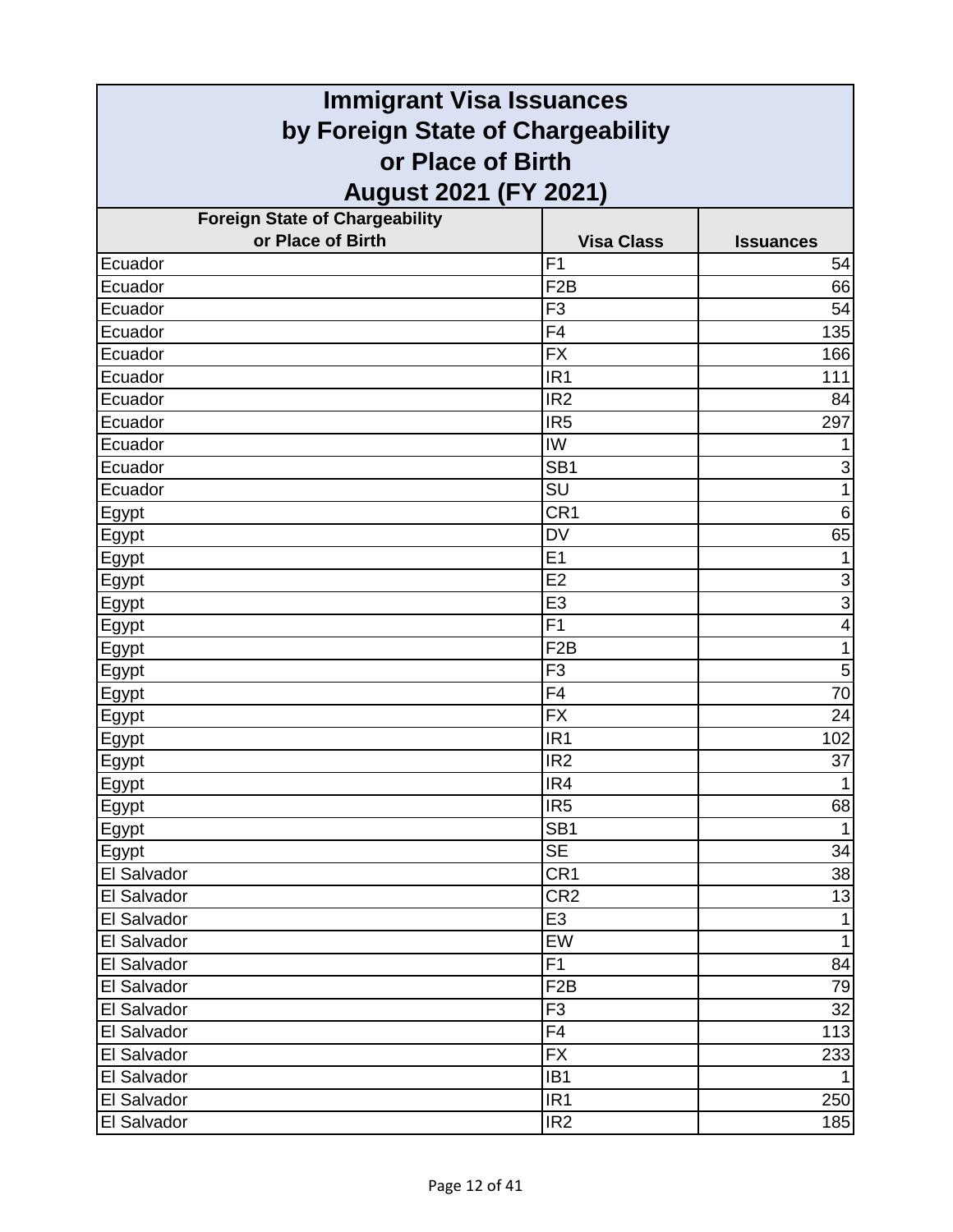| <b>Immigrant Visa Issuances</b>                        |                   |                         |
|--------------------------------------------------------|-------------------|-------------------------|
| by Foreign State of Chargeability<br>or Place of Birth |                   |                         |
|                                                        |                   |                         |
| <b>Foreign State of Chargeability</b>                  |                   |                         |
| or Place of Birth                                      | <b>Visa Class</b> | <b>Issuances</b>        |
| Ecuador                                                | F <sub>1</sub>    | 54                      |
| Ecuador                                                | F <sub>2</sub> B  | 66                      |
| Ecuador                                                | F <sub>3</sub>    | 54                      |
| Ecuador                                                | F <sub>4</sub>    | 135                     |
| Ecuador                                                | <b>FX</b>         | 166                     |
| Ecuador                                                | IR <sub>1</sub>   | 111                     |
| Ecuador                                                | IR <sub>2</sub>   | 84                      |
| Ecuador                                                | IR <sub>5</sub>   | 297                     |
| Ecuador                                                | <b>IW</b>         | 1                       |
| Ecuador                                                | SB <sub>1</sub>   | 3                       |
| Ecuador                                                | SU                | $\mathbf{1}$            |
| Egypt                                                  | CR <sub>1</sub>   | $\,6$                   |
| <b>Egypt</b>                                           | <b>DV</b>         | 65                      |
| Egypt                                                  | E <sub>1</sub>    | $\mathbf{1}$            |
| Egypt                                                  | E2                | $\overline{3}$          |
| Egypt                                                  | E <sub>3</sub>    | $\overline{3}$          |
| Egypt                                                  | F <sub>1</sub>    | $\overline{\mathbf{4}}$ |
| Egypt                                                  | F <sub>2</sub> B  | 1                       |
| Egypt                                                  | F <sub>3</sub>    | 5                       |
| <u>Egypt</u>                                           | F <sub>4</sub>    | 70                      |
| <b>Egypt</b>                                           | <b>FX</b>         | 24                      |
| Egypt                                                  | IR <sub>1</sub>   | 102                     |
| <u>Egypt</u>                                           | IR <sub>2</sub>   | 37                      |
| Egypt                                                  | IR4               | 1                       |
| Egypt                                                  | IR <sub>5</sub>   | 68                      |
| <b>Egypt</b>                                           | SB <sub>1</sub>   | $\mathbf{1}$            |
| Egypt                                                  | <b>SE</b>         | 34                      |
| El Salvador                                            | CR <sub>1</sub>   | 38                      |
| El Salvador                                            | CR <sub>2</sub>   | 13                      |
| El Salvador                                            | E <sub>3</sub>    | $\mathbf{1}$            |
| El Salvador                                            | EW                | $\mathbf{1}$            |
| El Salvador                                            | F <sub>1</sub>    | 84                      |
| El Salvador                                            | F <sub>2</sub> B  | 79                      |
| El Salvador                                            | F <sub>3</sub>    | 32                      |
| El Salvador                                            | F4                | 113                     |
| El Salvador                                            | <b>FX</b>         | 233                     |
| El Salvador                                            | IB <sub>1</sub>   | $\mathbf 1$             |
| El Salvador                                            | IR <sub>1</sub>   | 250                     |
| El Salvador                                            | IR <sub>2</sub>   | 185                     |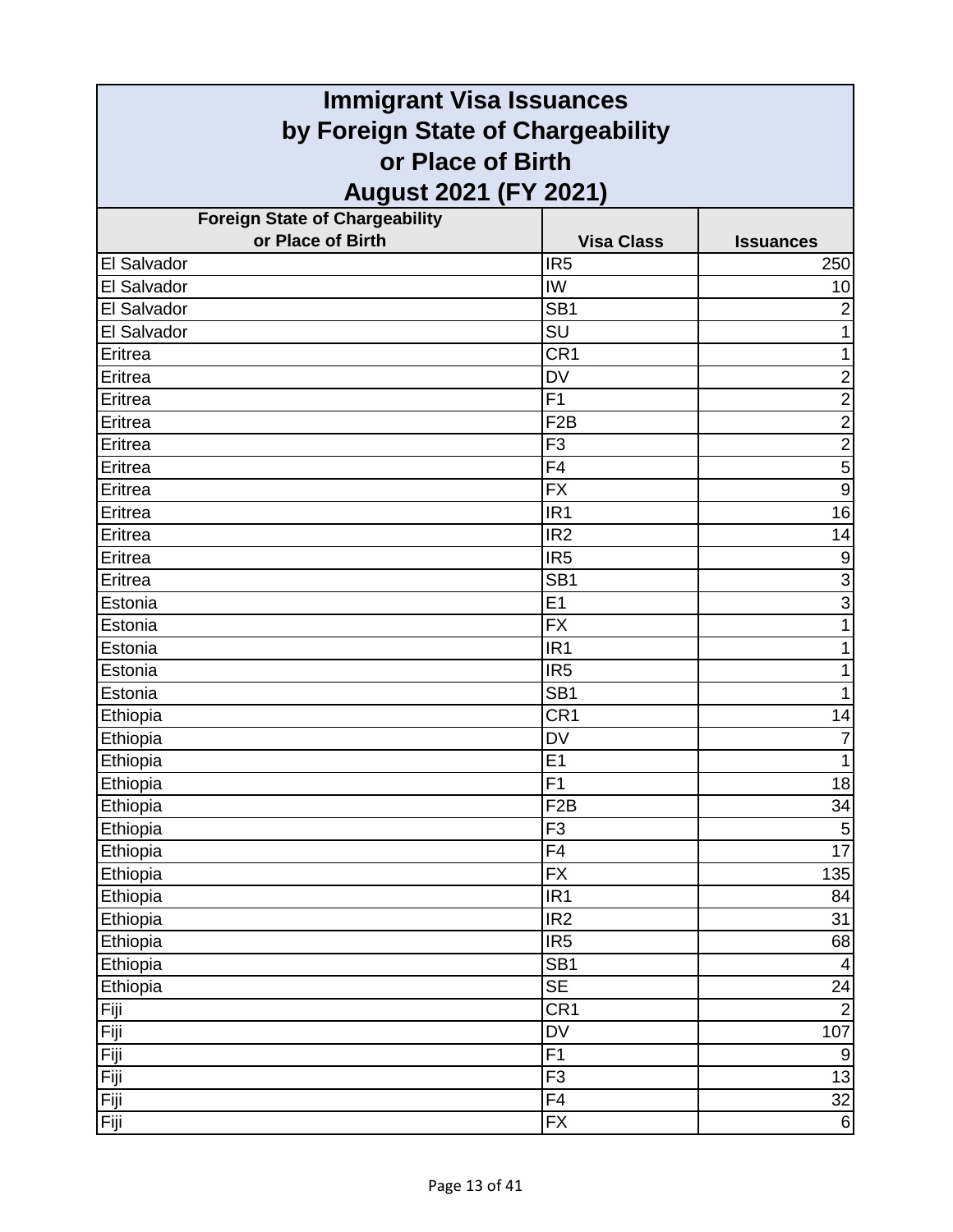| <b>Immigrant Visa Issuances</b>       |                   |                  |
|---------------------------------------|-------------------|------------------|
| by Foreign State of Chargeability     |                   |                  |
| or Place of Birth                     |                   |                  |
| <b>August 2021 (FY 2021)</b>          |                   |                  |
| <b>Foreign State of Chargeability</b> |                   |                  |
| or Place of Birth                     | <b>Visa Class</b> | <b>Issuances</b> |
| El Salvador                           | IR <sub>5</sub>   | 250              |
| El Salvador                           | <b>IW</b>         | 10               |
| El Salvador                           | SB <sub>1</sub>   | $\overline{c}$   |
| El Salvador                           | SU                | 1                |
| Eritrea                               | CR1               | $\mathbf{1}$     |
| Eritrea                               | <b>DV</b>         | $\overline{2}$   |
| Eritrea                               | F1                | $\overline{2}$   |
| Eritrea                               | F <sub>2</sub> B  | $\overline{2}$   |
| Eritrea                               | F <sub>3</sub>    | $\frac{2}{5}$    |
| Eritrea                               | F <sub>4</sub>    |                  |
| Eritrea                               | <b>FX</b>         | $\overline{9}$   |
| Eritrea                               | IR <sub>1</sub>   | 16               |
| Eritrea                               | IR <sub>2</sub>   | 14               |
| Eritrea                               | IR <sub>5</sub>   | $\boldsymbol{9}$ |
| Eritrea                               | SB <sub>1</sub>   | $\overline{3}$   |
| Estonia                               | E1                | $\overline{3}$   |
| Estonia                               | <b>FX</b>         | 1                |
| Estonia                               | IR <sub>1</sub>   | 1                |
| Estonia                               | IR <sub>5</sub>   | 1                |
| Estonia                               | SB <sub>1</sub>   | 1                |
| Ethiopia                              | CR1               | 14               |
| Ethiopia                              | <b>DV</b>         | 7                |
| Ethiopia                              | E <sub>1</sub>    | $\mathbf{1}$     |
| Ethiopia                              | F1                | 18               |
| Ethiopia                              | F <sub>2</sub> B  | 34               |
| Ethiopia                              | F <sub>3</sub>    | $\overline{5}$   |
| Ethiopia                              | F4                | 17               |
| Ethiopia                              | <b>FX</b>         | 135              |
| Ethiopia                              | IR <sub>1</sub>   | 84               |
| Ethiopia                              | IR <sub>2</sub>   | 31               |
| Ethiopia                              | IR <sub>5</sub>   | 68               |
| Ethiopia                              | SB <sub>1</sub>   | $\overline{4}$   |
| Ethiopia                              | <b>SE</b>         | 24               |
| Fiji                                  | CR1               | $\overline{2}$   |
| Fiji                                  | <b>DV</b>         | 107              |
| Fiji                                  | F1                | $9\,$            |
| Fiji                                  | F <sub>3</sub>    | 13               |
| Fiji                                  | F4                | 32               |
| Fiji                                  | <b>FX</b>         | $6 \overline{6}$ |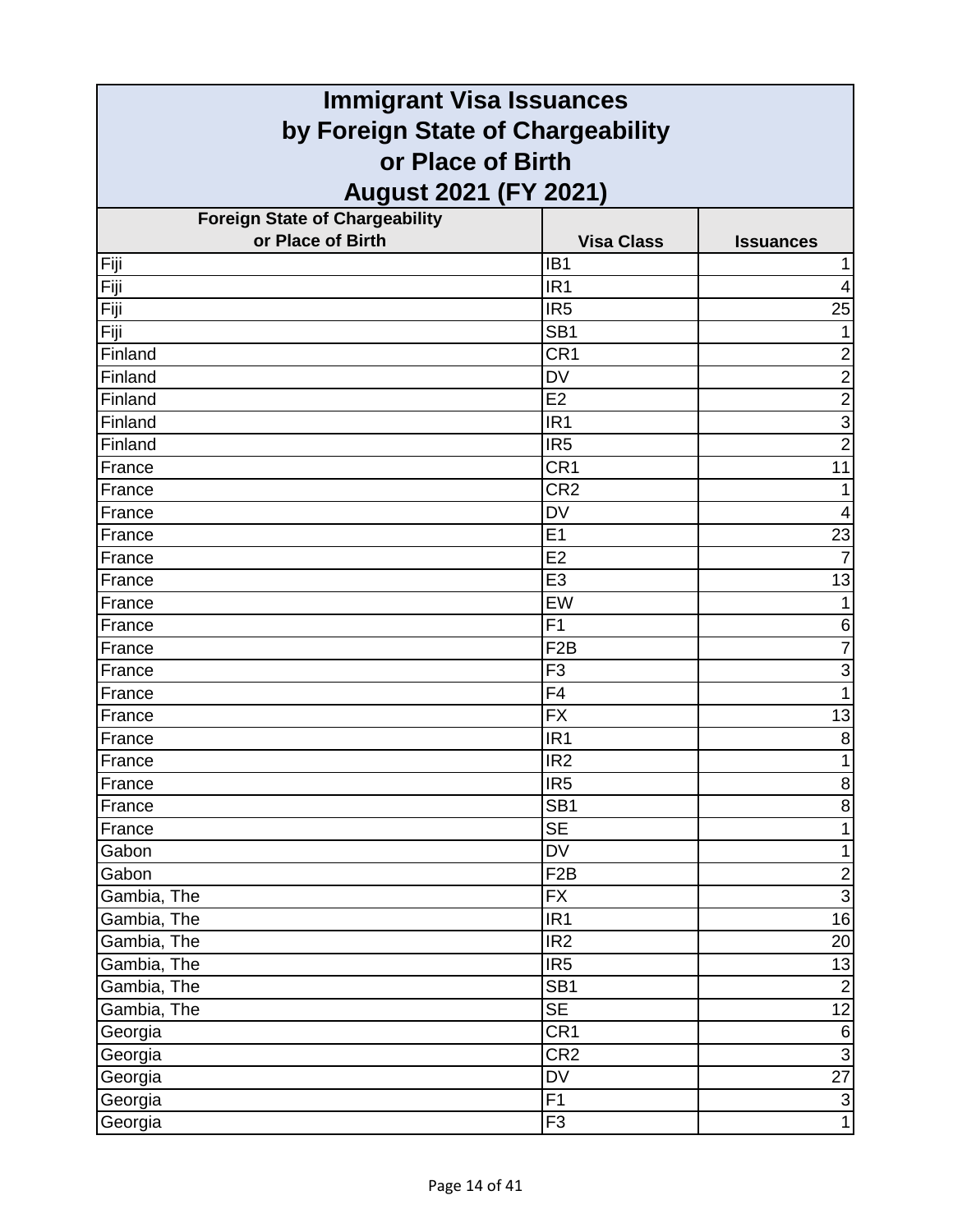| <b>Immigrant Visa Issuances</b>                        |                   |                  |
|--------------------------------------------------------|-------------------|------------------|
| by Foreign State of Chargeability<br>or Place of Birth |                   |                  |
|                                                        |                   |                  |
| <b>Foreign State of Chargeability</b>                  |                   |                  |
| or Place of Birth                                      | <b>Visa Class</b> | <b>Issuances</b> |
| Fiji                                                   | IB <sub>1</sub>   | 1                |
| Fiji                                                   | IR <sub>1</sub>   | $\overline{4}$   |
| Fiji                                                   | IR <sub>5</sub>   | 25               |
| Fiji                                                   | SB <sub>1</sub>   | 1                |
| Finland                                                | CR <sub>1</sub>   | $\overline{c}$   |
| Finland                                                | <b>DV</b>         | $\overline{2}$   |
| Finland                                                | E2                | $\overline{2}$   |
| Finland                                                | IR <sub>1</sub>   | $\overline{3}$   |
| Finland                                                | IR <sub>5</sub>   | $\overline{2}$   |
| France                                                 | CR <sub>1</sub>   | 11               |
| France                                                 | CR <sub>2</sub>   | 1                |
| France                                                 | <b>DV</b>         | 4                |
| France                                                 | E <sub>1</sub>    | 23               |
| France                                                 | E2                | $\overline{7}$   |
| France                                                 | E <sub>3</sub>    | 13               |
| France                                                 | EW                | 1                |
| France                                                 | F1                | 6                |
| France                                                 | F <sub>2</sub> B  | $\overline{7}$   |
| France                                                 | F <sub>3</sub>    | $\mathbf{3}$     |
| France                                                 | F4                | 1                |
| France                                                 | <b>FX</b>         | 13               |
| France                                                 | IR <sub>1</sub>   | 8                |
| France                                                 | IR <sub>2</sub>   | $\mathbf{1}$     |
| France                                                 | IR <sub>5</sub>   | $\bf{8}$         |
| France                                                 | SB <sub>1</sub>   | $\overline{8}$   |
| France                                                 | <b>SE</b>         | $\mathbf{1}$     |
| Gabon                                                  | <b>DV</b>         | $\mathbf{1}$     |
| Gabon                                                  | F <sub>2</sub> B  | $\overline{2}$   |
| Gambia, The                                            | <b>FX</b>         | $\overline{3}$   |
| Gambia, The                                            | IR <sub>1</sub>   | 16               |
| Gambia, The                                            | IR <sub>2</sub>   | 20               |
| Gambia, The                                            | IR <sub>5</sub>   | 13               |
| Gambia, The                                            | SB <sub>1</sub>   | $\overline{2}$   |
| Gambia, The                                            | <b>SE</b>         | 12               |
| Georgia                                                | CR <sub>1</sub>   | $6 \overline{}$  |
| Georgia                                                | CR <sub>2</sub>   | $\overline{3}$   |
| Georgia                                                | DV                | $\overline{27}$  |
| Georgia                                                | $\overline{F1}$   | $\overline{3}$   |
| Georgia                                                | F <sub>3</sub>    | $\overline{1}$   |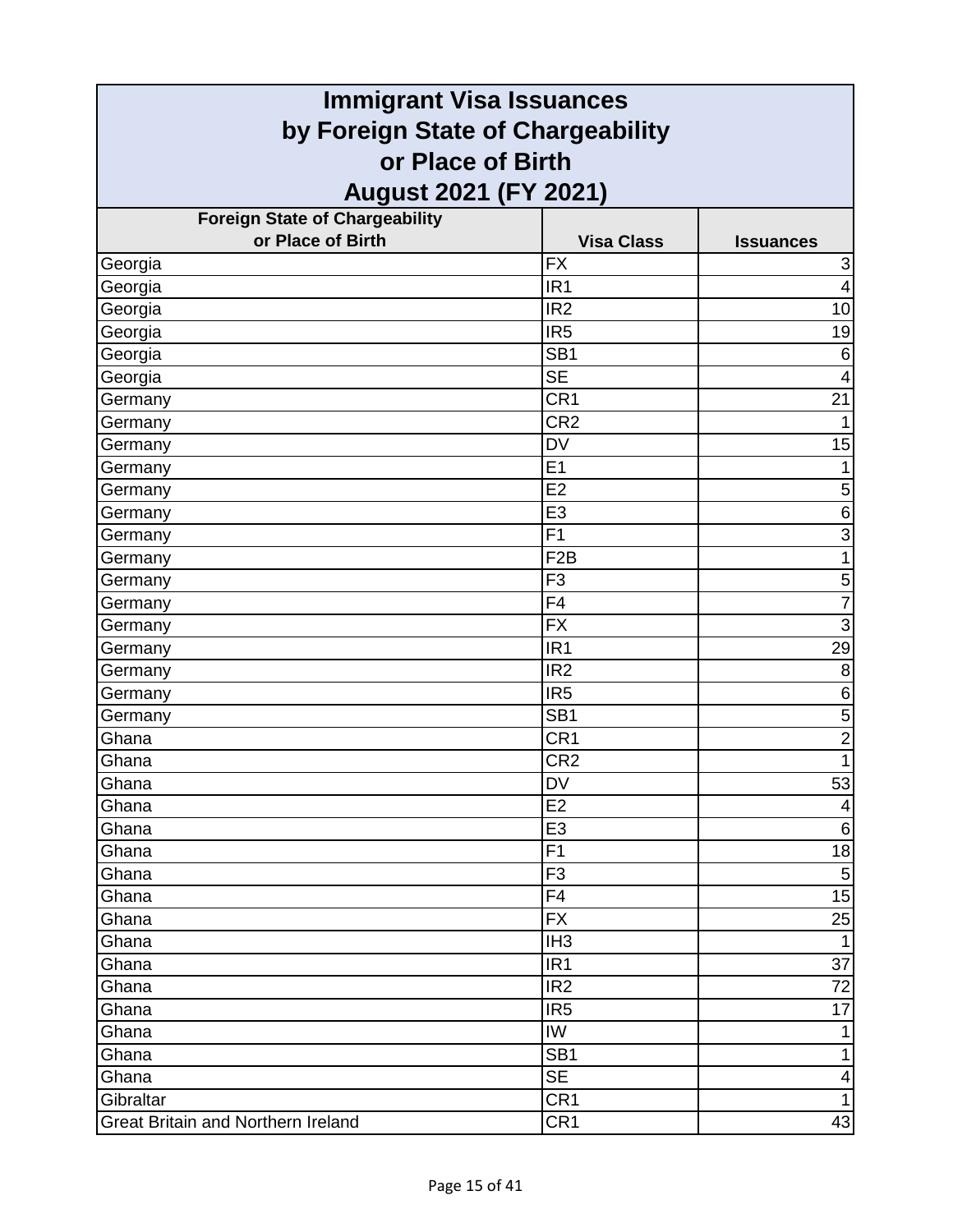| <b>Immigrant Visa Issuances</b>                        |                   |                           |
|--------------------------------------------------------|-------------------|---------------------------|
| by Foreign State of Chargeability<br>or Place of Birth |                   |                           |
|                                                        |                   |                           |
| <b>Foreign State of Chargeability</b>                  |                   |                           |
| or Place of Birth                                      | <b>Visa Class</b> | <b>Issuances</b>          |
| Georgia                                                | <b>FX</b>         | $\ensuremath{\mathsf{3}}$ |
| Georgia                                                | IR <sub>1</sub>   | $\overline{4}$            |
| Georgia                                                | IR <sub>2</sub>   | 10                        |
| Georgia                                                | IR <sub>5</sub>   | 19                        |
| Georgia                                                | SB <sub>1</sub>   | 6                         |
| Georgia                                                | <b>SE</b>         | 4                         |
| Germany                                                | CR1               | 21                        |
| Germany                                                | CR <sub>2</sub>   |                           |
| Germany                                                | <b>DV</b>         | 15                        |
| Germany                                                | E1                | 1                         |
| Germany                                                | E2                | 5                         |
| Germany                                                | E <sub>3</sub>    | 6                         |
| Germany                                                | F <sub>1</sub>    | $\overline{3}$            |
| Germany                                                | F <sub>2</sub> B  | 1                         |
| Germany                                                | F <sub>3</sub>    | 5                         |
| Germany                                                | F <sub>4</sub>    | $\overline{7}$            |
| Germany                                                | <b>FX</b>         | $\overline{3}$            |
| Germany                                                | IR <sub>1</sub>   | 29                        |
| Germany                                                | IR <sub>2</sub>   | 8                         |
| Germany                                                | IR <sub>5</sub>   | 6                         |
| Germany                                                | SB <sub>1</sub>   | 5                         |
| Ghana                                                  | CR <sub>1</sub>   | $\overline{2}$            |
| Ghana                                                  | CR <sub>2</sub>   | 1                         |
| Ghana                                                  | DV                | 53                        |
| Ghana                                                  | E <sub>2</sub>    | 4                         |
| Ghana                                                  | E <sub>3</sub>    | $\,6$                     |
| Ghana                                                  | F1                | 18                        |
| Ghana                                                  | F <sub>3</sub>    | $\overline{5}$            |
| Ghana                                                  | F4                | 15                        |
| Ghana                                                  | <b>FX</b>         | 25                        |
| Ghana                                                  | IH <sub>3</sub>   | $\mathbf 1$               |
| Ghana                                                  | IR <sub>1</sub>   | 37                        |
| Ghana                                                  | IR <sub>2</sub>   | 72                        |
| Ghana                                                  | IR <sub>5</sub>   | 17                        |
| Ghana                                                  | IW                | 1                         |
| Ghana                                                  | SB <sub>1</sub>   | $\mathbf{1}$              |
| Ghana                                                  | <b>SE</b>         | 4                         |
| Gibraltar                                              | CR1               | $\mathbf{1}$              |
| <b>Great Britain and Northern Ireland</b>              | CR <sub>1</sub>   | 43                        |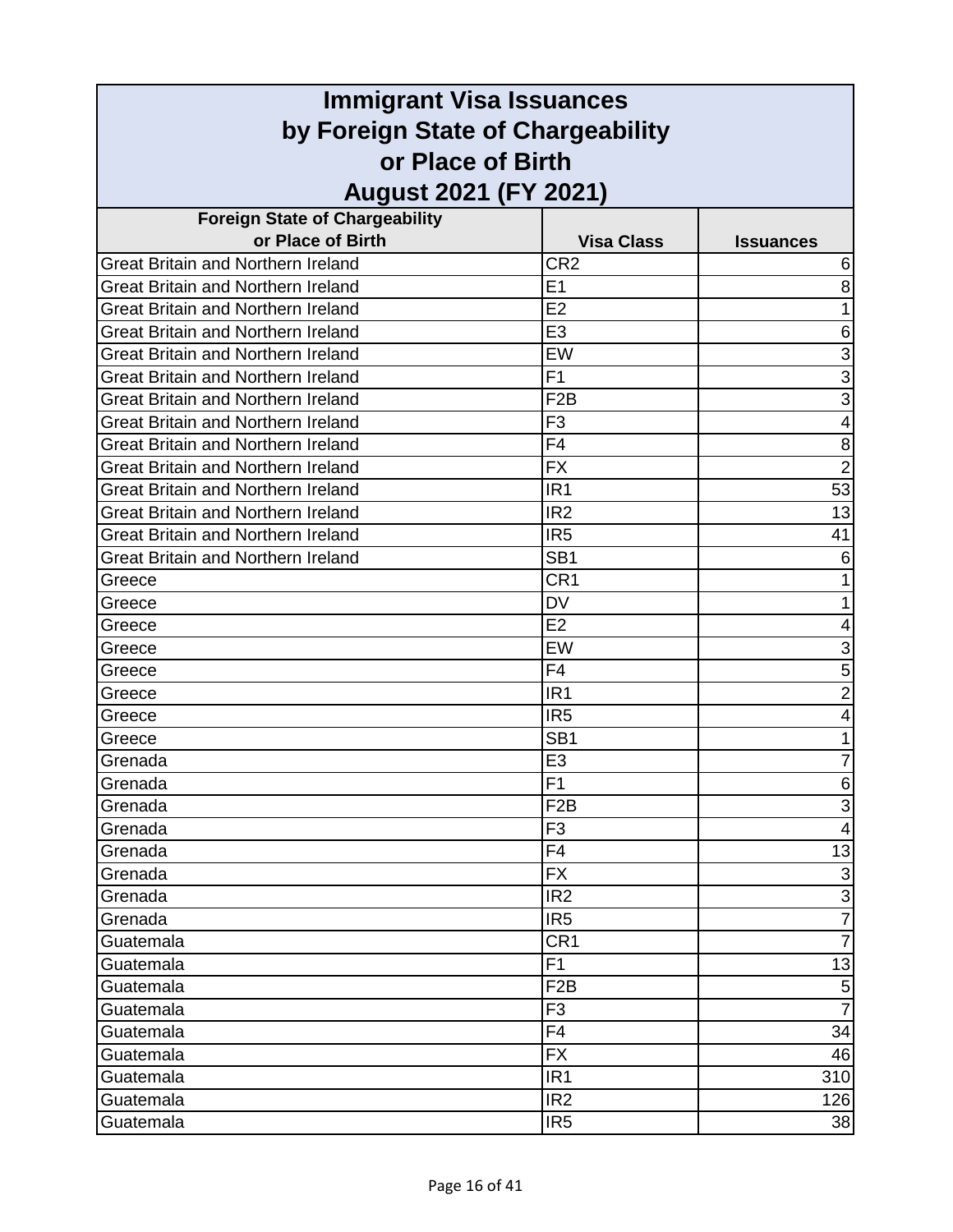| <b>Immigrant Visa Issuances</b>                        |                   |                          |
|--------------------------------------------------------|-------------------|--------------------------|
| by Foreign State of Chargeability<br>or Place of Birth |                   |                          |
|                                                        |                   |                          |
| <b>Foreign State of Chargeability</b>                  |                   |                          |
| or Place of Birth                                      | <b>Visa Class</b> | <b>Issuances</b>         |
| Great Britain and Northern Ireland                     | CR <sub>2</sub>   | 6                        |
| <b>Great Britain and Northern Ireland</b>              | E1                | 8                        |
| <b>Great Britain and Northern Ireland</b>              | E2                | 1                        |
| <b>Great Britain and Northern Ireland</b>              | E <sub>3</sub>    | 6                        |
| Great Britain and Northern Ireland                     | EW                | 3                        |
| <b>Great Britain and Northern Ireland</b>              | F <sub>1</sub>    | $\overline{3}$           |
| <b>Great Britain and Northern Ireland</b>              | F <sub>2</sub> B  | $\overline{3}$           |
| <b>Great Britain and Northern Ireland</b>              | F <sub>3</sub>    | 4                        |
| Great Britain and Northern Ireland                     | F <sub>4</sub>    | 8                        |
| Great Britain and Northern Ireland                     | <b>FX</b>         | $\overline{2}$           |
| <b>Great Britain and Northern Ireland</b>              | IR <sub>1</sub>   | 53                       |
| <b>Great Britain and Northern Ireland</b>              | IR <sub>2</sub>   | 13                       |
| Great Britain and Northern Ireland                     | IR <sub>5</sub>   | 41                       |
| <b>Great Britain and Northern Ireland</b>              | SB <sub>1</sub>   | 6                        |
| Greece                                                 | CR <sub>1</sub>   |                          |
| Greece                                                 | <b>DV</b>         | 1                        |
| Greece                                                 | E2                | 4                        |
| Greece                                                 | EW                | 3                        |
| Greece                                                 | F <sub>4</sub>    | 5                        |
| Greece                                                 | IR <sub>1</sub>   | $\overline{2}$           |
| Greece                                                 | IR <sub>5</sub>   | 4                        |
| Greece                                                 | SB <sub>1</sub>   |                          |
| Grenada                                                | E <sub>3</sub>    | 7                        |
| Grenada                                                | F <sub>1</sub>    | 6                        |
| Grenada                                                | F <sub>2</sub> B  | $\overline{3}$           |
| Grenada                                                | F <sub>3</sub>    | $\overline{\mathcal{A}}$ |
| Grenada                                                | F <sub>4</sub>    | 13                       |
| Grenada                                                | <b>FX</b>         | $\overline{3}$           |
| Grenada                                                | IR <sub>2</sub>   | $\overline{3}$           |
| Grenada                                                | IR <sub>5</sub>   | $\frac{1}{7}$            |
| Guatemala                                              | CR <sub>1</sub>   | $\overline{7}$           |
| Guatemala                                              | F <sub>1</sub>    | 13                       |
| Guatemala                                              | F <sub>2</sub> B  | $\mathbf 5$              |
| Guatemala                                              | F <sub>3</sub>    | $\overline{7}$           |
| Guatemala                                              | F <sub>4</sub>    | 34                       |
| Guatemala                                              | <b>FX</b>         | 46                       |
| Guatemala                                              | IR <sub>1</sub>   | 310                      |
| Guatemala                                              | IR <sub>2</sub>   | 126                      |
| Guatemala                                              | IR <sub>5</sub>   | 38                       |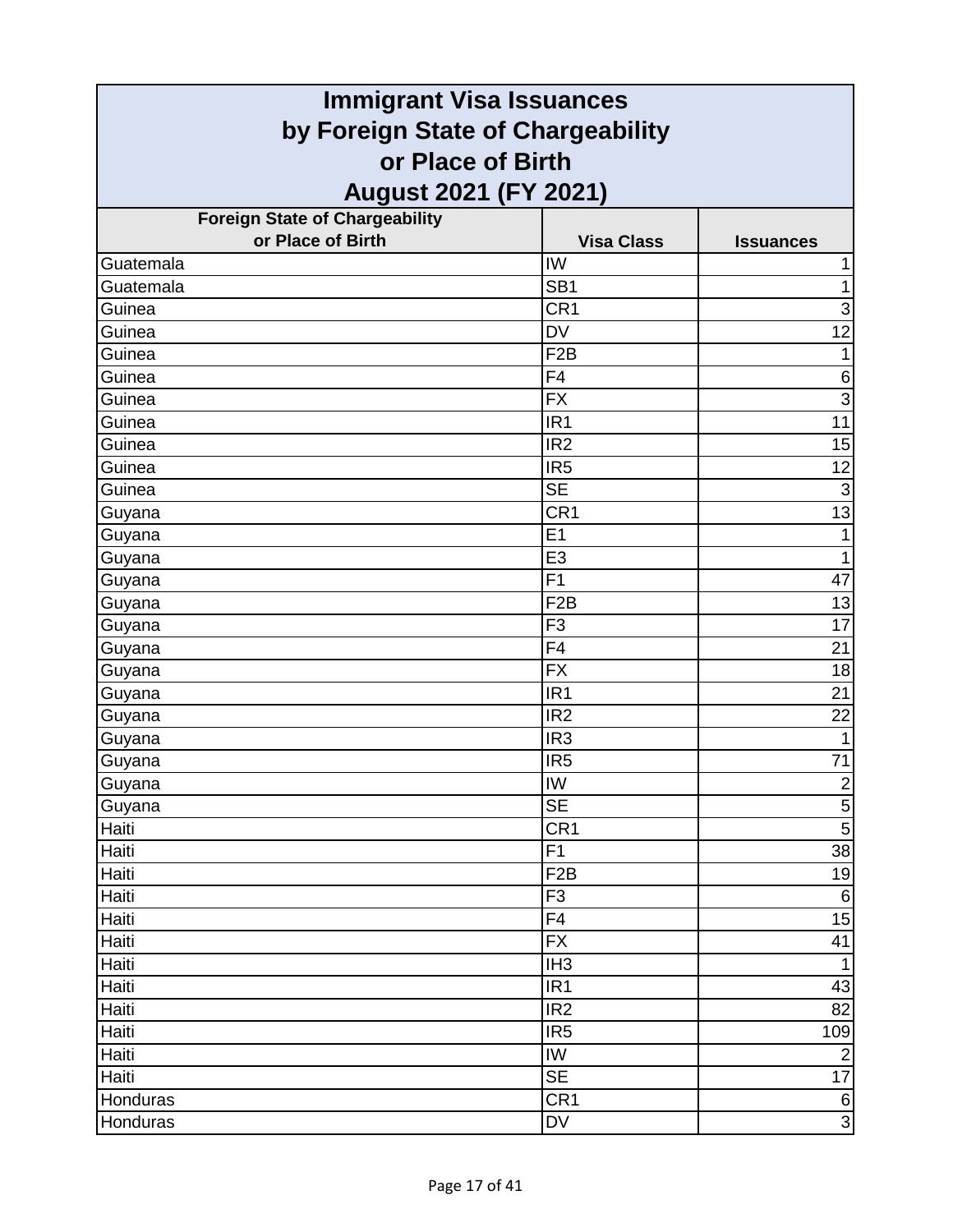| <b>Immigrant Visa Issuances</b>                        |                                   |                  |  |
|--------------------------------------------------------|-----------------------------------|------------------|--|
| by Foreign State of Chargeability<br>or Place of Birth |                                   |                  |  |
|                                                        |                                   |                  |  |
| <b>Foreign State of Chargeability</b>                  |                                   |                  |  |
| or Place of Birth                                      | <b>Visa Class</b>                 | <b>Issuances</b> |  |
| Guatemala                                              | IW                                |                  |  |
| Guatemala                                              | SB <sub>1</sub>                   | 1                |  |
| Guinea                                                 | CR <sub>1</sub>                   | 3                |  |
| Guinea                                                 | <b>DV</b>                         | 12               |  |
| Guinea                                                 | F <sub>2</sub> B                  | 1                |  |
| Guinea                                                 | F4                                | $\,6$            |  |
| Guinea                                                 | <b>FX</b>                         | $\overline{3}$   |  |
| Guinea                                                 | IR <sub>1</sub>                   | 11               |  |
| Guinea                                                 | IR <sub>2</sub>                   | 15               |  |
| Guinea                                                 | IR <sub>5</sub>                   | 12               |  |
| Guinea                                                 | <b>SE</b>                         | 3                |  |
| Guyana                                                 | CR <sub>1</sub>                   | 13               |  |
| Guyana                                                 | E <sub>1</sub>                    | 1                |  |
| Guyana                                                 | E <sub>3</sub>                    | $\mathbf{1}$     |  |
| Guyana                                                 | F <sub>1</sub>                    | 47               |  |
| Guyana                                                 | F <sub>2</sub> B                  | 13               |  |
| Guyana                                                 | F <sub>3</sub>                    | $\overline{17}$  |  |
| Guyana                                                 | F4                                | 21               |  |
| Guyana                                                 | <b>FX</b>                         | 18               |  |
| Guyana                                                 | IR <sub>1</sub>                   | 21               |  |
| Guyana                                                 | IR <sub>2</sub>                   | 22               |  |
| Guyana                                                 | IR <sub>3</sub>                   |                  |  |
| Guyana                                                 | IR <sub>5</sub>                   | 71               |  |
| Guyana                                                 | $\overline{\mathsf{I}\mathsf{W}}$ | $\frac{1}{5}$    |  |
| Guyana                                                 | <b>SE</b>                         |                  |  |
| Haiti                                                  | CR1                               | $\overline{5}$   |  |
| Haiti                                                  | F1                                | 38               |  |
| Haiti                                                  | F <sub>2</sub> B                  | 19               |  |
| Haiti                                                  | F <sub>3</sub>                    | $6\phantom{1}6$  |  |
| Haiti                                                  | F4                                | 15               |  |
| Haiti                                                  | $\overline{FX}$                   | 41               |  |
| Haiti                                                  | IH <sub>3</sub>                   | $\mathbf{1}$     |  |
| Haiti                                                  | IR <sub>1</sub>                   | 43               |  |
| Haiti                                                  | IR <sub>2</sub>                   | 82               |  |
| Haiti                                                  | IR5                               | 109              |  |
| Haiti                                                  | IW                                | $\overline{2}$   |  |
| Haiti                                                  | <b>SE</b>                         | 17               |  |
| Honduras                                               | CR <sub>1</sub>                   | $\frac{6}{3}$    |  |
| Honduras                                               | <b>DV</b>                         |                  |  |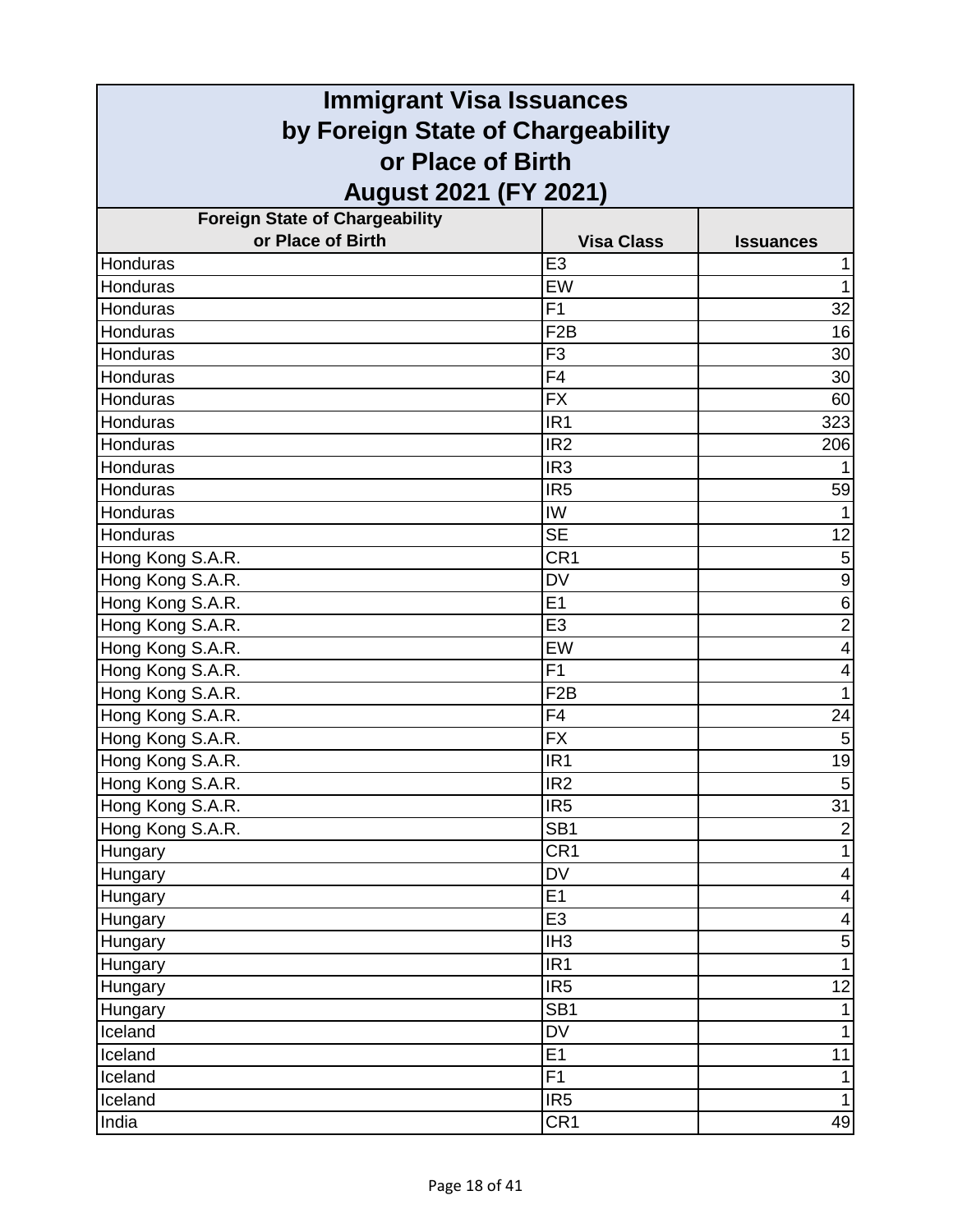| <b>Immigrant Visa Issuances</b>                        |                          |                          |
|--------------------------------------------------------|--------------------------|--------------------------|
| by Foreign State of Chargeability<br>or Place of Birth |                          |                          |
|                                                        |                          |                          |
| <b>Foreign State of Chargeability</b>                  |                          |                          |
| or Place of Birth                                      | <b>Visa Class</b>        | <b>Issuances</b>         |
| Honduras                                               | E <sub>3</sub>           |                          |
| Honduras                                               | EW                       |                          |
| Honduras                                               | F <sub>1</sub>           | 32                       |
| Honduras                                               | F <sub>2</sub> B         | 16                       |
| Honduras                                               | F <sub>3</sub>           | 30                       |
| Honduras                                               | F <sub>4</sub>           | 30                       |
| Honduras                                               | <b>FX</b>                | 60                       |
| Honduras                                               | IR <sub>1</sub>          | 323                      |
| Honduras                                               | IR <sub>2</sub>          | 206                      |
| Honduras                                               | IR <sub>3</sub>          |                          |
| Honduras                                               | IR <sub>5</sub>          | 59                       |
| Honduras                                               | IW                       |                          |
| Honduras                                               | <b>SE</b>                | 12                       |
| Hong Kong S.A.R.                                       | CR <sub>1</sub>          | $\mathbf 5$              |
| Hong Kong S.A.R.                                       | <b>DV</b>                | $\boldsymbol{9}$         |
| Hong Kong S.A.R.                                       | E1                       | 6                        |
| Hong Kong S.A.R.                                       | E <sub>3</sub>           | $\overline{2}$           |
| Hong Kong S.A.R.                                       | EW                       | 4                        |
| Hong Kong S.A.R.                                       | F <sub>1</sub>           | 4                        |
| Hong Kong S.A.R.                                       | F <sub>2</sub> B         | 1                        |
| Hong Kong S.A.R.                                       | F4                       | 24                       |
| Hong Kong S.A.R.                                       | <b>FX</b>                | 5                        |
| Hong Kong S.A.R.                                       | IR <sub>1</sub>          | 19                       |
| Hong Kong S.A.R.                                       | IR <sub>2</sub>          | $\overline{5}$           |
| Hong Kong S.A.R.                                       | IR <sub>5</sub>          | $\overline{31}$          |
| Hong Kong S.A.R.                                       | SB <sub>1</sub>          | $\overline{2}$           |
| Hungary                                                | CR <sub>1</sub>          | 1                        |
| Hungary                                                | $\overline{\mathsf{DV}}$ | 4                        |
| Hungary                                                | E1                       | $\overline{\mathcal{A}}$ |
| Hungary                                                | E <sub>3</sub>           | 4                        |
| Hungary                                                | IH <sub>3</sub>          | $\mathbf 5$              |
| Hungary                                                | IR <sub>1</sub>          | 1                        |
| Hungary                                                | IR <sub>5</sub>          | 12                       |
| Hungary                                                | SB <sub>1</sub>          |                          |
| Iceland                                                | $\overline{DV}$          | 1                        |
| Iceland                                                | E1                       | 11                       |
| Iceland                                                | F1                       |                          |
| Iceland                                                | IR <sub>5</sub>          |                          |
| India                                                  | CR <sub>1</sub>          | 49                       |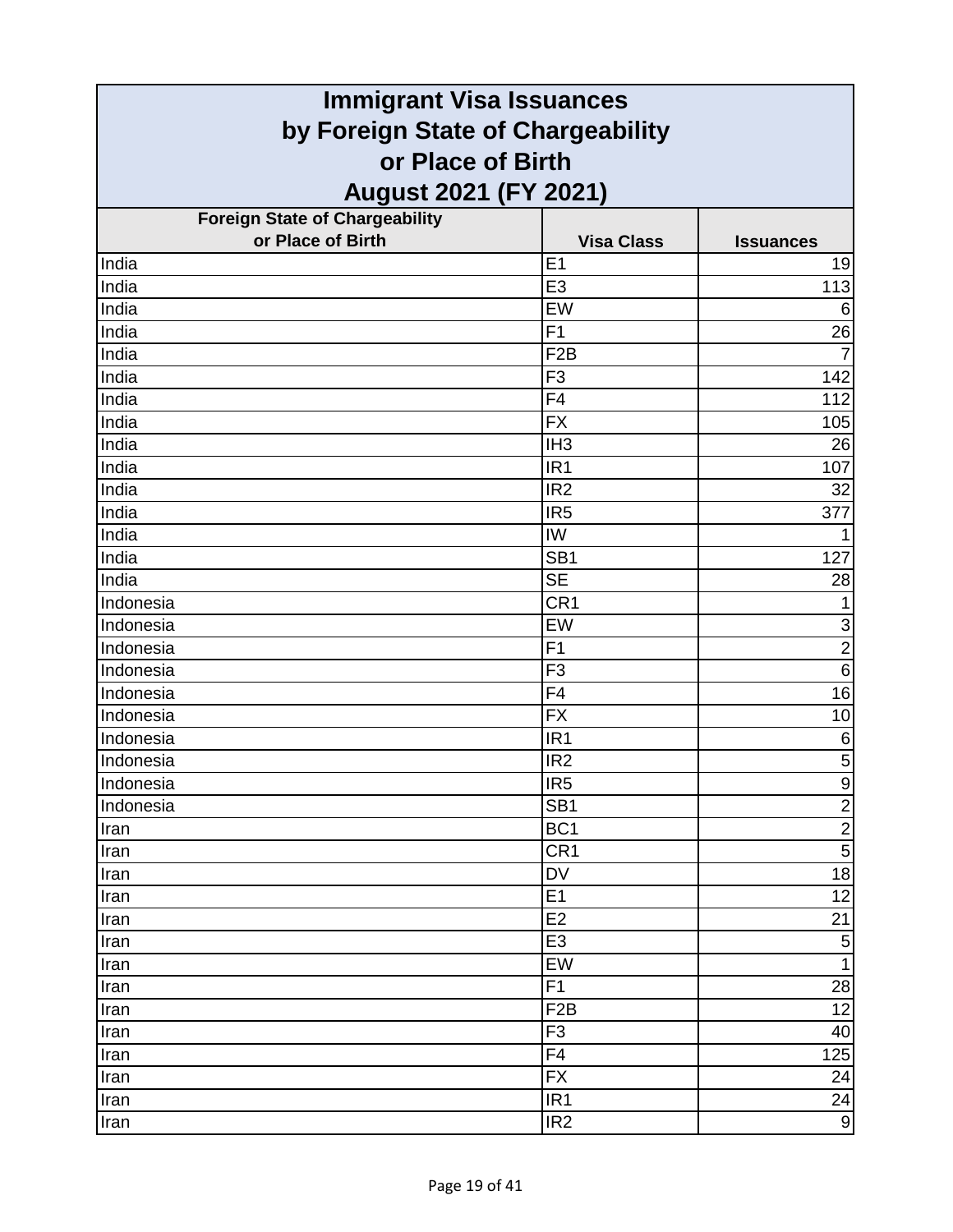| <b>Immigrant Visa Issuances</b>       |                        |                                  |
|---------------------------------------|------------------------|----------------------------------|
| by Foreign State of Chargeability     |                        |                                  |
| or Place of Birth                     |                        |                                  |
| August 2021 (FY 2021)                 |                        |                                  |
| <b>Foreign State of Chargeability</b> |                        |                                  |
| or Place of Birth                     | <b>Visa Class</b>      | <b>Issuances</b>                 |
| India                                 | E1                     | 19                               |
| India                                 | E <sub>3</sub>         | 113                              |
| India                                 | EW                     | 6                                |
| India                                 | F <sub>1</sub>         | 26                               |
| India                                 | F <sub>2</sub> B       | 7                                |
| India                                 | F <sub>3</sub>         | 142                              |
| India                                 | F <sub>4</sub>         | 112                              |
| India                                 | <b>FX</b>              | 105                              |
| India                                 | IH <sub>3</sub>        | 26                               |
| India                                 | IR <sub>1</sub>        | 107                              |
| India                                 | IR <sub>2</sub>        | 32                               |
| India                                 | IR <sub>5</sub>        | 377                              |
| India                                 | IW                     | 1                                |
| India                                 | SB <sub>1</sub>        | 127                              |
| India                                 | <b>SE</b>              | 28                               |
| Indonesia                             | CR1                    | $\mathbf{1}$                     |
| Indonesia                             | EW                     | $\overline{3}$                   |
| Indonesia                             | F1                     | $\overline{2}$                   |
| Indonesia                             | F <sub>3</sub>         | $\overline{6}$                   |
| Indonesia                             | F <sub>4</sub>         | 16                               |
| Indonesia                             | <b>FX</b>              | 10                               |
| Indonesia                             | IR <sub>1</sub>        | 6                                |
| Indonesia                             | IR <sub>2</sub>        | $\overline{5}$                   |
| Indonesia                             | IR <sub>5</sub>        | $\overline{9}$                   |
| Indonesia                             | SB <sub>1</sub>        | $\overline{2}$                   |
| Iran                                  | BC <sub>1</sub>        | $\overline{2}$                   |
| Iran                                  | CR <sub>1</sub>        | $\overline{5}$                   |
| Iran                                  | DV                     | $\overline{18}$                  |
| Iran                                  | E <sub>1</sub>         | 12                               |
| Iran                                  | E2                     | 21                               |
| Iran                                  | E <sub>3</sub>         | $\overline{5}$<br>$\overline{1}$ |
| Iran                                  | EW                     |                                  |
| Iran                                  | F1<br>F <sub>2</sub> B | 28<br>12                         |
| Iran<br>Iran                          | F <sub>3</sub>         | 40                               |
| Iran                                  | F4                     | 125                              |
| Iran                                  | <b>FX</b>              | 24                               |
| Iran                                  | IR <sub>1</sub>        | 24                               |
| Iran                                  | IR <sub>2</sub>        | 9                                |
|                                       |                        |                                  |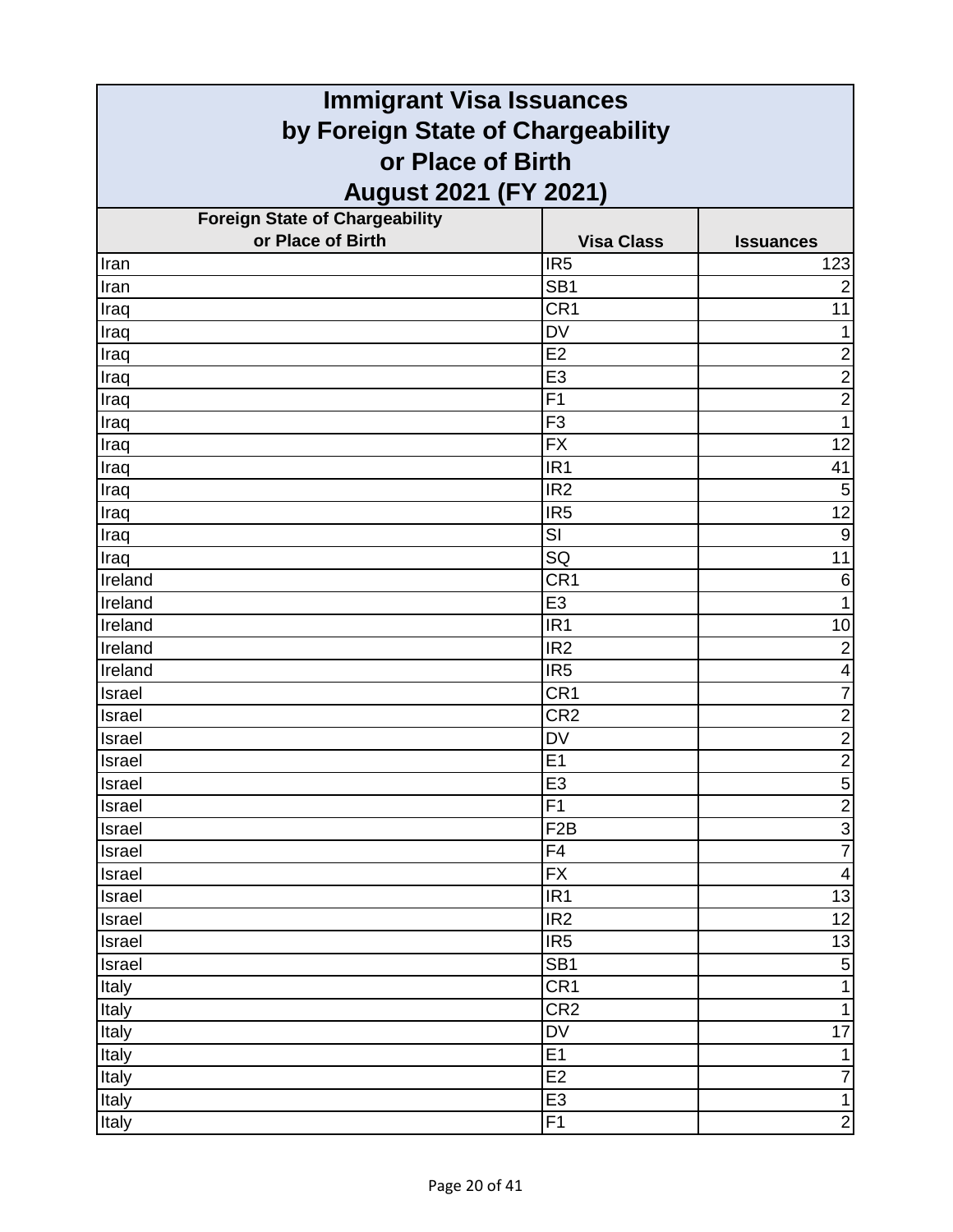| <b>Immigrant Visa Issuances</b>       |                                   |                         |  |
|---------------------------------------|-----------------------------------|-------------------------|--|
|                                       | by Foreign State of Chargeability |                         |  |
| or Place of Birth                     |                                   |                         |  |
| <b>August 2021 (FY 2021)</b>          |                                   |                         |  |
| <b>Foreign State of Chargeability</b> |                                   |                         |  |
| or Place of Birth                     | <b>Visa Class</b>                 | <b>Issuances</b>        |  |
| Iran                                  | IR <sub>5</sub>                   | 123                     |  |
| Iran                                  | SB <sub>1</sub>                   | $\overline{2}$          |  |
| Iraq                                  | CR <sub>1</sub>                   | 11                      |  |
| Iraq                                  | <b>DV</b>                         | $\mathbf{1}$            |  |
| Iraq                                  | E2                                | $\overline{\mathbf{c}}$ |  |
| Iraq                                  | E <sub>3</sub>                    | $\overline{2}$          |  |
| Iraq                                  | F <sub>1</sub>                    | $\overline{2}$          |  |
| Iraq                                  | F <sub>3</sub>                    | $\mathbf{1}$            |  |
| Iraq                                  | <b>FX</b>                         | 12                      |  |
| Iraq                                  | IR <sub>1</sub>                   | 41                      |  |
| Iraq                                  | IR <sub>2</sub>                   | $\sqrt{5}$              |  |
| Iraq                                  | IR <sub>5</sub>                   | $\overline{12}$         |  |
| Iraq                                  | SI                                | $\overline{9}$          |  |
| Iraq                                  | SQ                                | 11                      |  |
| Ireland                               | CR <sub>1</sub>                   | 6                       |  |
| Ireland                               | E <sub>3</sub>                    | $\mathbf{1}$            |  |
| Ireland                               | IR <sub>1</sub>                   | 10                      |  |
| Ireland                               | IR <sub>2</sub>                   | $\overline{c}$          |  |
| Ireland                               | IR <sub>5</sub>                   | $\overline{\mathbf{4}}$ |  |
| Israel                                | CR <sub>1</sub>                   | $\overline{7}$          |  |
| Israel                                | CR <sub>2</sub>                   | $\overline{2}$          |  |
| Israel                                | <b>DV</b>                         | $\frac{2}{2}$           |  |
| Israel                                | E1                                |                         |  |
| <b>Israel</b>                         | E3                                |                         |  |
| Israel                                | F1                                | <u>니이어</u>              |  |
| Israel                                | F <sub>2</sub> B                  |                         |  |
| Israel                                | F4                                |                         |  |
| Israel                                | <b>FX</b>                         | $\overline{\mathbf{A}}$ |  |
| Israel                                | IR <sub>1</sub>                   | 13                      |  |
| Israel                                | IR <sub>2</sub>                   | 12                      |  |
| Israel                                | IR <sub>5</sub>                   | 13                      |  |
| Israel                                | SB <sub>1</sub>                   | $\overline{5}$          |  |
| Italy                                 | CR <sub>1</sub>                   | $\mathbf{1}$            |  |
| Italy                                 | CR <sub>2</sub>                   | $\mathbf{1}$            |  |
| Italy                                 | $\overline{\mathsf{D}\mathsf{V}}$ | $\overline{17}$         |  |
| Italy                                 | E1                                | $\mathbf 1$             |  |
| Italy                                 | E2                                | $\overline{7}$          |  |
| Italy                                 | E <sub>3</sub>                    | $\overline{1}$          |  |
| Italy                                 | F1                                | $\overline{2}$          |  |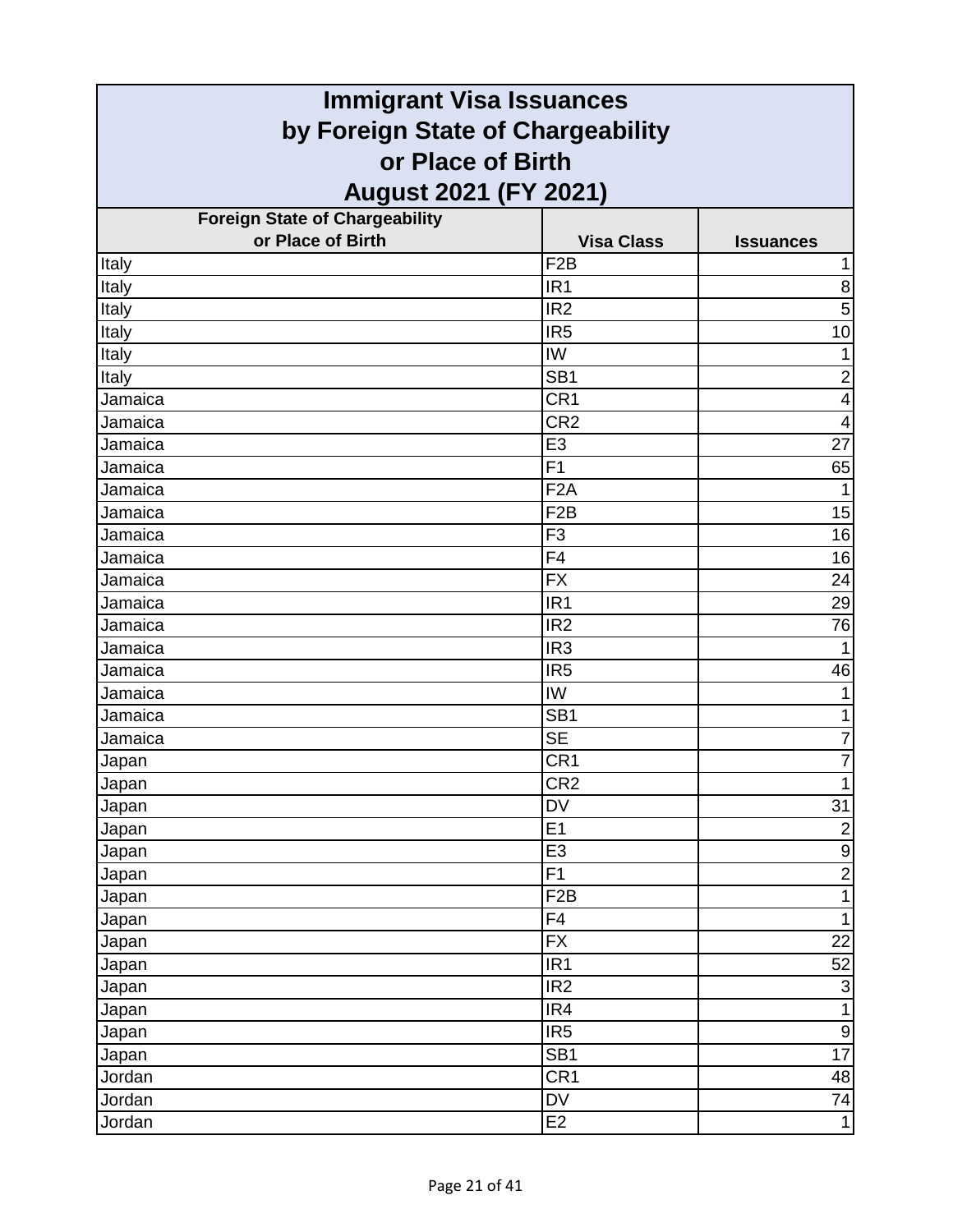| <b>Immigrant Visa Issuances</b>       |                   |                         |
|---------------------------------------|-------------------|-------------------------|
| by Foreign State of Chargeability     |                   |                         |
| or Place of Birth                     |                   |                         |
| <b>August 2021 (FY 2021)</b>          |                   |                         |
| <b>Foreign State of Chargeability</b> |                   |                         |
| or Place of Birth                     | <b>Visa Class</b> | <b>Issuances</b>        |
| Italy                                 | F <sub>2</sub> B  |                         |
| Italy                                 | IR <sub>1</sub>   | 8                       |
| Italy                                 | IR <sub>2</sub>   | 5                       |
| Italy                                 | IR <sub>5</sub>   | 10                      |
| Italy                                 | IW                | 1                       |
| Italy                                 | SB <sub>1</sub>   | $\overline{2}$          |
| Jamaica                               | CR1               | $\overline{\mathbf{4}}$ |
| Jamaica                               | CR <sub>2</sub>   | $\overline{4}$          |
| Jamaica                               | E <sub>3</sub>    | 27                      |
| Jamaica                               | F1                | 65                      |
| Jamaica                               | F <sub>2</sub> A  | 1                       |
| Jamaica                               | F <sub>2</sub> B  | 15                      |
| Jamaica                               | F <sub>3</sub>    | 16                      |
| Jamaica                               | F <sub>4</sub>    | 16                      |
| Jamaica                               | <b>FX</b>         | 24                      |
| Jamaica                               | IR <sub>1</sub>   | 29                      |
| Jamaica                               | IR <sub>2</sub>   | 76                      |
| Jamaica                               | IR <sub>3</sub>   |                         |
| Jamaica                               | IR <sub>5</sub>   | 46                      |
| Jamaica                               | IW                | 1                       |
| Jamaica                               | SB <sub>1</sub>   | 1                       |
| Jamaica                               | <b>SE</b>         | $\overline{7}$          |
| Japan                                 | CR1               | $\overline{7}$          |
| Japan                                 | CR2               | 1                       |
| Japan                                 | <b>DV</b>         | 31                      |
| Japan                                 | E1                | $\boldsymbol{2}$        |
| Japan                                 | E <sub>3</sub>    | $\boldsymbol{9}$        |
| Japan                                 | F1                | $\overline{2}$          |
| Japan                                 | F <sub>2</sub> B  | $\mathbf{1}$            |
| Japan                                 | F4                | $\mathbf{1}$            |
| Japan                                 | FX                | 22                      |
| Japan                                 | IR <sub>1</sub>   | 52                      |
| Japan                                 | IR <sub>2</sub>   | $\overline{3}$          |
| Japan                                 | IR4               | 1                       |
| Japan                                 | IR5               | $\boldsymbol{9}$        |
| Japan                                 | SB <sub>1</sub>   | 17                      |
| Jordan                                | CR1               | 48                      |
| Jordan                                | <b>DV</b>         | 74                      |
| Jordan                                | E <sub>2</sub>    | $\mathbf{1}$            |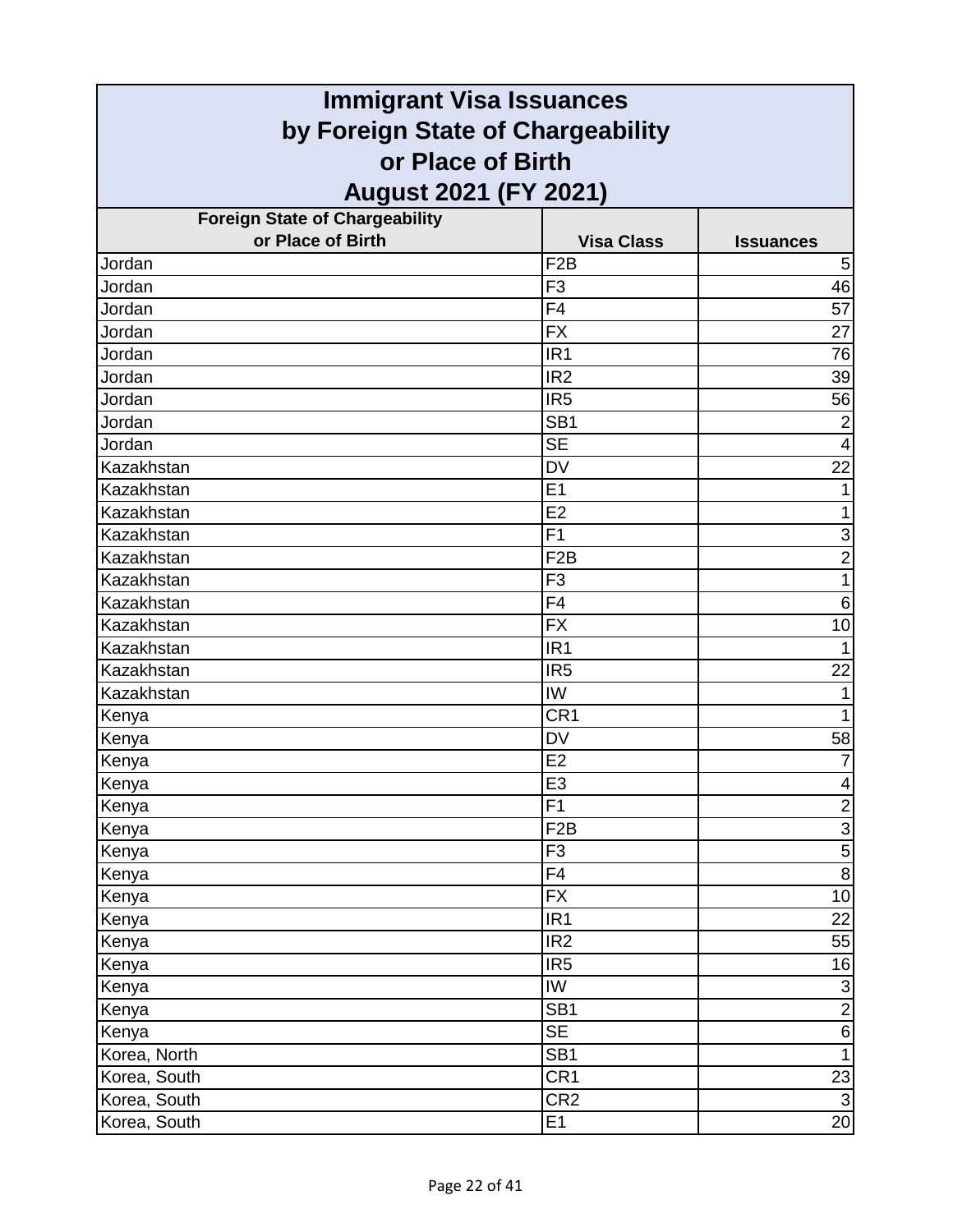| <b>Immigrant Visa Issuances</b>                        |                        |                  |
|--------------------------------------------------------|------------------------|------------------|
| by Foreign State of Chargeability<br>or Place of Birth |                        |                  |
|                                                        |                        |                  |
| <b>Foreign State of Chargeability</b>                  |                        |                  |
| or Place of Birth                                      | <b>Visa Class</b>      | <b>Issuances</b> |
| Jordan                                                 | F <sub>2</sub> B       | 5                |
| Jordan                                                 | F <sub>3</sub>         | 46               |
| Jordan                                                 | F4                     | 57               |
| Jordan                                                 | <b>FX</b>              | 27               |
| Jordan                                                 | IR <sub>1</sub>        | 76               |
| Jordan                                                 | IR <sub>2</sub>        | 39               |
| Jordan                                                 | IR <sub>5</sub>        | 56               |
| Jordan                                                 | SB <sub>1</sub>        | $\overline{2}$   |
| Jordan                                                 | <b>SE</b>              | $\overline{4}$   |
| Kazakhstan                                             | <b>DV</b>              | 22               |
| Kazakhstan                                             | E1                     | 1                |
| Kazakhstan                                             | E2                     | 1                |
| Kazakhstan                                             | F <sub>1</sub>         | $\overline{3}$   |
| Kazakhstan                                             | F <sub>2</sub> B       | $\overline{2}$   |
| Kazakhstan                                             | F <sub>3</sub>         | $\mathbf{1}$     |
| Kazakhstan                                             | F <sub>4</sub>         | $\,6$            |
| Kazakhstan                                             | <b>FX</b>              | 10               |
| Kazakhstan                                             | IR <sub>1</sub>        | 1                |
| Kazakhstan                                             | IR <sub>5</sub>        | 22               |
| Kazakhstan                                             | IW                     | 1                |
| Kenya                                                  | CR <sub>1</sub>        | 1                |
| Kenya                                                  | <b>DV</b>              | 58               |
| Kenya                                                  | E <sub>2</sub>         | $\overline{7}$   |
| Kenya                                                  | E3                     | $\vert 4 \vert$  |
| Kenya                                                  | F1                     | $\overline{2}$   |
| Kenya                                                  | F <sub>2</sub> B       | $\overline{3}$   |
| Kenya                                                  | F <sub>3</sub>         | $\overline{5}$   |
| Kenya                                                  | F4                     | $\overline{8}$   |
| Kenya                                                  | <b>FX</b>              | 10               |
| Kenya                                                  | IR <sub>1</sub>        | 22               |
| Kenya                                                  | IR <sub>2</sub>        | 55               |
| Kenya                                                  | IR <sub>5</sub>        | 16               |
| Kenya                                                  | IW                     | $\overline{3}$   |
| Kenya                                                  | SB <sub>1</sub>        | <u>၈ </u>        |
| Kenya                                                  | $\overline{\text{SE}}$ |                  |
| Korea, North                                           | SB <sub>1</sub>        | $\overline{1}$   |
| Korea, South                                           | CR <sub>1</sub>        | $\frac{23}{3}$   |
| Korea, South                                           | CR <sub>2</sub>        |                  |
| Korea, South                                           | E1                     | 20               |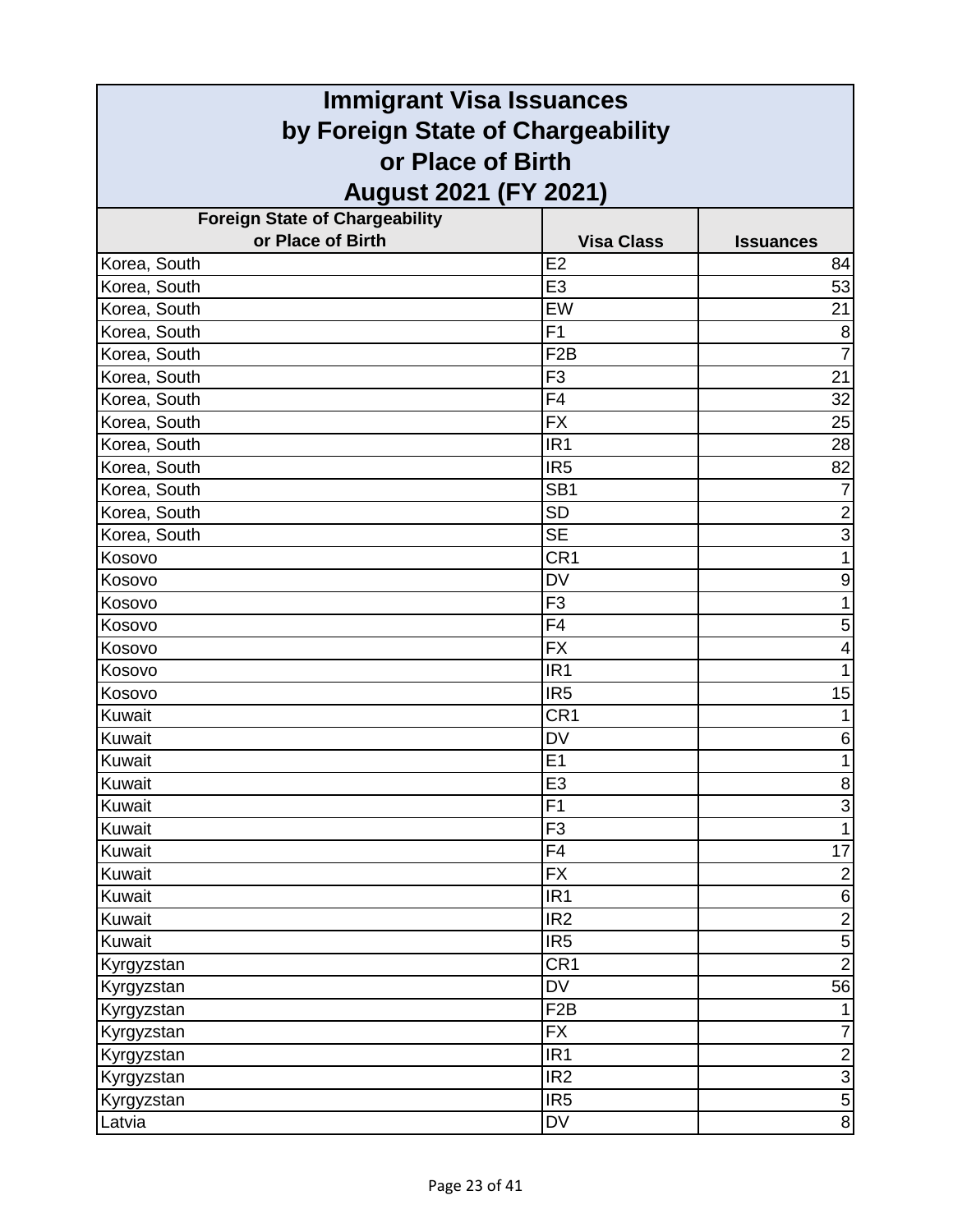| <b>Immigrant Visa Issuances</b>                            |                   |                        |
|------------------------------------------------------------|-------------------|------------------------|
| by Foreign State of Chargeability<br>or Place of Birth     |                   |                        |
|                                                            |                   |                        |
|                                                            |                   |                        |
| <b>Foreign State of Chargeability</b><br>or Place of Birth | <b>Visa Class</b> |                        |
| Korea, South                                               | E <sub>2</sub>    | <b>Issuances</b><br>84 |
| Korea, South                                               | E <sub>3</sub>    | 53                     |
| Korea, South                                               | EW                | 21                     |
| Korea, South                                               | F <sub>1</sub>    | 8                      |
| Korea, South                                               | F <sub>2</sub> B  | 7                      |
| Korea, South                                               | F <sub>3</sub>    | 21                     |
| Korea, South                                               | F4                | 32                     |
| Korea, South                                               | <b>FX</b>         | 25                     |
| Korea, South                                               | IR <sub>1</sub>   | 28                     |
| Korea, South                                               | IR <sub>5</sub>   | 82                     |
| Korea, South                                               | SB <sub>1</sub>   | 7                      |
| Korea, South                                               | <b>SD</b>         | $\overline{2}$         |
| Korea, South                                               | <b>SE</b>         | $\overline{3}$         |
| Kosovo                                                     | CR <sub>1</sub>   | 1                      |
| Kosovo                                                     | <b>DV</b>         | 9                      |
| Kosovo                                                     | F <sub>3</sub>    | $\mathbf{1}$           |
| Kosovo                                                     | F <sub>4</sub>    | 5                      |
| Kosovo                                                     | <b>FX</b>         | 4                      |
| Kosovo                                                     | IR <sub>1</sub>   | $\mathbf{1}$           |
| Kosovo                                                     | IR <sub>5</sub>   | 15                     |
| Kuwait                                                     | CR <sub>1</sub>   | 1                      |
| Kuwait                                                     | <b>DV</b>         | 6                      |
| Kuwait                                                     | E <sub>1</sub>    | $\mathbf{1}$           |
| Kuwait                                                     | E3                | $\overline{8}$         |
| Kuwait                                                     | F1                | $\overline{3}$         |
| Kuwait                                                     | F <sub>3</sub>    | $\mathbf{1}$           |
| Kuwait                                                     | F4                | 17                     |
| Kuwait                                                     | <b>FX</b>         | $\overline{2}$         |
| Kuwait                                                     | IR <sub>1</sub>   | $\mathbf 6$            |
| Kuwait                                                     | IR <sub>2</sub>   | $\overline{2}$         |
| Kuwait                                                     | IR <sub>5</sub>   | $\frac{5}{2}$          |
| Kyrgyzstan                                                 | CR <sub>1</sub>   |                        |
| Kyrgyzstan                                                 | <b>DV</b>         | 56                     |
| Kyrgyzstan                                                 | F <sub>2</sub> B  | 1                      |
| Kyrgyzstan                                                 | <b>FX</b>         | $\overline{7}$         |
| Kyrgyzstan                                                 | IR <sub>1</sub>   | $\overline{c}$         |
| Kyrgyzstan                                                 | IR <sub>2</sub>   | $\sigma$ $\omega$      |
| Kyrgyzstan                                                 | IR <sub>5</sub>   |                        |
| Latvia                                                     | DV                | $\overline{8}$         |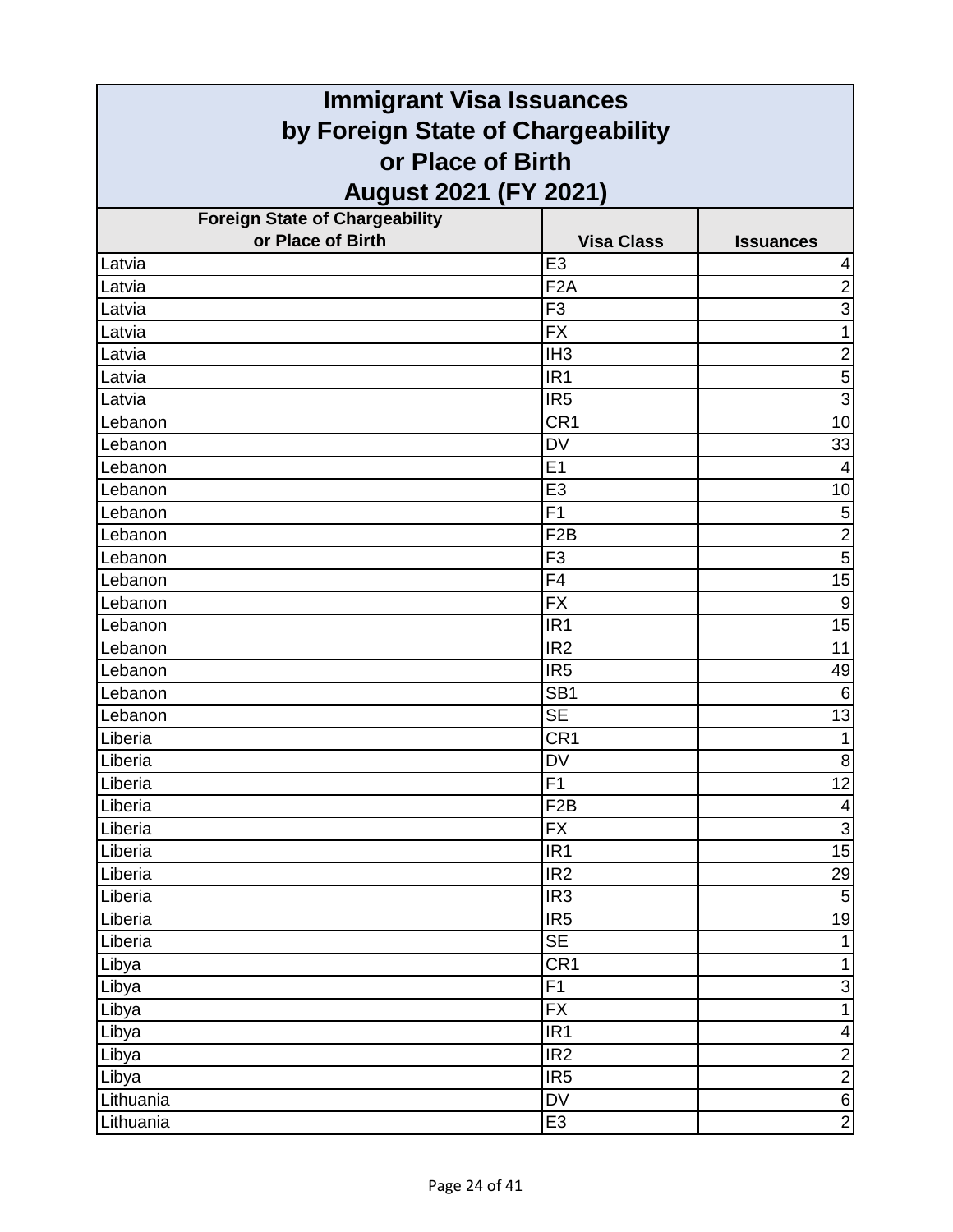| <b>Immigrant Visa Issuances</b>                        |                   |                         |
|--------------------------------------------------------|-------------------|-------------------------|
| by Foreign State of Chargeability<br>or Place of Birth |                   |                         |
|                                                        |                   |                         |
| <b>Foreign State of Chargeability</b>                  |                   |                         |
| or Place of Birth                                      | <b>Visa Class</b> | <b>Issuances</b>        |
| Latvia                                                 | E <sub>3</sub>    | 4                       |
| Latvia                                                 | F <sub>2</sub> A  | $\overline{2}$          |
| Latvia                                                 | F <sub>3</sub>    | $\overline{3}$          |
| Latvia                                                 | <b>FX</b>         | 1                       |
| Latvia                                                 | IH <sub>3</sub>   | $\overline{\mathbf{c}}$ |
| Latvia                                                 | IR <sub>1</sub>   | $\overline{5}$          |
| Latvia                                                 | IR <sub>5</sub>   | $\overline{3}$          |
| Lebanon                                                | CR <sub>1</sub>   | 10                      |
| Lebanon                                                | <b>DV</b>         | 33                      |
| Lebanon                                                | E1                | $\overline{4}$          |
| Lebanon                                                | E <sub>3</sub>    | 10                      |
| Lebanon                                                | F <sub>1</sub>    | $\mathbf 5$             |
| Lebanon                                                | F <sub>2</sub> B  | $\overline{2}$          |
| Lebanon                                                | F <sub>3</sub>    | $\overline{5}$          |
| Lebanon                                                | F4                | 15                      |
| Lebanon                                                | <b>FX</b>         | $\boldsymbol{9}$        |
| Lebanon                                                | IR <sub>1</sub>   | $\overline{15}$         |
| Lebanon                                                | IR <sub>2</sub>   | 11                      |
| Lebanon                                                | IR <sub>5</sub>   | 49                      |
| Lebanon                                                | SB <sub>1</sub>   | 6                       |
| Lebanon                                                | <b>SE</b>         | 13                      |
| Liberia                                                | CR1               | $\mathbf{1}$            |
| Liberia                                                | DV                | $\,8\,$                 |
| Liberia                                                | F1                | 12                      |
| Liberia                                                | F <sub>2</sub> B  | $\overline{\mathbf{4}}$ |
| Liberia                                                | <b>FX</b>         | $\overline{3}$          |
| Liberia                                                | IR <sub>1</sub>   | 15                      |
| Liberia                                                | IR2               | 29                      |
| Liberia                                                | IR <sub>3</sub>   | $\mathbf 5$             |
| Liberia                                                | IR <sub>5</sub>   | 19                      |
| Liberia                                                | <b>SE</b>         | 1                       |
| Libya                                                  | CR <sub>1</sub>   | $\mathbf{1}$            |
| Libya                                                  | F1                | $\mathsf 3$             |
| Libya                                                  | <b>FX</b>         | $\mathbf{1}$            |
| Libya                                                  | IR1               | $\overline{\mathbf{4}}$ |
| Libya                                                  | IR <sub>2</sub>   | $\frac{2}{2}$           |
| Libya                                                  | IR <sub>5</sub>   |                         |
| Lithuania                                              | DV                | $\sigma$                |
| Lithuania                                              | E <sub>3</sub>    | $\overline{2}$          |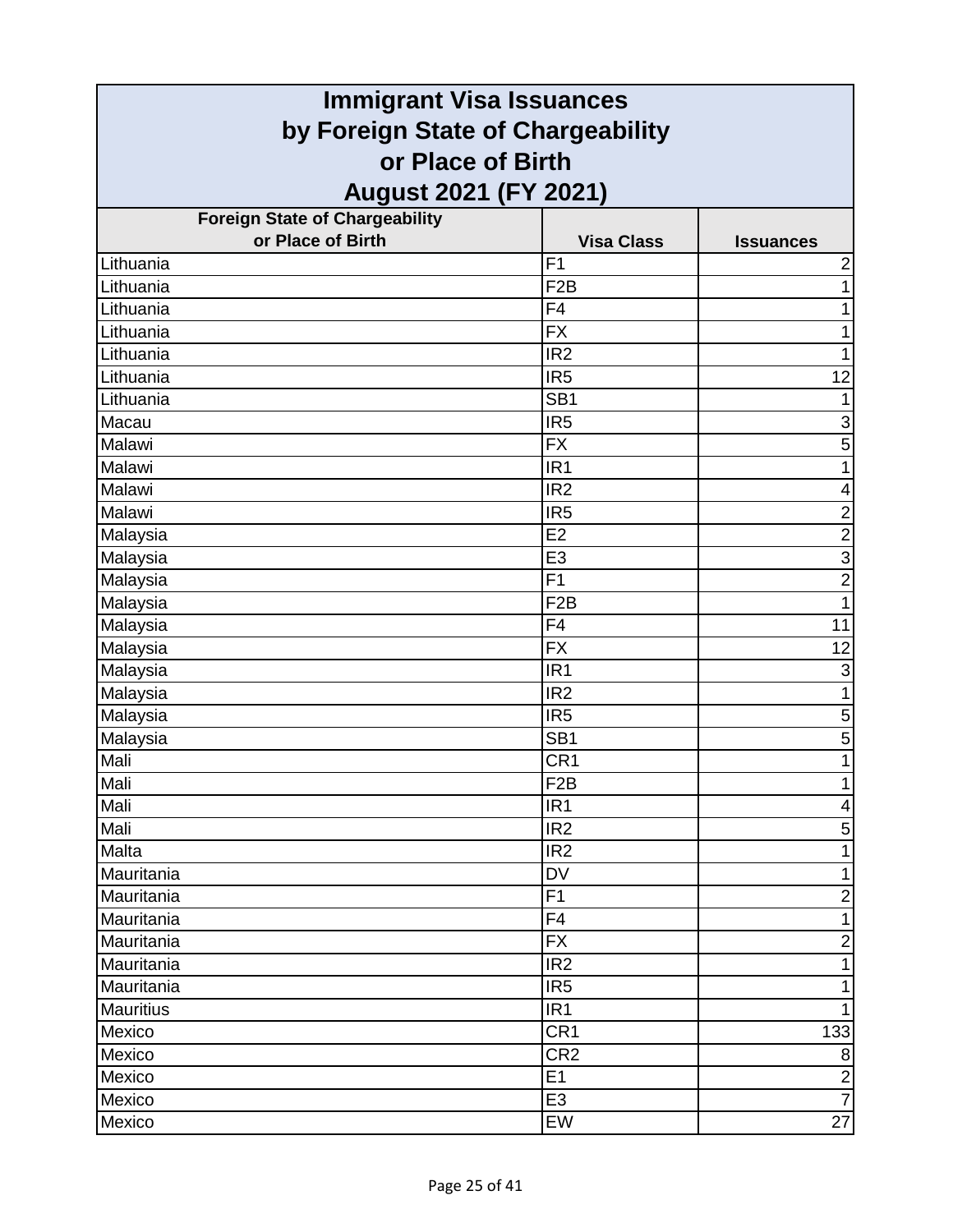| <b>Immigrant Visa Issuances</b>                        |                   |                         |
|--------------------------------------------------------|-------------------|-------------------------|
| by Foreign State of Chargeability<br>or Place of Birth |                   |                         |
|                                                        |                   |                         |
| <b>Foreign State of Chargeability</b>                  |                   |                         |
| or Place of Birth                                      | <b>Visa Class</b> | <b>Issuances</b>        |
| Lithuania                                              | F <sub>1</sub>    | $\overline{\mathbf{c}}$ |
| Lithuania                                              | F <sub>2</sub> B  | 1                       |
| Lithuania                                              | F4                | 1                       |
| Lithuania                                              | <b>FX</b>         | 1                       |
| Lithuania                                              | IR <sub>2</sub>   | 1                       |
| Lithuania                                              | IR <sub>5</sub>   | 12                      |
| Lithuania                                              | SB <sub>1</sub>   |                         |
| Macau                                                  | IR <sub>5</sub>   | 3                       |
| Malawi                                                 | <b>FX</b>         | 5                       |
| Malawi                                                 | IR <sub>1</sub>   | 1                       |
| Malawi                                                 | IR <sub>2</sub>   | 4                       |
| Malawi                                                 | IR <sub>5</sub>   | $\frac{2}{2}$           |
| Malaysia                                               | E2                |                         |
| Malaysia                                               | E <sub>3</sub>    | $\overline{3}$          |
| Malaysia                                               | F <sub>1</sub>    | $\overline{2}$          |
| Malaysia                                               | F <sub>2</sub> B  | $\overline{1}$          |
| Malaysia                                               | F4                | 11                      |
| Malaysia                                               | <b>FX</b>         | 12                      |
| Malaysia                                               | IR <sub>1</sub>   | 3                       |
| Malaysia                                               | IR <sub>2</sub>   | 1                       |
| Malaysia                                               | IR <sub>5</sub>   | 5                       |
| Malaysia                                               | SB <sub>1</sub>   | 5                       |
| Mali                                                   | CR <sub>1</sub>   | 1                       |
| Mali                                                   | F2B               | $\overline{ }$          |
| Mali                                                   | IR <sub>1</sub>   | 4                       |
| Mali                                                   | IR <sub>2</sub>   | 5                       |
| Malta                                                  | IR <sub>2</sub>   | 1                       |
| Mauritania                                             | <b>DV</b>         | 1                       |
| Mauritania                                             | F1                | $\overline{c}$          |
| Mauritania                                             | F4                | 1                       |
| Mauritania                                             | <b>FX</b>         | $\mathbf 2$             |
| Mauritania                                             | IR <sub>2</sub>   | $\mathbf{1}$            |
| Mauritania                                             | IR <sub>5</sub>   | 1                       |
| <b>Mauritius</b>                                       | IR <sub>1</sub>   | 1                       |
| Mexico                                                 | CR <sub>1</sub>   | 133                     |
| Mexico                                                 | CR <sub>2</sub>   | 8                       |
| Mexico                                                 | E1                | $\overline{\mathbf{c}}$ |
| Mexico                                                 | E <sub>3</sub>    | $\overline{7}$          |
| Mexico                                                 | EW                | 27                      |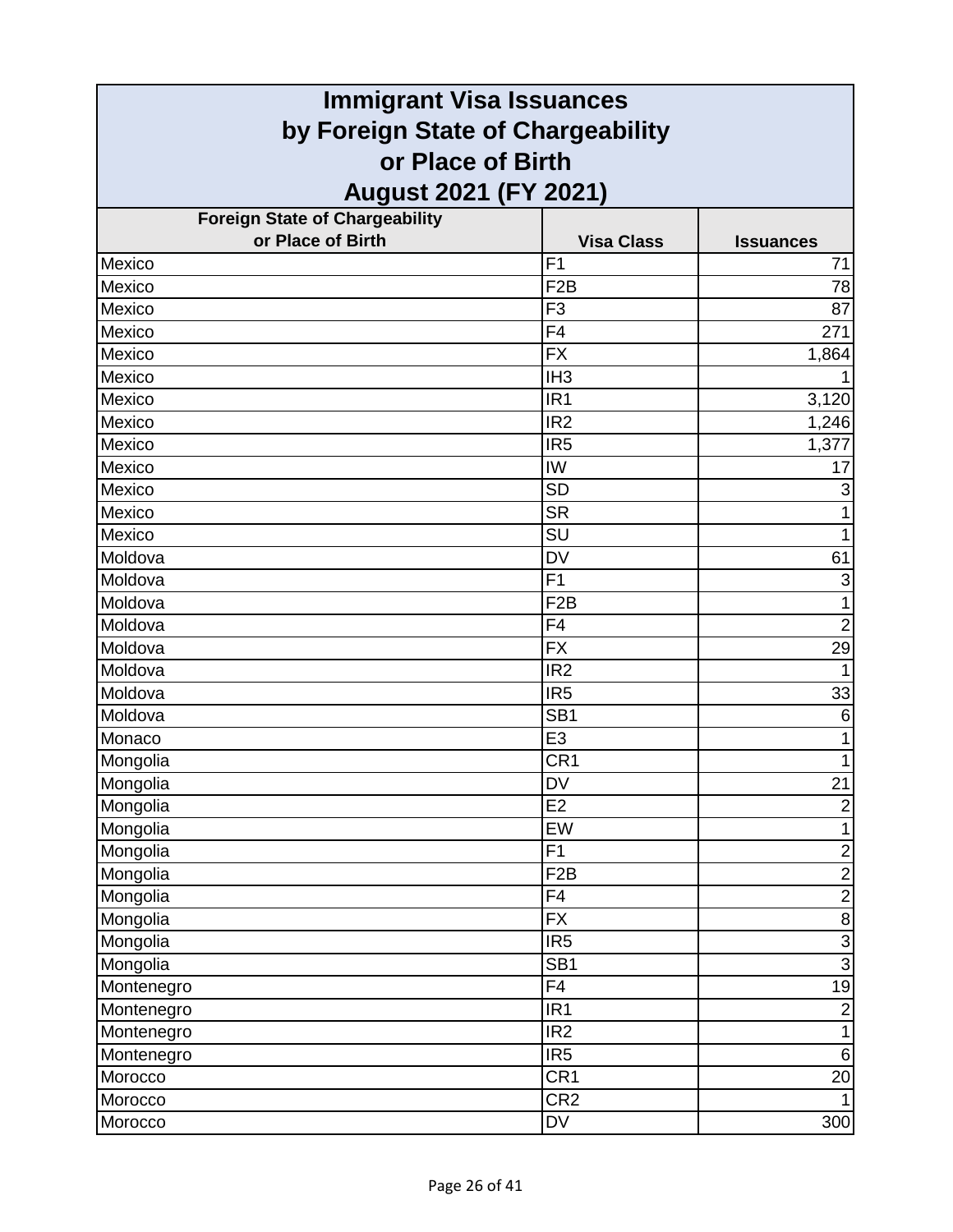| <b>Immigrant Visa Issuances</b>       |                   |                           |
|---------------------------------------|-------------------|---------------------------|
| by Foreign State of Chargeability     |                   |                           |
| or Place of Birth                     |                   |                           |
| <b>August 2021 (FY 2021)</b>          |                   |                           |
| <b>Foreign State of Chargeability</b> |                   |                           |
| or Place of Birth                     | <b>Visa Class</b> | <b>Issuances</b>          |
| Mexico                                | F <sub>1</sub>    | 71                        |
| Mexico                                | F <sub>2</sub> B  | 78                        |
| Mexico                                | F <sub>3</sub>    | 87                        |
| Mexico                                | F <sub>4</sub>    | 271                       |
| Mexico                                | <b>FX</b>         | 1,864                     |
| Mexico                                | IH <sub>3</sub>   |                           |
| Mexico                                | IR <sub>1</sub>   | 3,120                     |
| Mexico                                | IR <sub>2</sub>   | 1,246                     |
| Mexico                                | IR <sub>5</sub>   | 1,377                     |
| Mexico                                | IW                | 17                        |
| Mexico                                | <b>SD</b>         | 3                         |
| Mexico                                | <b>SR</b>         |                           |
| Mexico                                | SU                | 1                         |
| Moldova                               | <b>DV</b>         | 61                        |
| Moldova                               | F1                | $\ensuremath{\mathsf{3}}$ |
| Moldova                               | F <sub>2</sub> B  | $\mathbf{1}$              |
| Moldova                               | F <sub>4</sub>    | $\overline{2}$            |
| Moldova                               | <b>FX</b>         | 29                        |
| Moldova                               | IR <sub>2</sub>   | $\mathbf{1}$              |
| Moldova                               | IR <sub>5</sub>   | 33                        |
| Moldova                               | SB <sub>1</sub>   | 6                         |
| Monaco                                | E <sub>3</sub>    | 1                         |
| Mongolia                              | CR <sub>1</sub>   | $\mathbf{1}$              |
| Mongolia                              | <b>DV</b>         | 21                        |
| Mongolia                              | E2                | $\overline{2}$            |
| Mongolia                              | EW                | $\mathbf{1}$              |
| Mongolia                              | F1                | $\overline{2}$            |
| Mongolia                              | F <sub>2</sub> B  | $\overline{2}$            |
| Mongolia                              | F4                | $\overline{2}$            |
| Mongolia                              | $\overline{FX}$   | $\overline{8}$            |
| Mongolia                              | IR <sub>5</sub>   | دە  دە                    |
| Mongolia                              | SB <sub>1</sub>   |                           |
| Montenegro                            | F4                | 19                        |
| Montenegro                            | IR <sub>1</sub>   | $\overline{c}$            |
| Montenegro                            | IR2               | $\overline{1}$            |
| Montenegro                            | IR <sub>5</sub>   | $\,6$                     |
| Morocco                               | CR <sub>1</sub>   | 20                        |
| Morocco                               | CR <sub>2</sub>   |                           |
| Morocco                               | DV                | 300                       |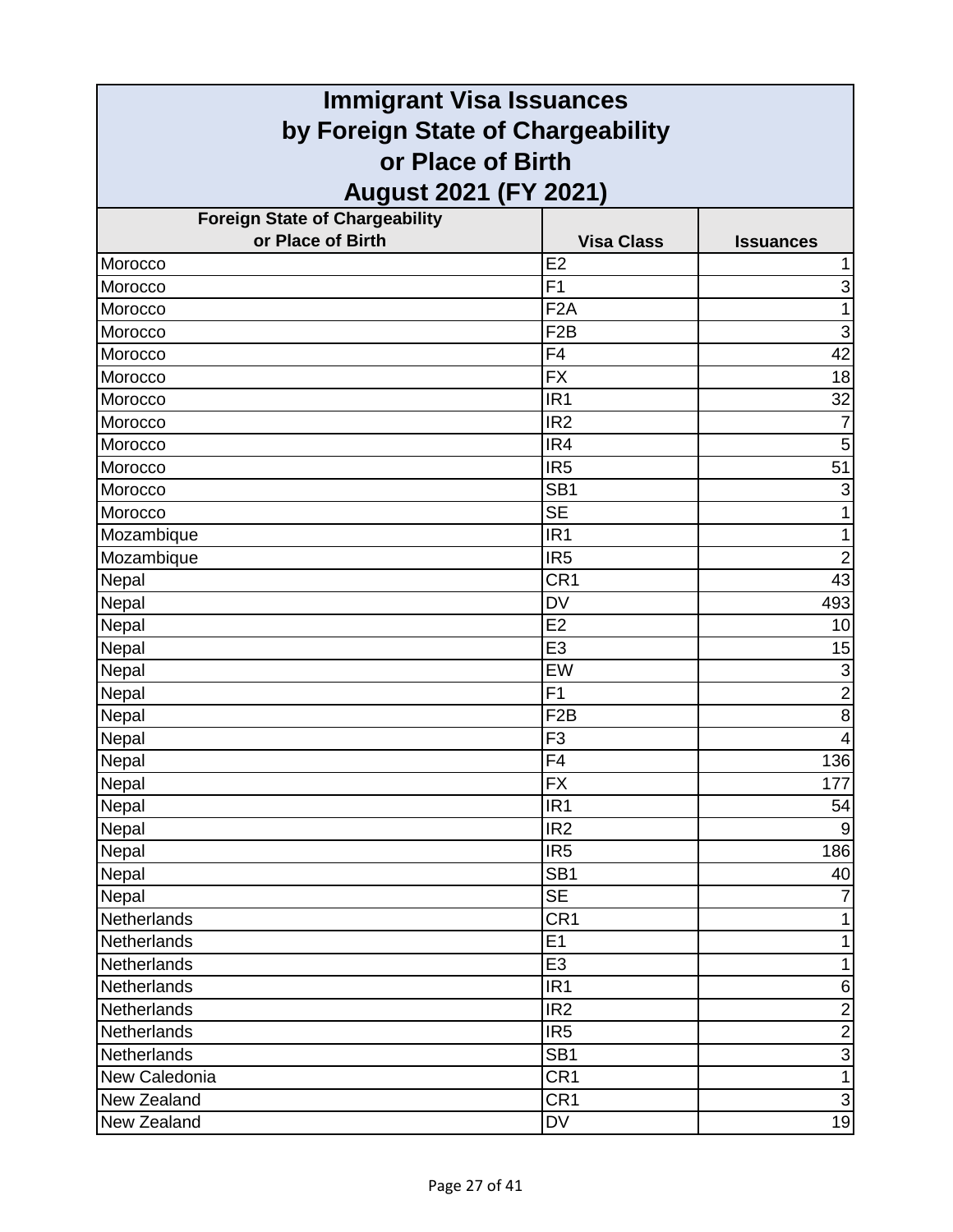| <b>Immigrant Visa Issuances</b>                        |                   |                           |
|--------------------------------------------------------|-------------------|---------------------------|
| by Foreign State of Chargeability<br>or Place of Birth |                   |                           |
|                                                        |                   |                           |
| <b>Foreign State of Chargeability</b>                  |                   |                           |
| or Place of Birth                                      | <b>Visa Class</b> | <b>Issuances</b>          |
| Morocco                                                | E2                | 1                         |
| Morocco                                                | F <sub>1</sub>    | $\ensuremath{\mathsf{3}}$ |
| Morocco                                                | F <sub>2</sub> A  | 1                         |
| Morocco                                                | F <sub>2</sub> B  | 3                         |
| Morocco                                                | F <sub>4</sub>    | 42                        |
| Morocco                                                | <b>FX</b>         | 18                        |
| Morocco                                                | IR <sub>1</sub>   | 32                        |
| Morocco                                                | IR <sub>2</sub>   | $\overline{7}$            |
| Morocco                                                | IR4               | 5                         |
| Morocco                                                | IR <sub>5</sub>   | 51                        |
| Morocco                                                | SB <sub>1</sub>   | 3                         |
| Morocco                                                | <b>SE</b>         | 1                         |
| Mozambique                                             | IR <sub>1</sub>   | 1                         |
| Mozambique                                             | IR <sub>5</sub>   | $\overline{2}$            |
| Nepal                                                  | CR <sub>1</sub>   | 43                        |
| Nepal                                                  | <b>DV</b>         | 493                       |
| Nepal                                                  | E2                | 10                        |
| Nepal                                                  | E <sub>3</sub>    | 15                        |
| Nepal                                                  | EW                | $\ensuremath{\mathsf{3}}$ |
| Nepal                                                  | F <sub>1</sub>    | $\overline{2}$            |
| Nepal                                                  | F <sub>2</sub> B  | 8                         |
| Nepal                                                  | F <sub>3</sub>    | 4                         |
| Nepal                                                  | F <sub>4</sub>    | 136                       |
| Nepal                                                  | $\overline{FX}$   | 177                       |
| Nepal                                                  | IR <sub>1</sub>   | 54                        |
| Nepal                                                  | IR <sub>2</sub>   | 9                         |
| Nepal                                                  | IR <sub>5</sub>   | 186                       |
| Nepal                                                  | SB <sub>1</sub>   | 40                        |
| Nepal                                                  | <b>SE</b>         |                           |
| Netherlands                                            | CR <sub>1</sub>   | 1                         |
| Netherlands                                            | E1                | 1                         |
| Netherlands                                            | E <sub>3</sub>    | $\mathbf{1}$              |
| Netherlands                                            | IR <sub>1</sub>   | 6                         |
| Netherlands                                            | IR <sub>2</sub>   | $\overline{2}$            |
| Netherlands                                            | IR <sub>5</sub>   | $\overline{2}$            |
| Netherlands                                            | SB <sub>1</sub>   | $\overline{3}$            |
| New Caledonia                                          | CR <sub>1</sub>   | $\mathbf{1}$              |
| New Zealand                                            | CR <sub>1</sub>   | $\overline{3}$            |
| New Zealand                                            | <b>DV</b>         | 19                        |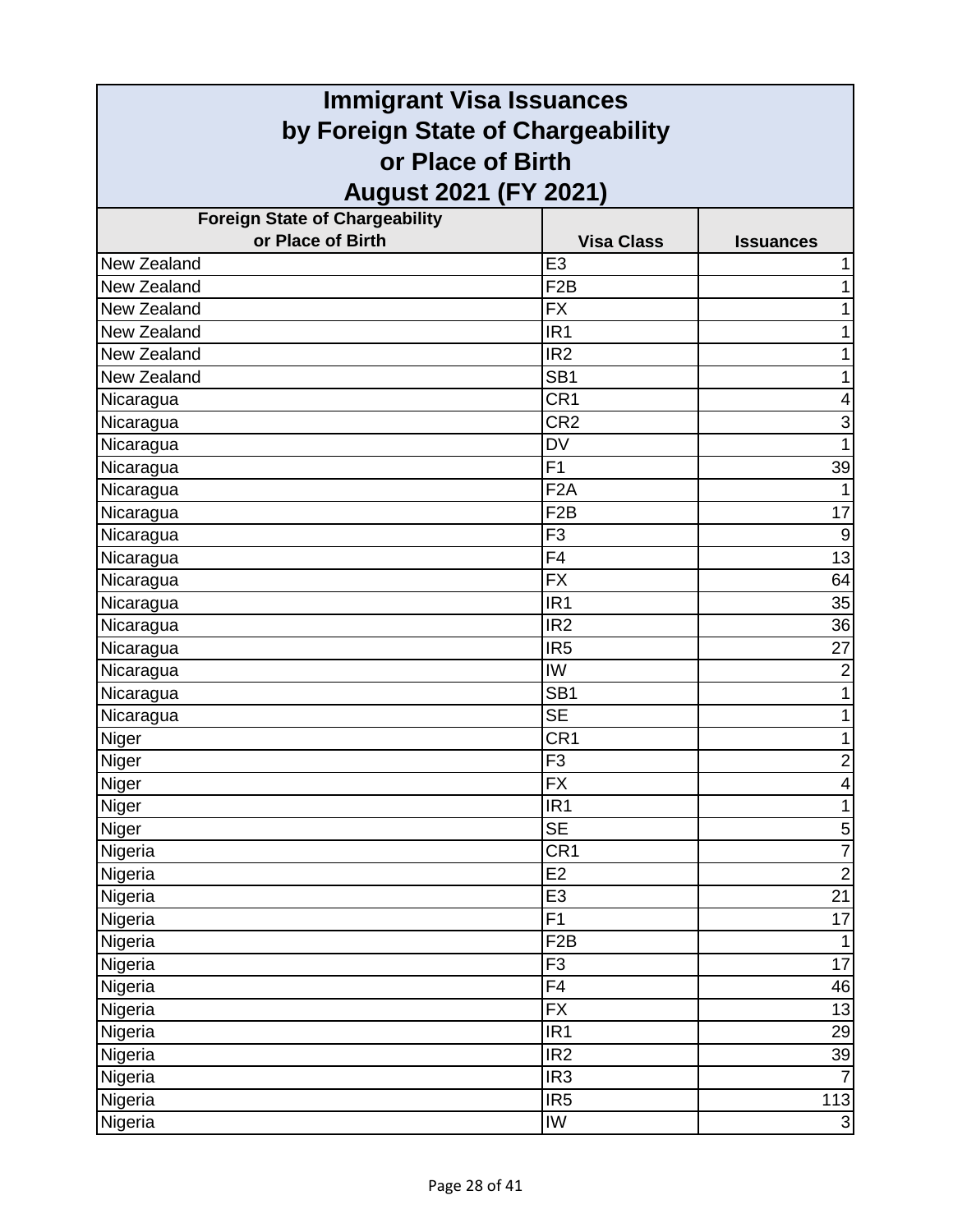| <b>Immigrant Visa Issuances</b>                        |                   |                  |
|--------------------------------------------------------|-------------------|------------------|
| by Foreign State of Chargeability<br>or Place of Birth |                   |                  |
|                                                        |                   |                  |
| <b>Foreign State of Chargeability</b>                  |                   |                  |
| or Place of Birth                                      | <b>Visa Class</b> | <b>Issuances</b> |
| New Zealand                                            | E <sub>3</sub>    |                  |
| New Zealand                                            | F <sub>2</sub> B  |                  |
| New Zealand                                            | <b>FX</b>         | 1                |
| New Zealand                                            | IR <sub>1</sub>   |                  |
| New Zealand                                            | IR <sub>2</sub>   | 1                |
| New Zealand                                            | SB <sub>1</sub>   | 1                |
| Nicaragua                                              | CR <sub>1</sub>   | 4                |
| Nicaragua                                              | CR <sub>2</sub>   | 3                |
| Nicaragua                                              | <b>DV</b>         | 1                |
| Nicaragua                                              | F <sub>1</sub>    | 39               |
| Nicaragua                                              | F <sub>2</sub> A  |                  |
| Nicaragua                                              | F <sub>2</sub> B  | 17               |
| Nicaragua                                              | F <sub>3</sub>    | 9                |
| Nicaragua                                              | F4                | $\overline{13}$  |
| Nicaragua                                              | <b>FX</b>         | 64               |
| Nicaragua                                              | IR <sub>1</sub>   | 35               |
| Nicaragua                                              | IR <sub>2</sub>   | $\overline{36}$  |
| Nicaragua                                              | IR <sub>5</sub>   | 27               |
| Nicaragua                                              | IW                | $\overline{2}$   |
| Nicaragua                                              | SB <sub>1</sub>   | 1                |
| Nicaragua                                              | <b>SE</b>         |                  |
| Niger                                                  | CR <sub>1</sub>   | 1                |
| Niger                                                  | F <sub>3</sub>    | $\overline{2}$   |
| Niger                                                  | $\overline{FX}$   | 4                |
| Niger                                                  | IR <sub>1</sub>   | $\overline{1}$   |
| Niger                                                  | <b>SE</b>         | $\mathbf 5$      |
| Nigeria                                                | CR <sub>1</sub>   | $\overline{7}$   |
| Nigeria                                                | E2                | $\overline{2}$   |
| Nigeria                                                | E <sub>3</sub>    | $\overline{21}$  |
| Nigeria                                                | F1                | 17               |
| Nigeria                                                | F <sub>2</sub> B  | 1                |
| Nigeria                                                | F <sub>3</sub>    | 17               |
| Nigeria                                                | F4                | 46               |
| Nigeria                                                | <b>FX</b>         | 13               |
| Nigeria                                                | IR <sub>1</sub>   | 29               |
| Nigeria                                                | IR <sub>2</sub>   | 39               |
| Nigeria                                                | IR <sub>3</sub>   | $\overline{7}$   |
| Nigeria                                                | IR <sub>5</sub>   | 113              |
| Nigeria                                                | IW                | $\overline{3}$   |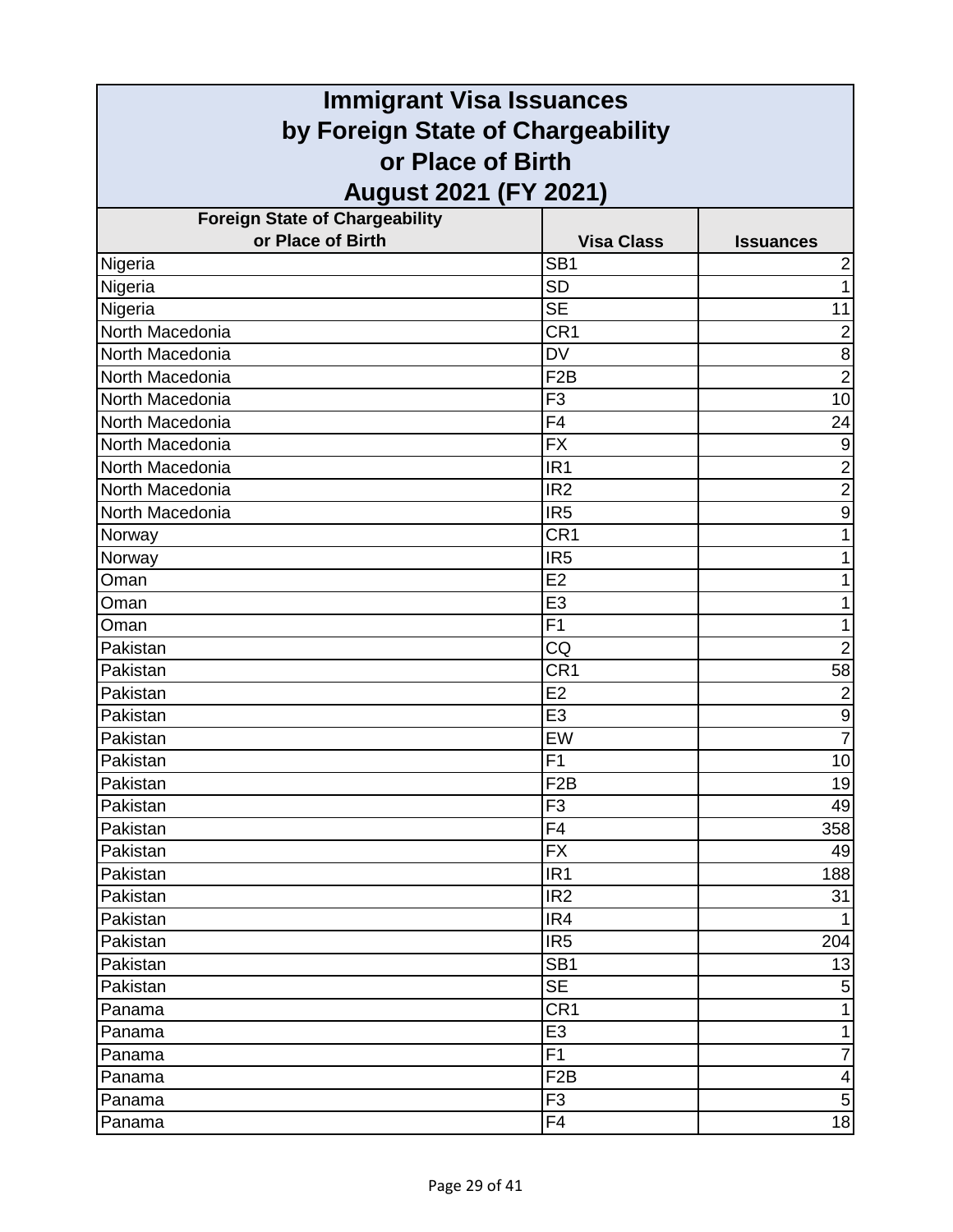| <b>Immigrant Visa Issuances</b>       |                                   |                  |  |
|---------------------------------------|-----------------------------------|------------------|--|
|                                       | by Foreign State of Chargeability |                  |  |
| or Place of Birth                     |                                   |                  |  |
| August 2021 (FY 2021)                 |                                   |                  |  |
| <b>Foreign State of Chargeability</b> |                                   |                  |  |
| or Place of Birth                     | <b>Visa Class</b>                 | <b>Issuances</b> |  |
| Nigeria                               | SB <sub>1</sub>                   | 2                |  |
| Nigeria                               | <b>SD</b>                         | 1                |  |
| Nigeria                               | <b>SE</b>                         | 11               |  |
| North Macedonia                       | CR <sub>1</sub>                   | $\overline{2}$   |  |
| North Macedonia                       | <b>DV</b>                         | 8                |  |
| North Macedonia                       | F <sub>2</sub> B                  | $\overline{2}$   |  |
| North Macedonia                       | F <sub>3</sub>                    | 10               |  |
| North Macedonia                       | F4                                | 24               |  |
| North Macedonia                       | <b>FX</b>                         | $\overline{9}$   |  |
| North Macedonia                       | IR <sub>1</sub>                   | $\overline{2}$   |  |
| North Macedonia                       | IR <sub>2</sub>                   | $\overline{c}$   |  |
| North Macedonia                       | IR <sub>5</sub>                   | $\boldsymbol{9}$ |  |
| Norway                                | CR <sub>1</sub>                   | 1                |  |
| Norway                                | IR <sub>5</sub>                   | 1                |  |
| Oman                                  | E <sub>2</sub>                    |                  |  |
| Oman                                  | E <sub>3</sub>                    | 1                |  |
| Oman                                  | $\overline{F1}$                   | 1                |  |
| Pakistan                              | CQ                                | $\overline{2}$   |  |
| Pakistan                              | CR <sub>1</sub>                   | 58               |  |
| Pakistan                              | E <sub>2</sub>                    | $\overline{2}$   |  |
| Pakistan                              | E <sub>3</sub>                    | $\boldsymbol{9}$ |  |
| Pakistan                              | EW                                | $\overline{7}$   |  |
| Pakistan                              | F <sub>1</sub>                    | 10               |  |
| Pakistan                              | F2B                               | 19               |  |
| Pakistan                              | F <sub>3</sub>                    | 49               |  |
| Pakistan                              | F <sub>4</sub>                    | 358              |  |
| Pakistan                              | <b>FX</b>                         | 49               |  |
| Pakistan                              | IR <sub>1</sub>                   | 188              |  |
| Pakistan                              | IR <sub>2</sub>                   | 31               |  |
| Pakistan                              | IR4                               | 1                |  |
| Pakistan                              | IR <sub>5</sub>                   | 204              |  |
| Pakistan                              | SB <sub>1</sub>                   | 13               |  |
| Pakistan                              | <b>SE</b>                         | 5                |  |
| Panama                                | CR <sub>1</sub>                   | 1                |  |
| Panama                                | E <sub>3</sub>                    | 1                |  |
| Panama                                | F <sub>1</sub>                    | 7                |  |
| Panama                                | F <sub>2</sub> B                  | 4                |  |
| Panama                                | F <sub>3</sub>                    | $\mathbf 5$      |  |
| Panama                                | F <sub>4</sub>                    | 18               |  |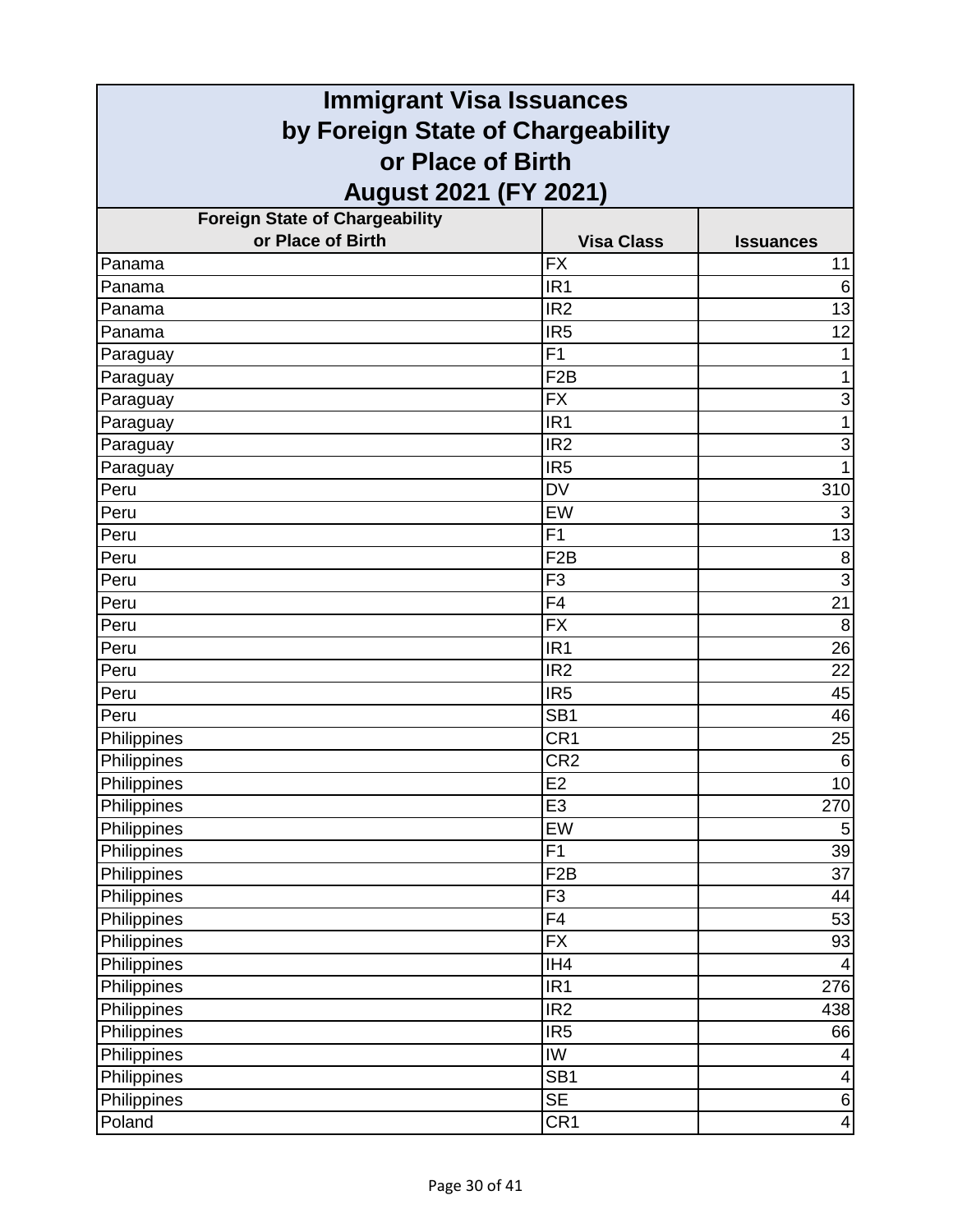| <b>Immigrant Visa Issuances</b>                        |                   |                  |
|--------------------------------------------------------|-------------------|------------------|
| by Foreign State of Chargeability<br>or Place of Birth |                   |                  |
|                                                        |                   |                  |
| <b>Foreign State of Chargeability</b>                  |                   |                  |
| or Place of Birth                                      | <b>Visa Class</b> | <b>Issuances</b> |
| Panama                                                 | <b>FX</b>         | 11               |
| Panama                                                 | IR <sub>1</sub>   | 6                |
| Panama                                                 | IR <sub>2</sub>   | 13               |
| Panama                                                 | IR <sub>5</sub>   | 12               |
| Paraguay                                               | F <sub>1</sub>    |                  |
| Paraguay                                               | F <sub>2</sub> B  | 1                |
| Paraguay                                               | <b>FX</b>         | 3                |
| Paraguay                                               | IR <sub>1</sub>   |                  |
| Paraguay                                               | IR <sub>2</sub>   | 3                |
| Paraguay                                               | IR <sub>5</sub>   |                  |
| Peru                                                   | <b>DV</b>         | 310              |
| Peru                                                   | EW                | 3                |
| Peru                                                   | F <sub>1</sub>    | 13               |
| Peru                                                   | F <sub>2</sub> B  | 8                |
| Peru                                                   | F <sub>3</sub>    | 3                |
| Peru                                                   | F4                | 21               |
| Peru                                                   | <b>FX</b>         | 8                |
| Peru                                                   | IR <sub>1</sub>   | 26               |
| Peru                                                   | IR <sub>2</sub>   | 22               |
| Peru                                                   | IR <sub>5</sub>   | 45               |
| Peru                                                   | SB <sub>1</sub>   | 46               |
| Philippines                                            | CR1               | 25               |
| Philippines                                            | CR <sub>2</sub>   | $\,6$            |
| Philippines                                            | E2                | 10               |
| Philippines                                            | E <sub>3</sub>    | 270              |
| Philippines                                            | EW                | $\sqrt{5}$       |
| Philippines                                            | F1                | 39               |
| Philippines                                            | F <sub>2</sub> B  | 37               |
| Philippines                                            | F <sub>3</sub>    | 44               |
| Philippines                                            | F4                | 53               |
| Philippines                                            | <b>FX</b>         | 93               |
| Philippines                                            | IH4               | 4                |
| Philippines                                            | IR <sub>1</sub>   | 276              |
| Philippines                                            | IR <sub>2</sub>   | 438              |
| Philippines                                            | IR <sub>5</sub>   | 66               |
| Philippines                                            | IW                | 4                |
| Philippines                                            | SB <sub>1</sub>   | 4                |
| Philippines                                            | <b>SE</b>         | $\,6$            |
| Poland                                                 | CR <sub>1</sub>   | 4                |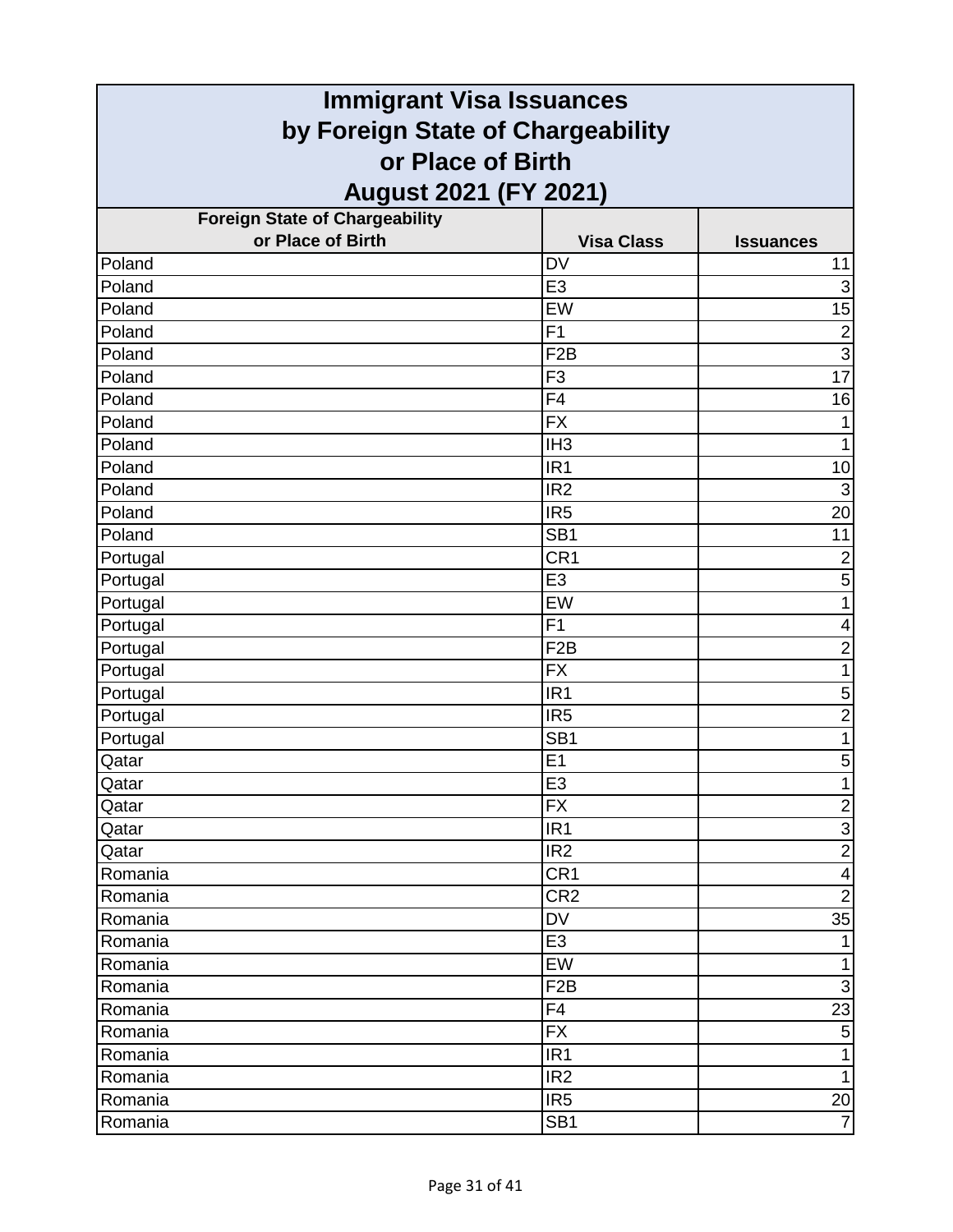| <b>Immigrant Visa Issuances</b>                        |                   |                         |
|--------------------------------------------------------|-------------------|-------------------------|
| by Foreign State of Chargeability<br>or Place of Birth |                   |                         |
|                                                        |                   |                         |
| <b>Foreign State of Chargeability</b>                  |                   |                         |
| or Place of Birth                                      | <b>Visa Class</b> | <b>Issuances</b>        |
| Poland                                                 | <b>DV</b>         | 11                      |
| Poland                                                 | E <sub>3</sub>    | $\overline{3}$          |
| Poland                                                 | EW                | 15                      |
| Poland                                                 | F1                | $\overline{2}$          |
| Poland                                                 | F <sub>2</sub> B  | $\overline{3}$          |
| Poland                                                 | F <sub>3</sub>    | $\overline{17}$         |
| Poland                                                 | F <sub>4</sub>    | 16                      |
| Poland                                                 | <b>FX</b>         | 1                       |
| Poland                                                 | IH <sub>3</sub>   | 1                       |
| Poland                                                 | IR <sub>1</sub>   | 10                      |
| Poland                                                 | IR <sub>2</sub>   | $\mathbf{3}$            |
| Poland                                                 | IR <sub>5</sub>   | 20                      |
| Poland                                                 | SB <sub>1</sub>   | 11                      |
| Portugal                                               | CR <sub>1</sub>   | $\overline{2}$          |
| Portugal                                               | E <sub>3</sub>    | 5                       |
| Portugal                                               | EW                | 1                       |
| Portugal                                               | F1                | 4                       |
| Portugal                                               | F <sub>2</sub> B  | $\overline{c}$          |
| Portugal                                               | <b>FX</b>         | 1                       |
| Portugal                                               | IR <sub>1</sub>   | $\mathbf 5$             |
| Portugal                                               | IR <sub>5</sub>   | $\overline{2}$          |
| Portugal                                               | SB <sub>1</sub>   | 1                       |
| Qatar                                                  | E1                | $\mathbf 5$             |
| Qatar                                                  | $\overline{E3}$   | $\mathbf 1$             |
| Qatar                                                  | <b>FX</b>         | $\overline{2}$          |
| Qatar                                                  | IR <sub>1</sub>   | $\overline{3}$          |
| Qatar                                                  | IR <sub>2</sub>   | $\overline{2}$          |
| Romania                                                | CR <sub>1</sub>   | $\overline{\mathbf{4}}$ |
| Romania                                                | CR <sub>2</sub>   | $\overline{2}$          |
| Romania                                                | DV                | 35                      |
| Romania                                                | E <sub>3</sub>    | $\mathbf{1}$            |
| Romania                                                | EW                | $\mathbf{1}$            |
| Romania                                                | F <sub>2</sub> B  | $\mathbf{3}$            |
| Romania                                                | F4                | 23                      |
| Romania                                                | <b>FX</b>         | $\overline{5}$          |
| Romania                                                | IR <sub>1</sub>   | $\mathbf{1}$            |
| Romania                                                | IR <sub>2</sub>   | $\mathbf{1}$            |
| Romania                                                | IR <sub>5</sub>   | 20                      |
| Romania                                                | SB <sub>1</sub>   | $\overline{7}$          |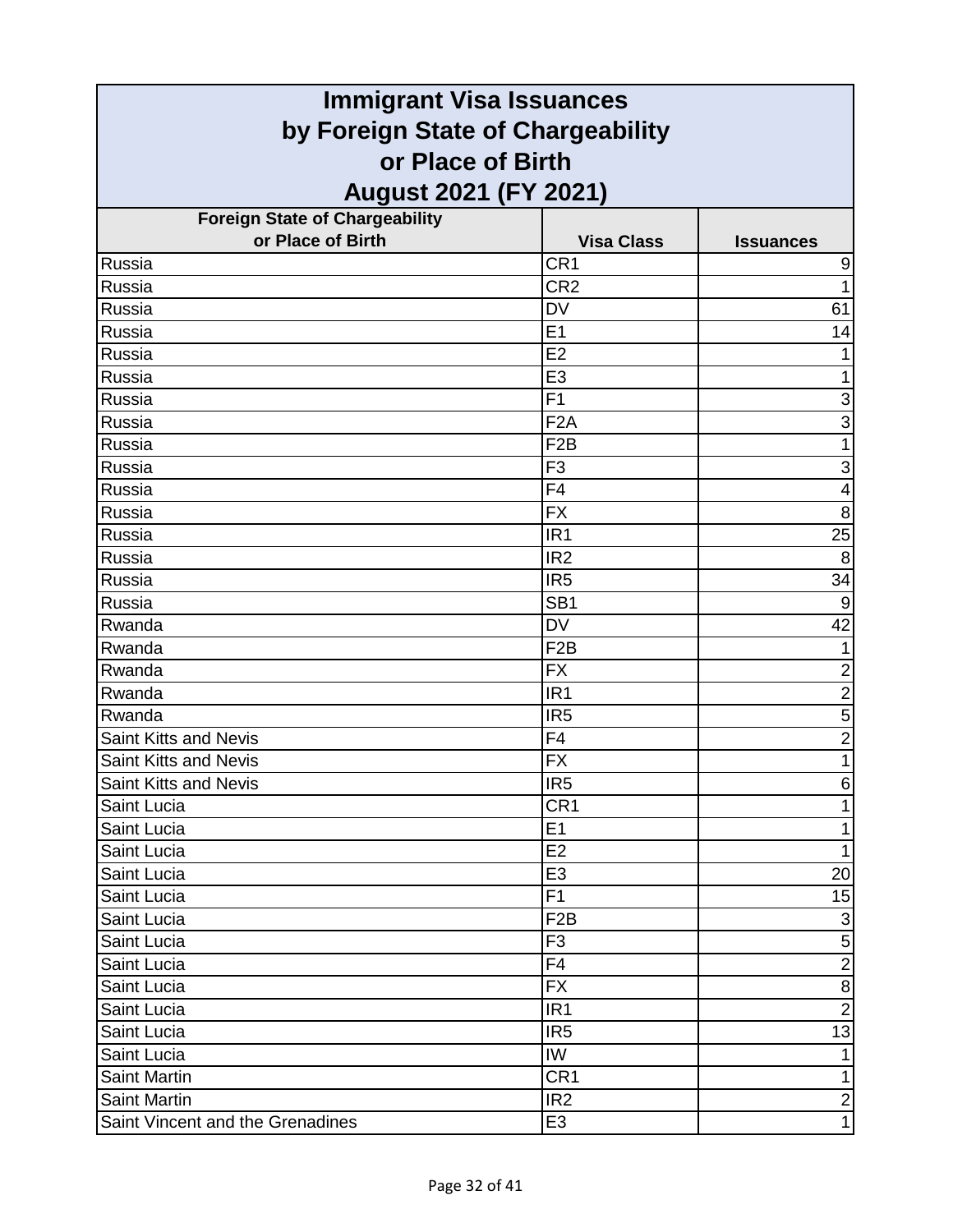| <b>Immigrant Visa Issuances</b>       |                   |                           |
|---------------------------------------|-------------------|---------------------------|
| by Foreign State of Chargeability     |                   |                           |
| or Place of Birth                     |                   |                           |
| <b>August 2021 (FY 2021)</b>          |                   |                           |
| <b>Foreign State of Chargeability</b> |                   |                           |
| or Place of Birth                     | <b>Visa Class</b> | <b>Issuances</b>          |
| Russia                                | CR <sub>1</sub>   | 9                         |
| Russia                                | CR <sub>2</sub>   | 1                         |
| Russia                                | <b>DV</b>         | 61                        |
| Russia                                | E1                | 14                        |
| Russia                                | E2                |                           |
| Russia                                | E <sub>3</sub>    | 1                         |
| Russia                                | F1                | 3                         |
| Russia                                | F <sub>2</sub> A  | 3                         |
| Russia                                | F <sub>2</sub> B  | 1                         |
| Russia                                | F <sub>3</sub>    | 3                         |
| Russia                                | F <sub>4</sub>    | 4                         |
| Russia                                | <b>FX</b>         | 8                         |
| Russia                                | IR <sub>1</sub>   | $\overline{25}$           |
| Russia                                | IR <sub>2</sub>   | 8                         |
| Russia                                | IR <sub>5</sub>   | 34                        |
| Russia                                | SB <sub>1</sub>   | 9                         |
| Rwanda                                | <b>DV</b>         | $\overline{42}$           |
| Rwanda                                | F <sub>2</sub> B  |                           |
| Rwanda                                | <b>FX</b>         | $\overline{2}$            |
| Rwanda                                | IR <sub>1</sub>   | $\overline{2}$            |
| Rwanda                                | IR <sub>5</sub>   | 5                         |
| Saint Kitts and Nevis                 | F4                | $\overline{2}$            |
| Saint Kitts and Nevis                 | <b>FX</b>         | 1                         |
| Saint Kitts and Nevis                 | IR5               | $\,6$                     |
| Saint Lucia                           | CR <sub>1</sub>   | 1                         |
| Saint Lucia                           | E1                | 1                         |
| Saint Lucia                           | E2                | 1                         |
| Saint Lucia                           | E <sub>3</sub>    | 20                        |
| Saint Lucia                           | F <sub>1</sub>    | 15                        |
| Saint Lucia                           | F <sub>2</sub> B  | $\ensuremath{\mathsf{3}}$ |
| Saint Lucia                           | F <sub>3</sub>    | $\mathbf 5$               |
| Saint Lucia                           | F <sub>4</sub>    | $\overline{2}$            |
| Saint Lucia                           | <b>FX</b>         | $\bf 8$                   |
| Saint Lucia                           | IR <sub>1</sub>   | $\overline{2}$            |
| Saint Lucia                           | IR <sub>5</sub>   | 13                        |
| Saint Lucia                           | IW                | 1                         |
| <b>Saint Martin</b>                   | CR <sub>1</sub>   | $\mathbf{1}$              |
| <b>Saint Martin</b>                   | IR <sub>2</sub>   | $\overline{2}$            |
| Saint Vincent and the Grenadines      | E <sub>3</sub>    | $\mathbf{1}$              |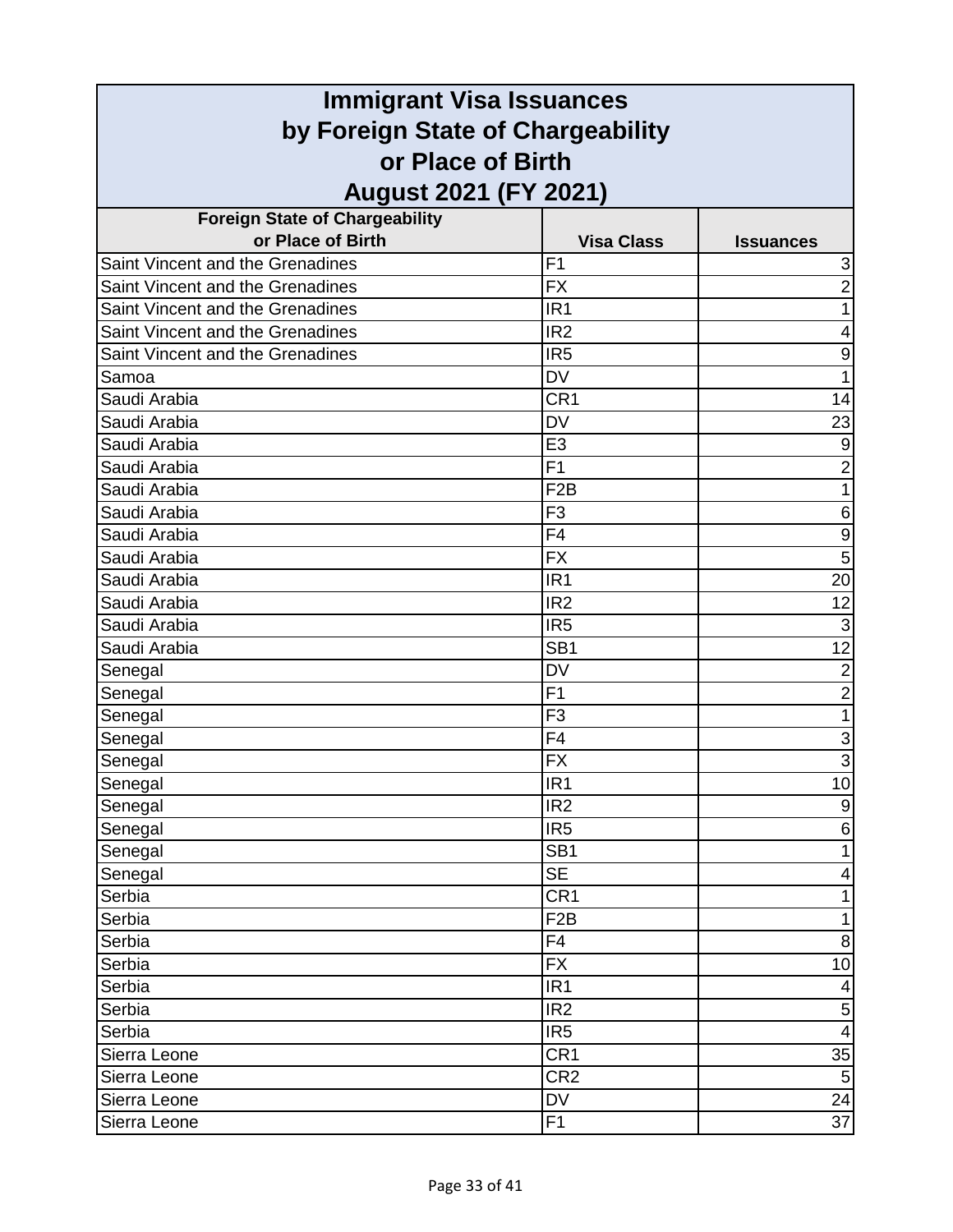| <b>Immigrant Visa Issuances</b>         |                   |                         |
|-----------------------------------------|-------------------|-------------------------|
| by Foreign State of Chargeability       |                   |                         |
| or Place of Birth                       |                   |                         |
| <b>August 2021 (FY 2021)</b>            |                   |                         |
| <b>Foreign State of Chargeability</b>   |                   |                         |
| or Place of Birth                       | <b>Visa Class</b> | <b>Issuances</b>        |
| Saint Vincent and the Grenadines        | F <sub>1</sub>    | 3                       |
| Saint Vincent and the Grenadines        | <b>FX</b>         | $\overline{2}$          |
| Saint Vincent and the Grenadines        | IR <sub>1</sub>   | 1                       |
| Saint Vincent and the Grenadines        | IR <sub>2</sub>   | 4                       |
| <b>Saint Vincent and the Grenadines</b> | IR <sub>5</sub>   | 9                       |
| Samoa                                   | <b>DV</b>         | 1                       |
| Saudi Arabia                            | CR <sub>1</sub>   | 14                      |
| Saudi Arabia                            | <b>DV</b>         | 23                      |
| Saudi Arabia                            | E <sub>3</sub>    | 9                       |
| Saudi Arabia                            | F <sub>1</sub>    | $\overline{2}$          |
| Saudi Arabia                            | F <sub>2</sub> B  | 1                       |
| Saudi Arabia                            | F <sub>3</sub>    | 6                       |
| Saudi Arabia                            | F <sub>4</sub>    | $\boldsymbol{9}$        |
| Saudi Arabia                            | <b>FX</b>         | $\overline{5}$          |
| Saudi Arabia                            | IR <sub>1</sub>   | 20                      |
| Saudi Arabia                            | IR <sub>2</sub>   | 12                      |
| Saudi Arabia                            | IR <sub>5</sub>   | $\overline{3}$          |
| Saudi Arabia                            | SB <sub>1</sub>   | 12                      |
| Senegal                                 | <b>DV</b>         | $\overline{c}$          |
| Senegal                                 | F <sub>1</sub>    | $\overline{2}$          |
| Senegal                                 | F <sub>3</sub>    | 1                       |
| Senegal                                 | F4                | 3                       |
| Senegal                                 | <b>FX</b>         | $\overline{3}$          |
| Senegal                                 | IR <sub>1</sub>   | 10 <sub>1</sub>         |
| Senegal                                 | IR <sub>2</sub>   | $\boldsymbol{9}$        |
| Senegal                                 | IR <sub>5</sub>   | 6                       |
| Senegal                                 | SB <sub>1</sub>   | 1                       |
| Senegal                                 | <b>SE</b>         | 4                       |
| Serbia                                  | CR <sub>1</sub>   | 1                       |
| Serbia                                  | F <sub>2</sub> B  | 1                       |
| Serbia                                  | F4                | $\,8\,$                 |
| Serbia                                  | <b>FX</b>         | 10                      |
| Serbia                                  | IR <sub>1</sub>   | 4                       |
| Serbia                                  | IR <sub>2</sub>   | $\mathbf 5$             |
| Serbia                                  | IR <sub>5</sub>   | $\overline{\mathbf{4}}$ |
| Sierra Leone                            | CR <sub>1</sub>   | 35                      |
| Sierra Leone                            | CR <sub>2</sub>   | 5                       |
| Sierra Leone                            | DV                | 24                      |
| Sierra Leone                            | F <sub>1</sub>    | $\overline{37}$         |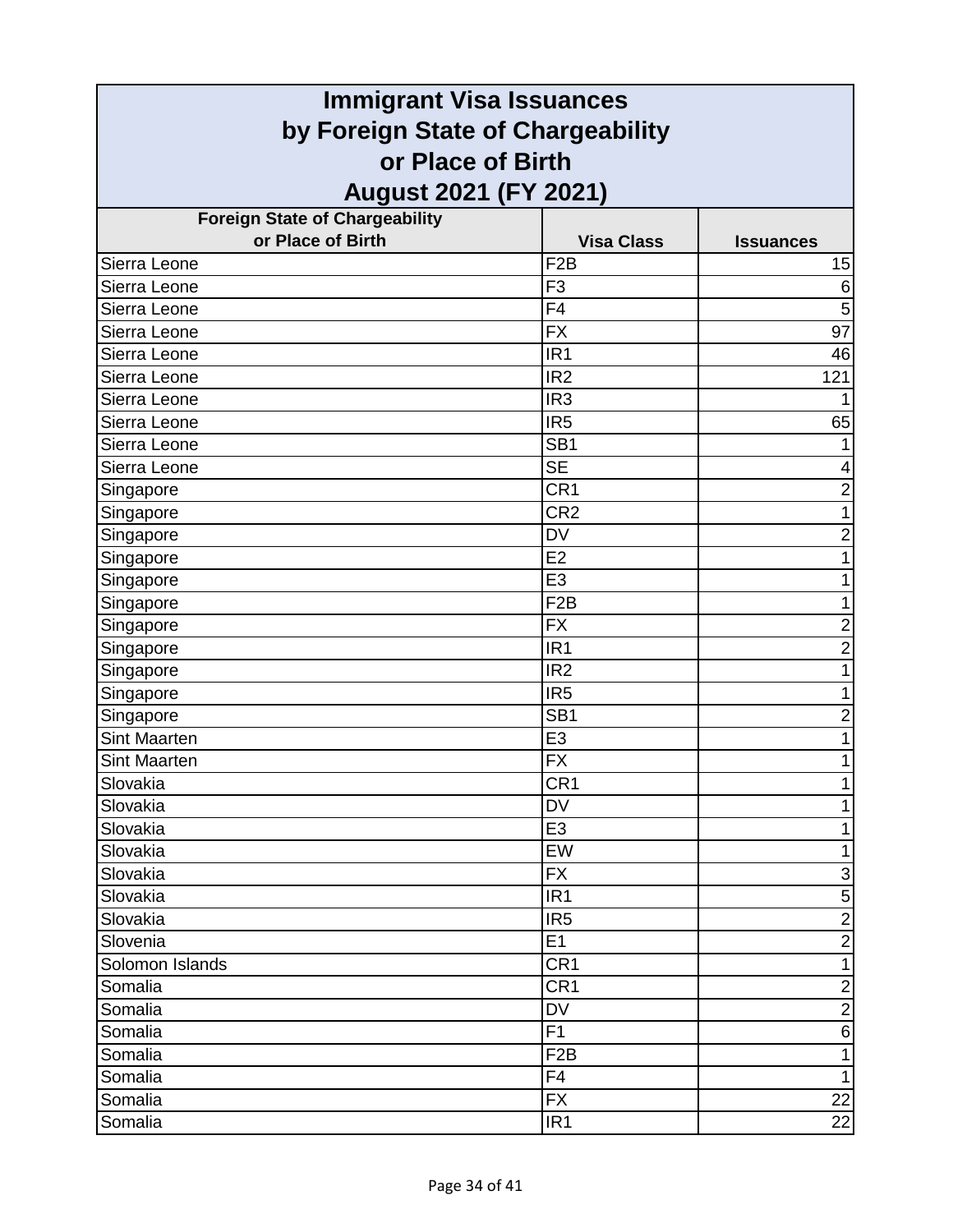| <b>Immigrant Visa Issuances</b>       |                   |                         |
|---------------------------------------|-------------------|-------------------------|
| by Foreign State of Chargeability     |                   |                         |
| or Place of Birth                     |                   |                         |
| <b>August 2021 (FY 2021)</b>          |                   |                         |
| <b>Foreign State of Chargeability</b> |                   |                         |
| or Place of Birth                     | <b>Visa Class</b> | <b>Issuances</b>        |
| Sierra Leone                          | F <sub>2</sub> B  | 15                      |
| Sierra Leone                          | F <sub>3</sub>    | 6                       |
| Sierra Leone                          | F <sub>4</sub>    | 5                       |
| Sierra Leone                          | <b>FX</b>         | $\overline{97}$         |
| Sierra Leone                          | IR <sub>1</sub>   | 46                      |
| Sierra Leone                          | IR <sub>2</sub>   | 121                     |
| Sierra Leone                          | IR <sub>3</sub>   | 1                       |
| Sierra Leone                          | IR <sub>5</sub>   | 65                      |
| Sierra Leone                          | SB <sub>1</sub>   | 1                       |
| Sierra Leone                          | <b>SE</b>         | 4                       |
| Singapore                             | CR1               | $\overline{\mathbf{c}}$ |
| Singapore                             | CR <sub>2</sub>   | 1                       |
| Singapore                             | <b>DV</b>         | $\overline{2}$          |
| Singapore                             | E2                | 1                       |
| Singapore                             | E <sub>3</sub>    | 1                       |
| Singapore                             | F <sub>2</sub> B  | 1                       |
| Singapore                             | <b>FX</b>         | $\overline{2}$          |
| Singapore                             | IR <sub>1</sub>   | $\overline{c}$          |
| Singapore                             | IR <sub>2</sub>   | 1                       |
| Singapore                             | IR <sub>5</sub>   | 1                       |
| Singapore                             | SB <sub>1</sub>   | $\overline{2}$          |
| <b>Sint Maarten</b>                   | E <sub>3</sub>    | 1                       |
| <b>Sint Maarten</b>                   | <b>FX</b>         | 1                       |
| Slovakia                              | CR1               |                         |
| Slovakia                              | DV                | 1                       |
| Slovakia                              | E <sub>3</sub>    | 1                       |
| Slovakia                              | EW                | $\mathbf{1}$            |
| Slovakia                              | <b>FX</b>         | $\mathbf{3}$            |
| Slovakia                              | IR <sub>1</sub>   | $\overline{5}$          |
| Slovakia                              | IR <sub>5</sub>   | $\overline{2}$          |
| Slovenia                              | E1                | $\overline{2}$          |
| Solomon Islands                       | CR <sub>1</sub>   | $\overline{1}$          |
| Somalia                               | CR <sub>1</sub>   | $\overline{2}$          |
| Somalia                               | DV                | $\overline{2}$          |
| Somalia                               | F1                | $\sigma$                |
| Somalia                               | F <sub>2</sub> B  | $\mathbf{1}$            |
| Somalia                               | F4                | $\mathbf{1}$            |
| Somalia                               | <b>FX</b>         | 22                      |
| Somalia                               | IR <sub>1</sub>   | 22                      |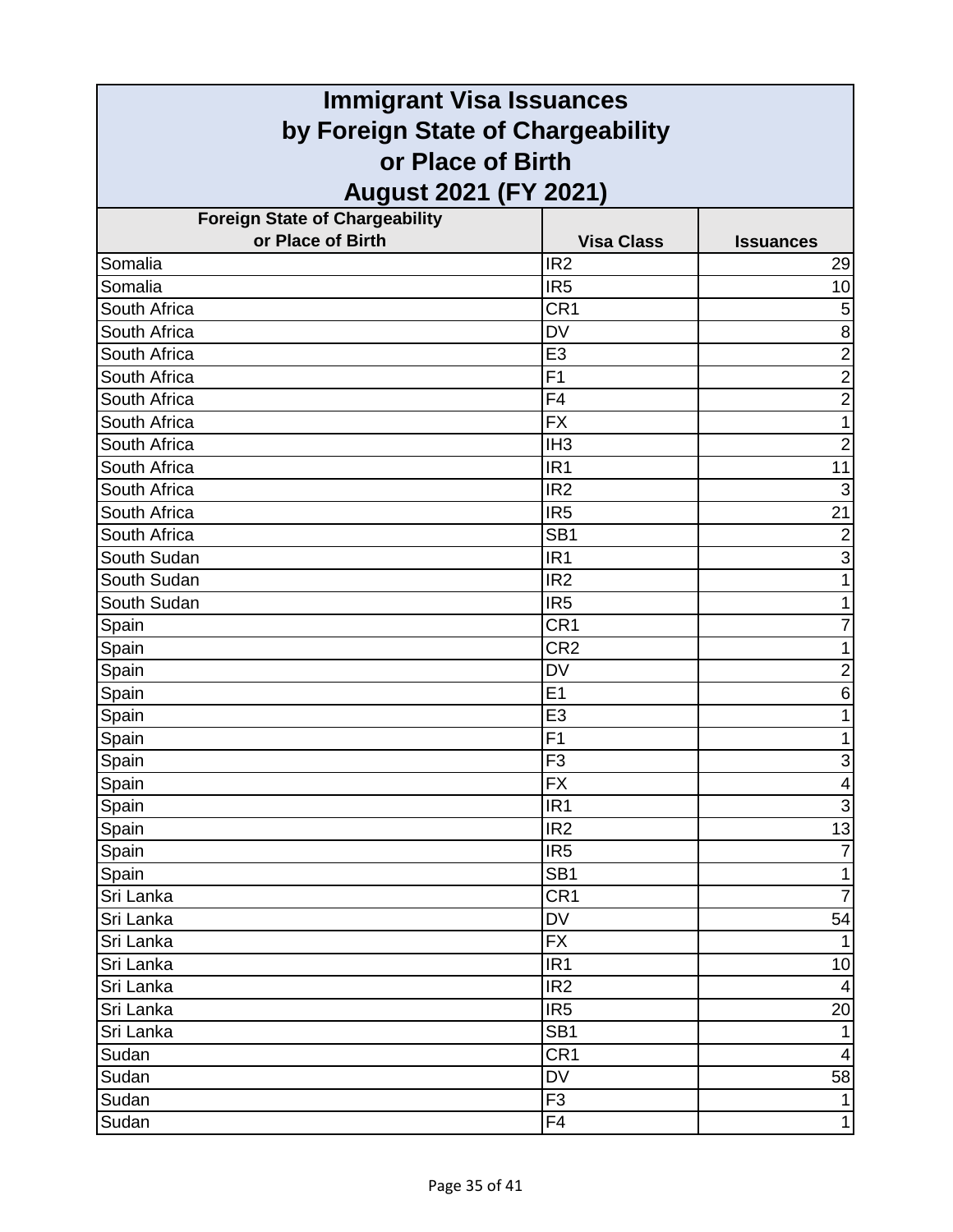| <b>Immigrant Visa Issuances</b>       |                   |                  |
|---------------------------------------|-------------------|------------------|
| by Foreign State of Chargeability     |                   |                  |
| or Place of Birth                     |                   |                  |
| <b>August 2021 (FY 2021)</b>          |                   |                  |
| <b>Foreign State of Chargeability</b> |                   |                  |
| or Place of Birth                     | <b>Visa Class</b> | <b>Issuances</b> |
| Somalia                               | IR <sub>2</sub>   | 29               |
| Somalia                               | IR <sub>5</sub>   | 10               |
| South Africa                          | CR1               | 5                |
| South Africa                          | <b>DV</b>         | 8                |
| South Africa                          | E <sub>3</sub>    | $\overline{2}$   |
| South Africa                          | F1                | $\overline{2}$   |
| South Africa                          | F <sub>4</sub>    | $\overline{2}$   |
| South Africa                          | <b>FX</b>         | 1                |
| South Africa                          | IH <sub>3</sub>   | $\overline{2}$   |
| South Africa                          | IR <sub>1</sub>   | $\overline{11}$  |
| South Africa                          | IR <sub>2</sub>   | 3                |
| South Africa                          | IR <sub>5</sub>   | 21               |
| South Africa                          | SB <sub>1</sub>   | $\overline{2}$   |
| South Sudan                           | IR <sub>1</sub>   | $\overline{3}$   |
| South Sudan                           | IR <sub>2</sub>   | 1                |
| South Sudan                           | IR <sub>5</sub>   | 1                |
| Spain                                 | CR <sub>1</sub>   | 7                |
| Spain                                 | CR <sub>2</sub>   | 1                |
| Spain                                 | <b>DV</b>         | $\overline{c}$   |
| Spain                                 | E1                | 6                |
| Spain                                 | E <sub>3</sub>    | 1                |
| Spain                                 | F <sub>1</sub>    | $\mathbf{1}$     |
| Spain                                 | F <sub>3</sub>    | 3                |
| Spain                                 | FX                | $\vert 4 \vert$  |
| Spain                                 | IR <sub>1</sub>   | $\overline{3}$   |
| Spain                                 | IR <sub>2</sub>   | 13               |
| Spain                                 | IR <sub>5</sub>   | $\overline{7}$   |
| Spain                                 | SB <sub>1</sub>   | $\mathbf{1}$     |
| Sri Lanka                             | CR1               | $\overline{7}$   |
| Sri Lanka                             | <b>DV</b>         | 54               |
| Sri Lanka                             | ${\sf FX}$        | $\mathbf{1}$     |
| Sri Lanka                             | IR <sub>1</sub>   | 10               |
| Sri Lanka                             | IR <sub>2</sub>   | $\overline{4}$   |
| Sri Lanka                             | IR <sub>5</sub>   | 20               |
| Sri Lanka                             | SB <sub>1</sub>   | $\mathbf{1}$     |
| Sudan                                 | CR1               | $\overline{4}$   |
| Sudan                                 | <b>DV</b>         | 58               |
| Sudan                                 | F <sub>3</sub>    | $\mathbf{1}$     |
| Sudan                                 | F <sub>4</sub>    | 1                |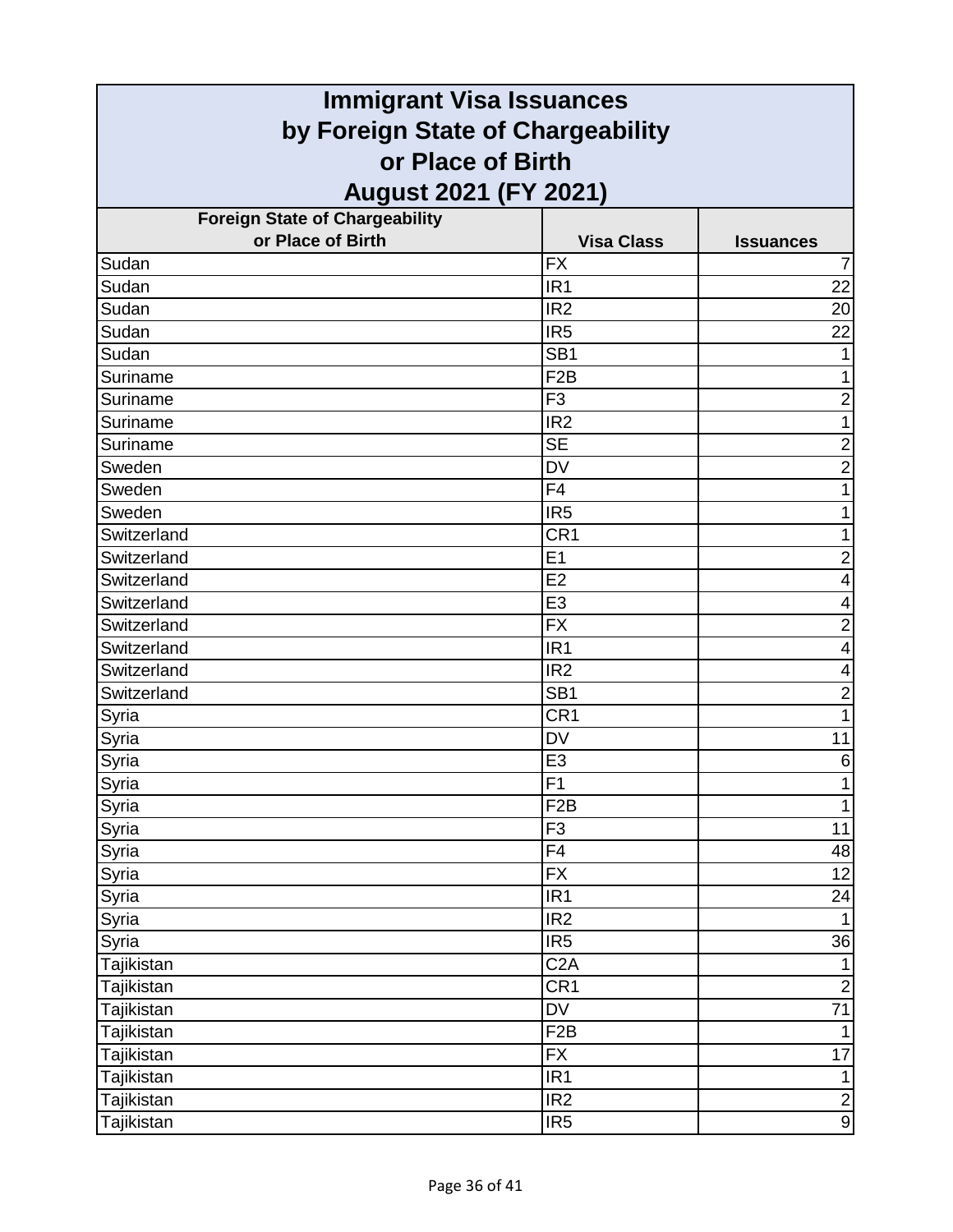| <b>Immigrant Visa Issuances</b>                        |                   |                         |  |
|--------------------------------------------------------|-------------------|-------------------------|--|
| by Foreign State of Chargeability<br>or Place of Birth |                   |                         |  |
|                                                        |                   |                         |  |
| <b>Foreign State of Chargeability</b>                  |                   |                         |  |
| or Place of Birth                                      | <b>Visa Class</b> | <b>Issuances</b>        |  |
| Sudan                                                  | <b>FX</b>         | 7                       |  |
| Sudan                                                  | IR <sub>1</sub>   | 22                      |  |
| Sudan                                                  | IR <sub>2</sub>   | 20                      |  |
| Sudan                                                  | IR <sub>5</sub>   | 22                      |  |
| Sudan                                                  | SB <sub>1</sub>   |                         |  |
| Suriname                                               | F <sub>2</sub> B  | 1                       |  |
| Suriname                                               | F <sub>3</sub>    | $\overline{2}$          |  |
| Suriname                                               | IR <sub>2</sub>   |                         |  |
| Suriname                                               | <b>SE</b>         | $\overline{2}$          |  |
| Sweden                                                 | <b>DV</b>         | $\overline{c}$          |  |
| Sweden                                                 | F <sub>4</sub>    | 1                       |  |
| Sweden                                                 | IR <sub>5</sub>   | 1                       |  |
| Switzerland                                            | CR <sub>1</sub>   | 1                       |  |
| Switzerland                                            | E1                | $\overline{2}$          |  |
| Switzerland                                            | E2                | 4                       |  |
| Switzerland                                            | E <sub>3</sub>    | 4                       |  |
| Switzerland                                            | <b>FX</b>         | $\overline{c}$          |  |
| Switzerland                                            | IR <sub>1</sub>   | 4                       |  |
| Switzerland                                            | IR <sub>2</sub>   | 4                       |  |
| Switzerland                                            | SB <sub>1</sub>   | $\overline{\mathbf{c}}$ |  |
| Syria                                                  | CR <sub>1</sub>   | 1                       |  |
| Syria                                                  | <b>DV</b>         | 11                      |  |
| Syria                                                  | E <sub>3</sub>    | $\,6$                   |  |
| Syria                                                  | $\overline{F1}$   |                         |  |
| Syria                                                  | F <sub>2</sub> B  | $\mathbf{1}$            |  |
| Syria                                                  | F <sub>3</sub>    | 11                      |  |
| Syria                                                  | F4                | 48                      |  |
| Syria                                                  | $\overline{FX}$   | 12                      |  |
| Syria                                                  | IR <sub>1</sub>   | 24                      |  |
| Syria                                                  | IR <sub>2</sub>   | $\mathbf{1}$            |  |
| Syria                                                  | IR <sub>5</sub>   | 36                      |  |
| Tajikistan                                             | C <sub>2</sub> A  | $\mathbf{1}$            |  |
| Tajikistan                                             | CR <sub>1</sub>   | $\overline{2}$          |  |
| Tajikistan                                             | DV                | $\overline{71}$         |  |
| Tajikistan                                             | F <sub>2</sub> B  | $\mathbf{1}$            |  |
| Tajikistan                                             | <b>FX</b>         | 17                      |  |
| Tajikistan                                             | IR <sub>1</sub>   | $\mathbf{1}$            |  |
| Tajikistan                                             | IR <sub>2</sub>   | $\overline{2}$          |  |
| Tajikistan                                             | IR <sub>5</sub>   | $\overline{9}$          |  |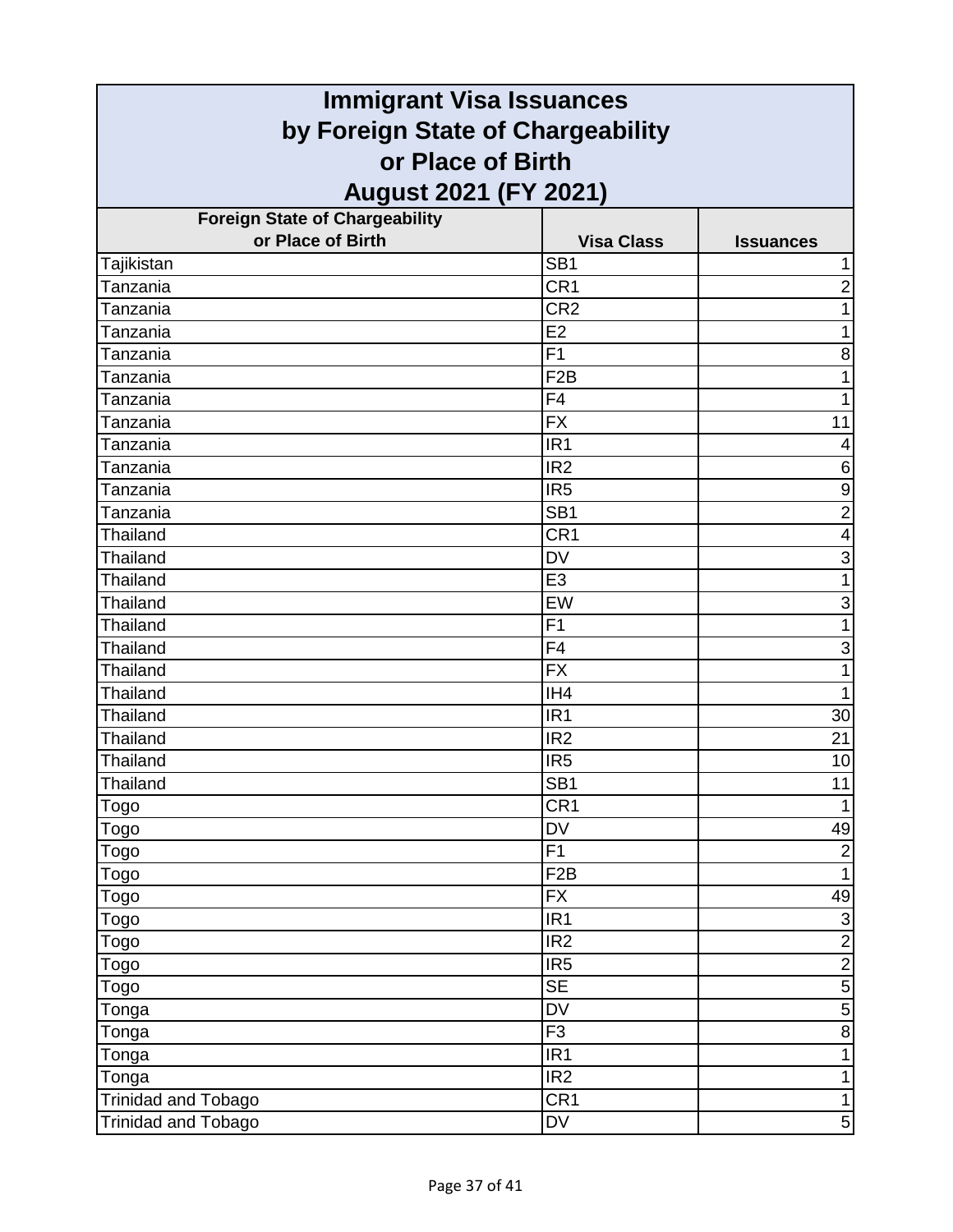| <b>Immigrant Visa Issuances</b><br>by Foreign State of Chargeability |                   |                         |                   |
|----------------------------------------------------------------------|-------------------|-------------------------|-------------------|
|                                                                      |                   |                         | or Place of Birth |
| <b>August 2021 (FY 2021)</b>                                         |                   |                         |                   |
| <b>Foreign State of Chargeability</b>                                |                   |                         |                   |
| or Place of Birth                                                    | <b>Visa Class</b> | <b>Issuances</b>        |                   |
| Tajikistan                                                           | SB <sub>1</sub>   | 1                       |                   |
| Tanzania                                                             | CR <sub>1</sub>   | $\overline{2}$          |                   |
| Tanzania                                                             | CR <sub>2</sub>   | 1                       |                   |
| Tanzania                                                             | E <sub>2</sub>    | 1                       |                   |
| Tanzania                                                             | F <sub>1</sub>    | 8                       |                   |
| Tanzania                                                             | F <sub>2</sub> B  | 1                       |                   |
| Tanzania                                                             | F4                | 1                       |                   |
| Tanzania                                                             | <b>FX</b>         | 11                      |                   |
| Tanzania                                                             | IR <sub>1</sub>   | 4                       |                   |
| Tanzania                                                             | IR <sub>2</sub>   | $\,6$                   |                   |
| Tanzania                                                             | IR <sub>5</sub>   | $\boldsymbol{9}$        |                   |
| Tanzania                                                             | SB <sub>1</sub>   | $\overline{2}$          |                   |
| Thailand                                                             | CR1               | $\overline{\mathbf{4}}$ |                   |
| <b>Thailand</b>                                                      | <b>DV</b>         | $\mathsf 3$             |                   |
| <b>Thailand</b>                                                      | E <sub>3</sub>    | 1                       |                   |
| Thailand                                                             | EW                | 3                       |                   |
| Thailand                                                             | F <sub>1</sub>    | 1                       |                   |
| Thailand                                                             | F4                | 3                       |                   |
| <b>Thailand</b>                                                      | <b>FX</b>         | 1                       |                   |
| <b>Thailand</b>                                                      | IH <sub>4</sub>   | 1                       |                   |
| <b>Thailand</b>                                                      | IR <sub>1</sub>   | 30                      |                   |
| <b>Thailand</b>                                                      | IR <sub>2</sub>   | 21                      |                   |
| <b>Thailand</b>                                                      | IR <sub>5</sub>   | 10                      |                   |
| Thailand                                                             | SB <sub>1</sub>   | 11                      |                   |
| Togo                                                                 | CR1               | $\mathbf{1}$            |                   |
| <b>Togo</b>                                                          | <b>DV</b>         | 49                      |                   |
| Togo                                                                 | F1                | $\overline{2}$          |                   |
| Togo                                                                 | F2B               | $\mathbf{1}$            |                   |
| Togo                                                                 | <b>FX</b>         | 49                      |                   |
| Togo                                                                 | IR <sub>1</sub>   | $\overline{3}$          |                   |
| Togo                                                                 | IR <sub>2</sub>   | $\frac{2}{2}$           |                   |
| Togo                                                                 | IR <sub>5</sub>   |                         |                   |
| Togo                                                                 | <b>SE</b>         | $\overline{5}$          |                   |
| Tonga                                                                | <b>DV</b>         | $\sqrt{5}$              |                   |
| Tonga                                                                | F3                | $\overline{8}$          |                   |
| Tonga                                                                | IR <sub>1</sub>   | $\mathbf{1}$            |                   |
| Tonga                                                                | IR <sub>2</sub>   | 1                       |                   |
| <b>Trinidad and Tobago</b>                                           | CR1               | $\mathbf{1}$            |                   |
| <b>Trinidad and Tobago</b>                                           | DV                | $\sqrt{5}$              |                   |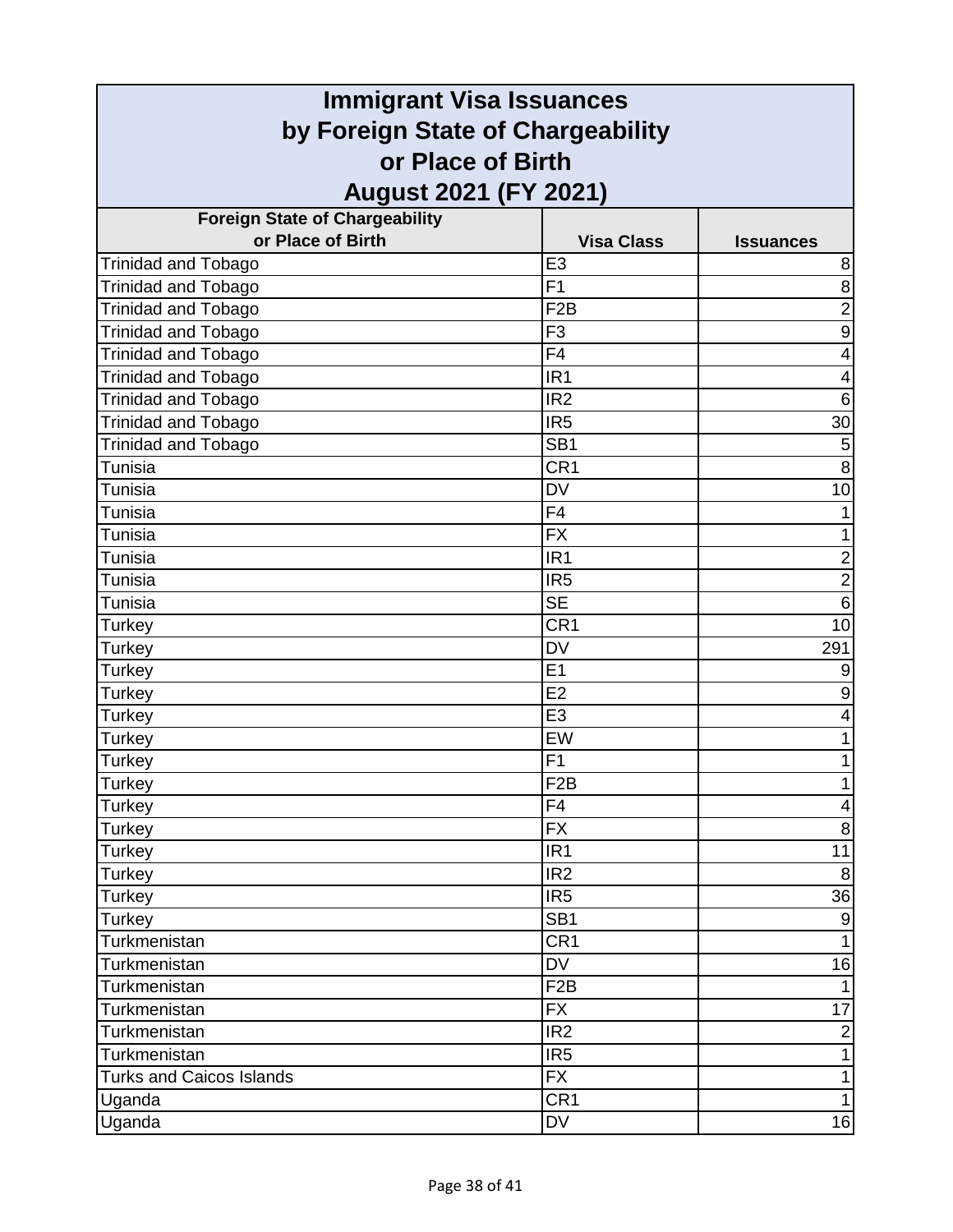| <b>Immigrant Visa Issuances</b><br>by Foreign State of Chargeability |                              |                         |                                            |
|----------------------------------------------------------------------|------------------------------|-------------------------|--------------------------------------------|
|                                                                      |                              |                         | or Place of Birth<br>August 2021 (FY 2021) |
| <b>Foreign State of Chargeability</b>                                |                              |                         |                                            |
| or Place of Birth                                                    | <b>Visa Class</b>            | <b>Issuances</b>        |                                            |
| <b>Trinidad and Tobago</b>                                           | E <sub>3</sub>               | 8                       |                                            |
| Trinidad and Tobago                                                  | F <sub>1</sub>               | $\bf 8$                 |                                            |
| <b>Trinidad and Tobago</b>                                           | F <sub>2</sub> B             | $\overline{2}$          |                                            |
| <b>Trinidad and Tobago</b>                                           | F <sub>3</sub>               | $\boldsymbol{9}$        |                                            |
| Trinidad and Tobago                                                  | F <sub>4</sub>               | $\overline{\mathbf{4}}$ |                                            |
| <b>Trinidad and Tobago</b>                                           | IR <sub>1</sub>              | 4                       |                                            |
| <b>Trinidad and Tobago</b>                                           | IR <sub>2</sub>              | $6\phantom{1}6$         |                                            |
| Trinidad and Tobago                                                  | IR <sub>5</sub>              | 30                      |                                            |
| <b>Trinidad and Tobago</b>                                           | SB <sub>1</sub>              | $\mathbf 5$             |                                            |
| Tunisia                                                              | CR <sub>1</sub>              | $\overline{8}$          |                                            |
| Tunisia                                                              | <b>DV</b>                    | 10                      |                                            |
| Tunisia                                                              | F4                           |                         |                                            |
| Tunisia                                                              | <b>FX</b>                    | 1                       |                                            |
| Tunisia                                                              | IR <sub>1</sub>              | $\overline{\mathbf{c}}$ |                                            |
| Tunisia                                                              | IR <sub>5</sub>              | $\overline{2}$          |                                            |
| Tunisia                                                              | <b>SE</b>                    | $6\phantom{1}6$         |                                            |
| Turkey                                                               | CR1                          | 10                      |                                            |
| <b>Turkey</b>                                                        | <b>DV</b>                    | 291                     |                                            |
| Turkey                                                               | E1                           | 9                       |                                            |
| Turkey                                                               | E2                           | $\boldsymbol{9}$        |                                            |
| <b>Turkey</b>                                                        | E3                           | 4                       |                                            |
| Turkey                                                               | EW                           | 1                       |                                            |
| <b>Turkey</b>                                                        | F <sub>1</sub>               | 1                       |                                            |
| Turkey                                                               | F2B                          |                         |                                            |
| Turkey                                                               | F4                           | $\overline{\mathbf{4}}$ |                                            |
| <b>Turkey</b>                                                        | <b>FX</b>                    | $\bf 8$                 |                                            |
| <b>Turkey</b>                                                        | IR <sub>1</sub>              | 11                      |                                            |
| Turkey                                                               | IR <sub>2</sub>              | 8                       |                                            |
| Turkey                                                               | IR <sub>5</sub>              | 36                      |                                            |
| <b>Turkey</b>                                                        | SB <sub>1</sub>              | $\boldsymbol{9}$        |                                            |
| Turkmenistan                                                         | CR <sub>1</sub>              | $\mathbf{1}$            |                                            |
| Turkmenistan                                                         | DV                           | 16                      |                                            |
| Turkmenistan                                                         | F <sub>2</sub> B             | $\mathbf{1}$            |                                            |
| Turkmenistan                                                         | <b>FX</b>                    | 17                      |                                            |
| Turkmenistan                                                         | IR <sub>2</sub>              | $\overline{2}$          |                                            |
| Turkmenistan                                                         | IR <sub>5</sub>              | 1                       |                                            |
| <b>Turks and Caicos Islands</b>                                      | <b>FX</b><br>CR <sub>1</sub> | $\mathbf{1}$            |                                            |
| Uganda                                                               |                              | 1                       |                                            |
| Uganda                                                               | DV                           | 16                      |                                            |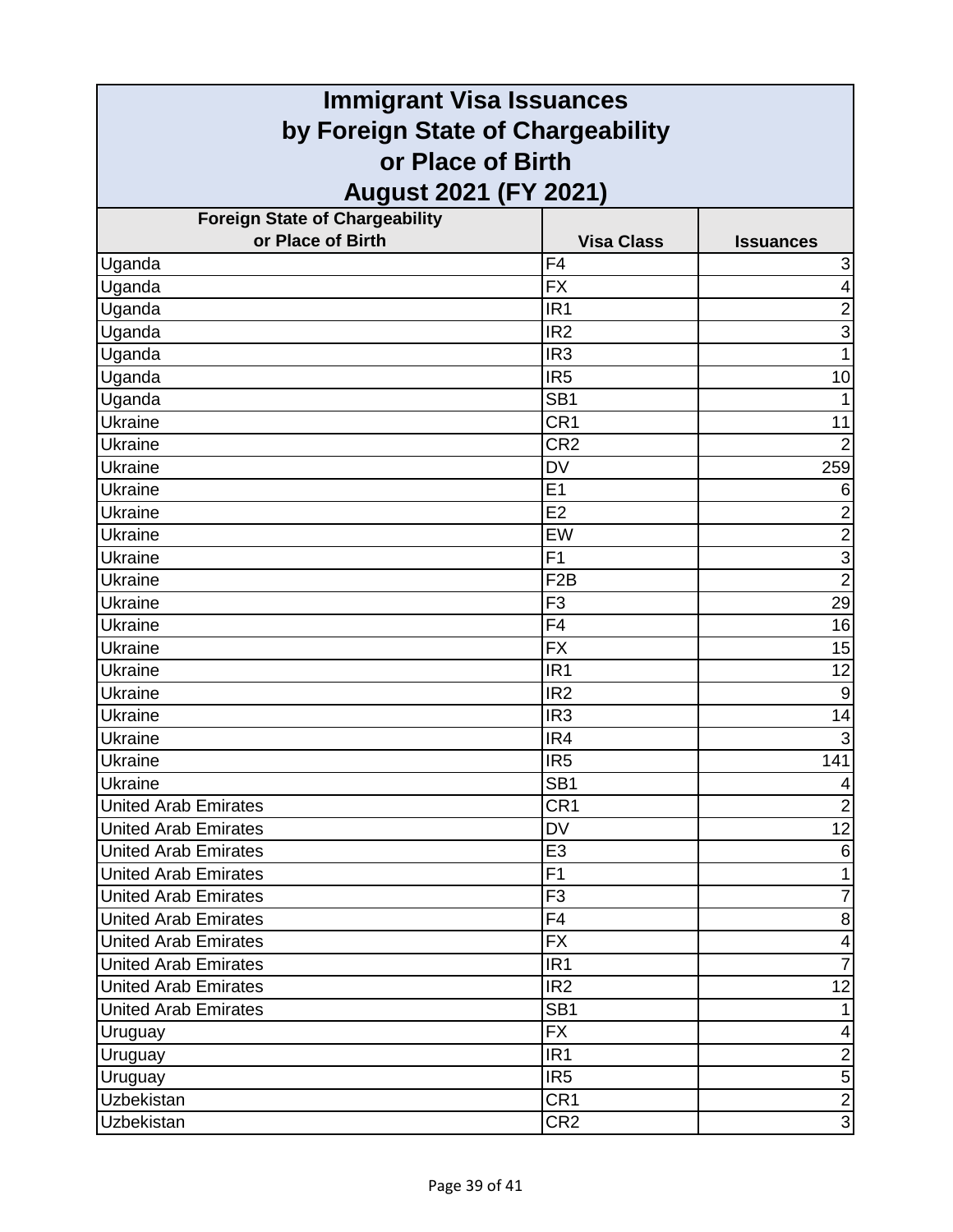| <b>Immigrant Visa Issuances</b><br>by Foreign State of Chargeability |                   |                           |                   |
|----------------------------------------------------------------------|-------------------|---------------------------|-------------------|
|                                                                      |                   |                           | or Place of Birth |
| <b>August 2021 (FY 2021)</b>                                         |                   |                           |                   |
| <b>Foreign State of Chargeability</b>                                |                   |                           |                   |
| or Place of Birth                                                    | <b>Visa Class</b> | <b>Issuances</b>          |                   |
| Uganda                                                               | F <sub>4</sub>    | $\ensuremath{\mathsf{3}}$ |                   |
| Uganda                                                               | <b>FX</b>         | $\overline{\mathbf{4}}$   |                   |
| Uganda                                                               | IR <sub>1</sub>   | $\overline{2}$            |                   |
| Uganda                                                               | IR <sub>2</sub>   | 3                         |                   |
| Uganda                                                               | IR <sub>3</sub>   | 1                         |                   |
| Uganda                                                               | IR <sub>5</sub>   | 10                        |                   |
| Uganda                                                               | SB <sub>1</sub>   |                           |                   |
| Ukraine                                                              | CR1               | 11                        |                   |
| <b>Ukraine</b>                                                       | CR <sub>2</sub>   | $\overline{2}$            |                   |
| Ukraine                                                              | <b>DV</b>         | 259                       |                   |
| Ukraine                                                              | E1                | 6                         |                   |
| Ukraine                                                              | E2                | $\overline{\mathbf{c}}$   |                   |
| Ukraine                                                              | EW                | $\overline{2}$            |                   |
| Ukraine                                                              | F <sub>1</sub>    | $\overline{3}$            |                   |
| Ukraine                                                              | F <sub>2</sub> B  | $\overline{2}$            |                   |
| <b>Ukraine</b>                                                       | F <sub>3</sub>    | 29                        |                   |
| Ukraine                                                              | F <sub>4</sub>    | 16                        |                   |
| Ukraine                                                              | <b>FX</b>         | 15                        |                   |
| Ukraine                                                              | IR <sub>1</sub>   | 12                        |                   |
| Ukraine                                                              | IR <sub>2</sub>   | 9                         |                   |
| Ukraine                                                              | IR <sub>3</sub>   | 14                        |                   |
| Ukraine                                                              | IR4               | 3                         |                   |
| Ukraine                                                              | IR <sub>5</sub>   | 141                       |                   |
| Ukraine                                                              | SB <sub>1</sub>   | $\overline{\mathcal{A}}$  |                   |
| <b>United Arab Emirates</b>                                          | CR <sub>1</sub>   | $\overline{2}$            |                   |
| <b>United Arab Emirates</b>                                          | <b>DV</b>         | 12                        |                   |
| <b>United Arab Emirates</b>                                          | E <sub>3</sub>    | 6                         |                   |
| <b>United Arab Emirates</b>                                          | F1                | 1                         |                   |
| <b>United Arab Emirates</b>                                          | F <sub>3</sub>    | $\overline{7}$            |                   |
| <b>United Arab Emirates</b>                                          | F4                | $\bf 8$                   |                   |
| <b>United Arab Emirates</b>                                          | <b>FX</b>         | 4                         |                   |
| <b>United Arab Emirates</b>                                          | IR <sub>1</sub>   | $\overline{7}$            |                   |
| <b>United Arab Emirates</b>                                          | IR <sub>2</sub>   | 12                        |                   |
| <b>United Arab Emirates</b>                                          | SB <sub>1</sub>   | 1                         |                   |
| Uruguay                                                              | <b>FX</b>         | 4                         |                   |
| Uruguay                                                              | IR <sub>1</sub>   | $\overline{2}$            |                   |
| Uruguay                                                              | IR <sub>5</sub>   | $\overline{5}$            |                   |
| Uzbekistan                                                           | CR <sub>1</sub>   | $\overline{2}$            |                   |
| <b>Uzbekistan</b>                                                    | CR <sub>2</sub>   | $\overline{3}$            |                   |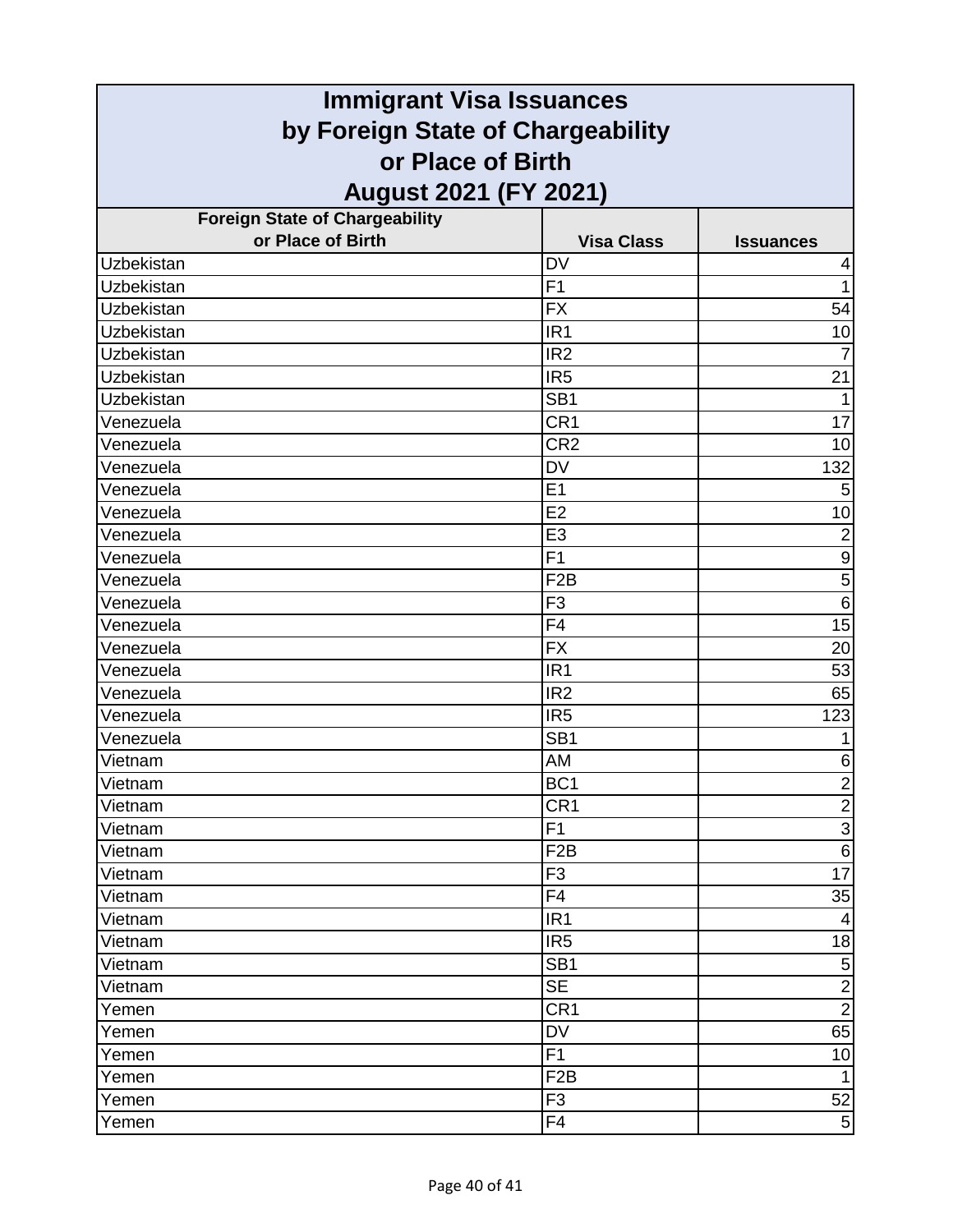| <b>Immigrant Visa Issuances</b><br>by Foreign State of Chargeability |                   |                         |                   |
|----------------------------------------------------------------------|-------------------|-------------------------|-------------------|
|                                                                      |                   |                         | or Place of Birth |
| August 2021 (FY 2021)                                                |                   |                         |                   |
| <b>Foreign State of Chargeability</b>                                |                   |                         |                   |
| or Place of Birth                                                    | <b>Visa Class</b> | <b>Issuances</b>        |                   |
| Uzbekistan                                                           | <b>DV</b>         | 4                       |                   |
| Uzbekistan                                                           | F1                | 1                       |                   |
| Uzbekistan                                                           | <b>FX</b>         | 54                      |                   |
| Uzbekistan                                                           | IR <sub>1</sub>   | 10                      |                   |
| Uzbekistan                                                           | IR <sub>2</sub>   |                         |                   |
| Uzbekistan                                                           | IR <sub>5</sub>   | 21                      |                   |
| Uzbekistan                                                           | SB <sub>1</sub>   |                         |                   |
| Venezuela                                                            | CR <sub>1</sub>   | 17                      |                   |
| Venezuela                                                            | CR <sub>2</sub>   | 10                      |                   |
| Venezuela                                                            | <b>DV</b>         | 132                     |                   |
| Venezuela                                                            | E1                | 5                       |                   |
| Venezuela                                                            | E2                | 10                      |                   |
| Venezuela                                                            | E <sub>3</sub>    | $\overline{2}$          |                   |
| Venezuela                                                            | F1                | $\boldsymbol{9}$        |                   |
| Venezuela                                                            | F <sub>2</sub> B  | 5                       |                   |
| Venezuela                                                            | F <sub>3</sub>    | $\,6$                   |                   |
| Venezuela                                                            | F4                | 15                      |                   |
| Venezuela                                                            | <b>FX</b>         | 20                      |                   |
| Venezuela                                                            | IR <sub>1</sub>   | 53                      |                   |
| Venezuela                                                            | IR <sub>2</sub>   | 65                      |                   |
| Venezuela                                                            | IR <sub>5</sub>   | 123                     |                   |
| Venezuela                                                            | SB <sub>1</sub>   |                         |                   |
| Vietnam                                                              | AM                | 6                       |                   |
| Vietnam                                                              | BC <sub>1</sub>   | $\overline{\mathbf{c}}$ |                   |
| Vietnam                                                              | CR <sub>1</sub>   | $\overline{2}$          |                   |
| Vietnam                                                              | F1                | $\overline{3}$          |                   |
| Vietnam                                                              | F <sub>2</sub> B  | $\,6$                   |                   |
| Vietnam                                                              | F <sub>3</sub>    | 17                      |                   |
| Vietnam                                                              | F4                | 35                      |                   |
| Vietnam                                                              | IR <sub>1</sub>   | $\overline{4}$          |                   |
| Vietnam                                                              | IR <sub>5</sub>   | 18                      |                   |
| Vietnam                                                              | SB <sub>1</sub>   | $\mathbf 5$             |                   |
| Vietnam                                                              | <b>SE</b>         | $\overline{2}$          |                   |
| Yemen                                                                | CR <sub>1</sub>   | $\overline{2}$          |                   |
| Yemen                                                                | <b>DV</b>         | 65                      |                   |
| Yemen                                                                | F <sub>1</sub>    | 10                      |                   |
| Yemen                                                                | F <sub>2</sub> B  | $\mathbf{1}$            |                   |
| Yemen                                                                | F <sub>3</sub>    | 52                      |                   |
| Yemen                                                                | F4                | $\overline{5}$          |                   |